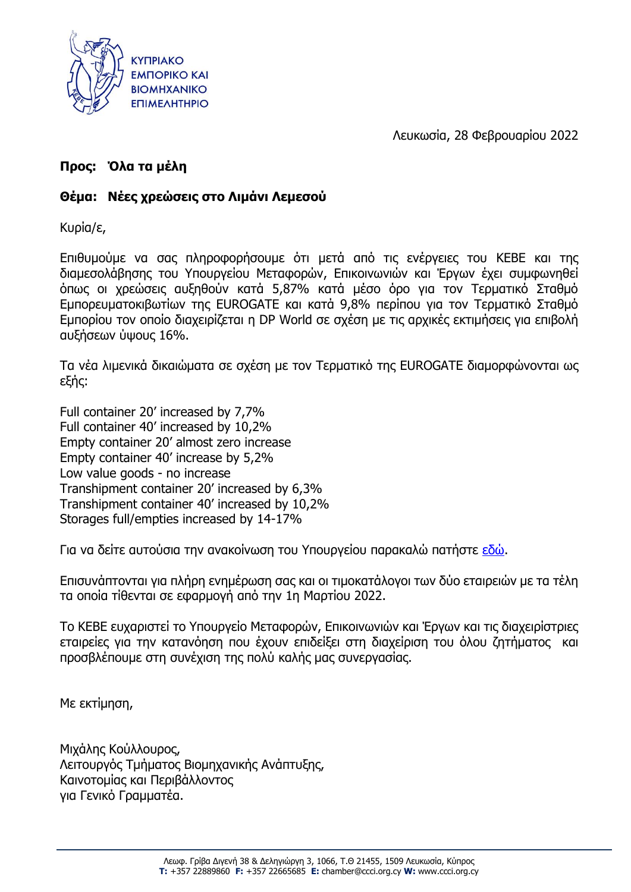

Λευκωσία, 28 Φεβρουαρίου 2022

# **Προς: Όλα τα μέλη**

# **Θέμα: Νέες χρεώσεις στο Λιμάνι Λεμεσού**

Κυρία/ε,

Επιθυμούμε να σας πληροφορήσουμε ότι μετά από τις ενέργειες του ΚΕΒΕ και της διαμεσολάβησης του Υπουργείου Μεταφορών, Επικοινωνιών και Έργων έχει συμφωνηθεί όπως οι χρεώσεις αυξηθούν κατά 5,87% κατά μέσο όρο για τον Τερματικό Σταθμό Εμπορευματοκιβωτίων της EUROGATE και κατά 9,8% περίπου για τον Τερματικό Σταθμό Εμπορίου τον οποίο διαχειρίζεται η DP World σε σχέση με τις αρχικές εκτιμήσεις για επιβολή αυξήσεων ύψους 16%.

Τα νέα λιμενικά δικαιώματα σε σχέση με τον Τερματικό της EUROGATE διαμορφώνονται ως εξής:

Full container 20' increased by 7,7% Full container 40' increased by 10,2% Empty container 20' almost zero increase Empty container 40' increase by 5,2% Low value goods - no increase Transhipment container 20' increased by 6,3% Transhipment container 40' increased by 10,2% Storages full/empties increased by 14-17%

Για να δείτε αυτούσια την ανακοίνωση του Υπουργείου παρακαλώ πατήστε [εδώ](https://www.pio.gov.cy/%CE%B1%CE%BD%CE%B1%CE%BA%CE%BF%CE%B9%CE%BD%CF%89%CE%B8%CE%AD%CE%BD%CF%84%CE%B1-%CE%AC%CF%81%CE%B8%CF%81%CE%BF.html?id=26272#flat).

Επισυνάπτονται για πλήρη ενημέρωση σας και οι τιμοκατάλογοι των δύο εταιρειών με τα τέλη τα οποία τίθενται σε εφαρμογή από την 1η Μαρτίου 2022.

Το ΚΕΒΕ ευχαριστεί το Υπουργείο Μεταφορών, Επικοινωνιών και Έργων και τις διαχειρίστριες εταιρείες για την κατανόηση που έχουν επιδείξει στη διαχείριση του όλου ζητήματος και προσβλέπουμε στη συνέχιση της πολύ καλής μας συνεργασίας.

Με εκτίμηση,

Μιχάλης Κούλλουρος, Λειτουργός Τμήματος Βιομηχανικής Ανάπτυξης, Καινοτομίας και Περιβάλλοντος για Γενικό Γραμματέα.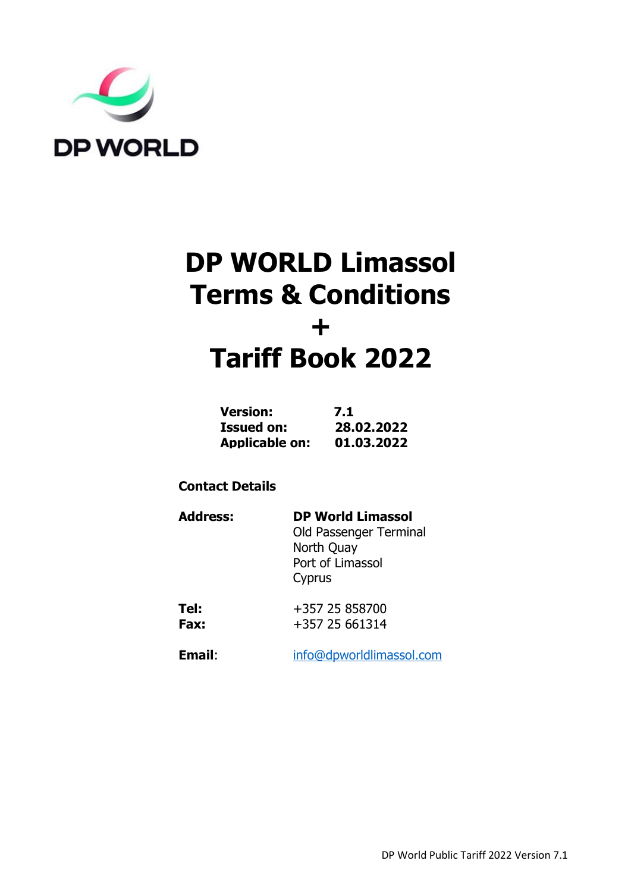

# **DP WORLD Limassol Terms & Conditions + Tariff Book 2022**

| <b>Version:</b>       | 7.1        |
|-----------------------|------------|
| <b>Issued on:</b>     | 28.02.2022 |
| <b>Applicable on:</b> | 01.03.2022 |

# **Contact Details**

| <b>Address:</b> | <b>DP World Limassol</b><br>Old Passenger Terminal<br>North Quay<br>Port of Limassol<br>Cyprus |
|-----------------|------------------------------------------------------------------------------------------------|
| Tel:            | +357 25 858700                                                                                 |

**Fax:**  $+357 25 661314$ 

**Email**: [info@dpworldlimassol.com](mailto:info@dpworldlimassol.com)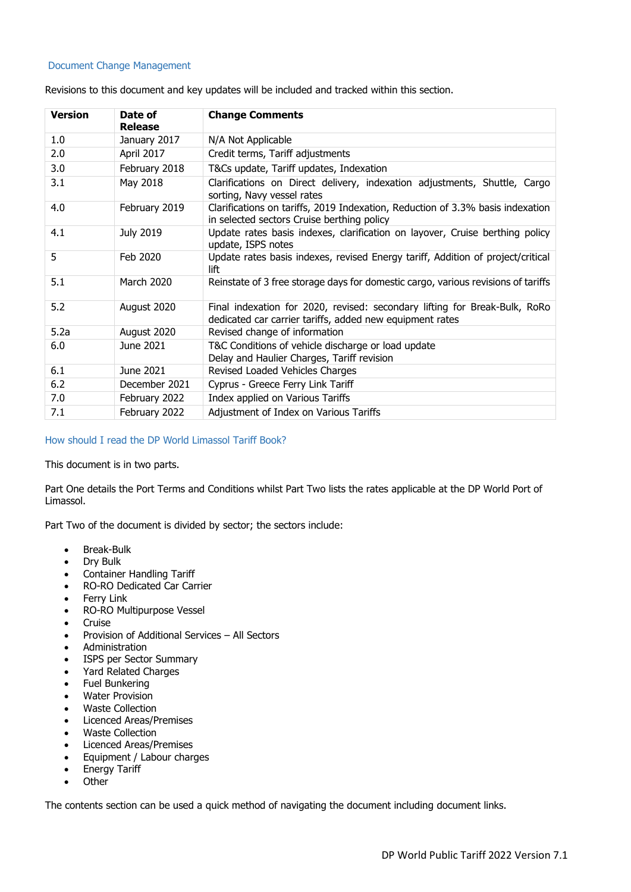#### Document Change Management

| <b>Version</b> | Date of<br><b>Release</b> | <b>Change Comments</b>                                                                                                                 |  |
|----------------|---------------------------|----------------------------------------------------------------------------------------------------------------------------------------|--|
| 1.0            | January 2017              | N/A Not Applicable                                                                                                                     |  |
| 2.0            | April 2017                | Credit terms, Tariff adjustments                                                                                                       |  |
| 3.0            | February 2018             | T&Cs update, Tariff updates, Indexation                                                                                                |  |
| 3.1            | May 2018                  | Clarifications on Direct delivery, indexation adjustments, Shuttle, Cargo<br>sorting, Navy vessel rates                                |  |
| 4.0            | February 2019             | Clarifications on tariffs, 2019 Indexation, Reduction of 3.3% basis indexation<br>in selected sectors Cruise berthing policy           |  |
| 4.1            | <b>July 2019</b>          | Update rates basis indexes, clarification on layover, Cruise berthing policy<br>update, ISPS notes                                     |  |
| 5              | Feb 2020                  | Update rates basis indexes, revised Energy tariff, Addition of project/critical<br>lift                                                |  |
| 5.1            | March 2020                | Reinstate of 3 free storage days for domestic cargo, various revisions of tariffs                                                      |  |
| 5.2            | August 2020               | Final indexation for 2020, revised: secondary lifting for Break-Bulk, RoRo<br>dedicated car carrier tariffs, added new equipment rates |  |
| 5.2a           | August 2020               | Revised change of information                                                                                                          |  |
| 6.0            | June 2021                 | T&C Conditions of vehicle discharge or load update<br>Delay and Haulier Charges, Tariff revision                                       |  |
| 6.1            | June 2021                 | Revised Loaded Vehicles Charges                                                                                                        |  |
| 6.2            | December 2021             | Cyprus - Greece Ferry Link Tariff                                                                                                      |  |
| 7.0            | February 2022             | Index applied on Various Tariffs                                                                                                       |  |
| 7.1            | February 2022             | Adjustment of Index on Various Tariffs                                                                                                 |  |

Revisions to this document and key updates will be included and tracked within this section.

#### How should I read the DP World Limassol Tariff Book?

This document is in two parts.

Part One details the Port Terms and Conditions whilst Part Two lists the rates applicable at the DP World Port of Limassol.

Part Two of the document is divided by sector; the sectors include:

- Break-Bulk
- Dry Bulk
- Container Handling Tariff
- RO-RO Dedicated Car Carrier
- Ferry Link
- RO-RO Multipurpose Vessel
- Cruise
- Provision of Additional Services All Sectors
- Administration
- ISPS per Sector Summary
- Yard Related Charges
- Fuel Bunkering
- Water Provision
- Waste Collection
- Licenced Areas/Premises
- Waste Collection
- Licenced Areas/Premises
- Equipment / Labour charges
- Energy Tariff
- Other

The contents section can be used a quick method of navigating the document including document links.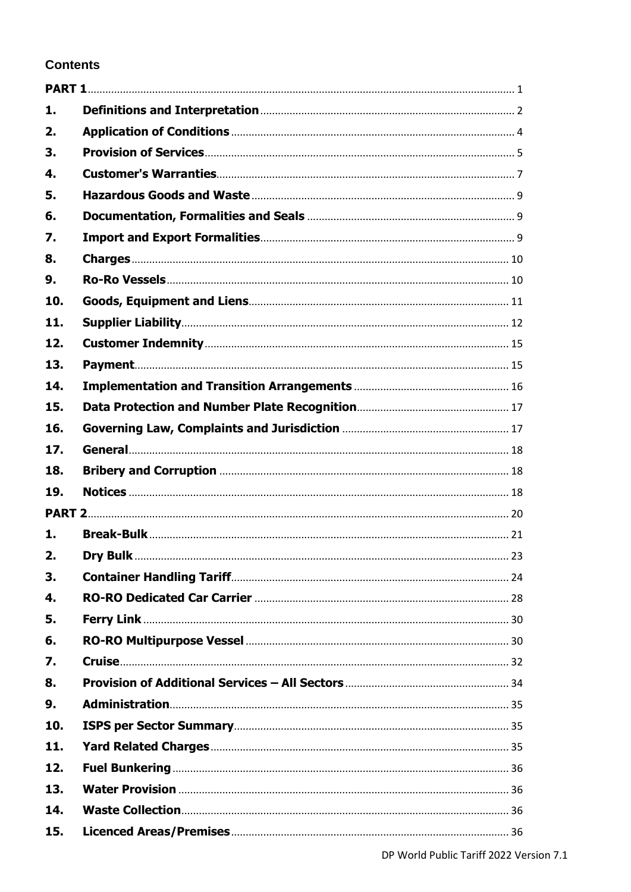# **Contents**

| 1.  |  |
|-----|--|
| 2.  |  |
| 3.  |  |
| 4.  |  |
| 5.  |  |
| 6.  |  |
| 7.  |  |
| 8.  |  |
| 9.  |  |
| 10. |  |
| 11. |  |
| 12. |  |
| 13. |  |
| 14. |  |
| 15. |  |
| 16. |  |
| 17. |  |
| 18. |  |
| 19. |  |
|     |  |
| 1.  |  |
| 2.  |  |
| 3.  |  |
| 4.  |  |
| 5.  |  |
| 6.  |  |
| 7.  |  |
| 8.  |  |
| 9.  |  |
| 10. |  |
| 11. |  |
| 12. |  |
| 13. |  |
| 14. |  |
| 15. |  |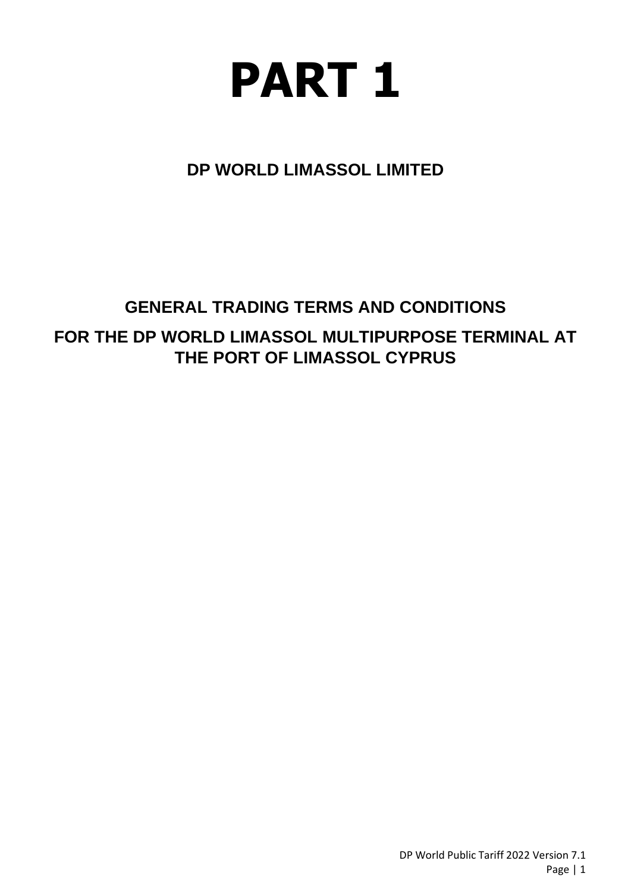<span id="page-5-0"></span>

**DP WORLD LIMASSOL LIMITED**

# **GENERAL TRADING TERMS AND CONDITIONS FOR THE DP WORLD LIMASSOL MULTIPURPOSE TERMINAL AT THE PORT OF LIMASSOL CYPRUS**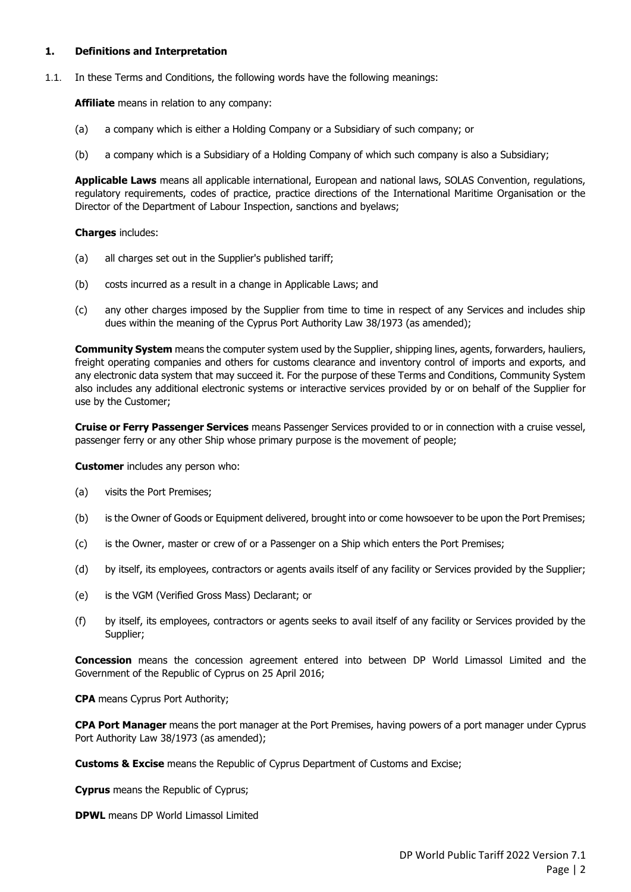#### <span id="page-6-0"></span>**1. Definitions and Interpretation**

1.1. In these Terms and Conditions, the following words have the following meanings:

**Affiliate** means in relation to any company:

- (a) a company which is either a Holding Company or a Subsidiary of such company; or
- (b) a company which is a Subsidiary of a Holding Company of which such company is also a Subsidiary;

**Applicable Laws** means all applicable international, European and national laws, SOLAS Convention, regulations, regulatory requirements, codes of practice, practice directions of the International Maritime Organisation or the Director of the Department of Labour Inspection, sanctions and byelaws;

#### **Charges** includes:

- (a) all charges set out in the Supplier's published tariff;
- (b) costs incurred as a result in a change in Applicable Laws; and
- (c) any other charges imposed by the Supplier from time to time in respect of any Services and includes ship dues within the meaning of the Cyprus Port Authority Law 38/1973 (as amended);

**Community System** means the computer system used by the Supplier, shipping lines, agents, forwarders, hauliers, freight operating companies and others for customs clearance and inventory control of imports and exports, and any electronic data system that may succeed it. For the purpose of these Terms and Conditions, Community System also includes any additional electronic systems or interactive services provided by or on behalf of the Supplier for use by the Customer;

**Cruise or Ferry Passenger Services** means Passenger Services provided to or in connection with a cruise vessel, passenger ferry or any other Ship whose primary purpose is the movement of people;

**Customer** includes any person who:

- (a) visits the Port Premises;
- (b) is the Owner of Goods or Equipment delivered, brought into or come howsoever to be upon the Port Premises;
- (c) is the Owner, master or crew of or a Passenger on a Ship which enters the Port Premises;
- (d) by itself, its employees, contractors or agents avails itself of any facility or Services provided by the Supplier;
- (e) is the VGM (Verified Gross Mass) Declarant; or
- (f) by itself, its employees, contractors or agents seeks to avail itself of any facility or Services provided by the Supplier;

**Concession** means the concession agreement entered into between DP World Limassol Limited and the Government of the Republic of Cyprus on 25 April 2016;

**CPA** means Cyprus Port Authority;

**CPA Port Manager** means the port manager at the Port Premises, having powers of a port manager under Cyprus Port Authority Law 38/1973 (as amended);

**Customs & Excise** means the Republic of Cyprus Department of Customs and Excise;

**Cyprus** means the Republic of Cyprus;

**DPWL** means DP World Limassol Limited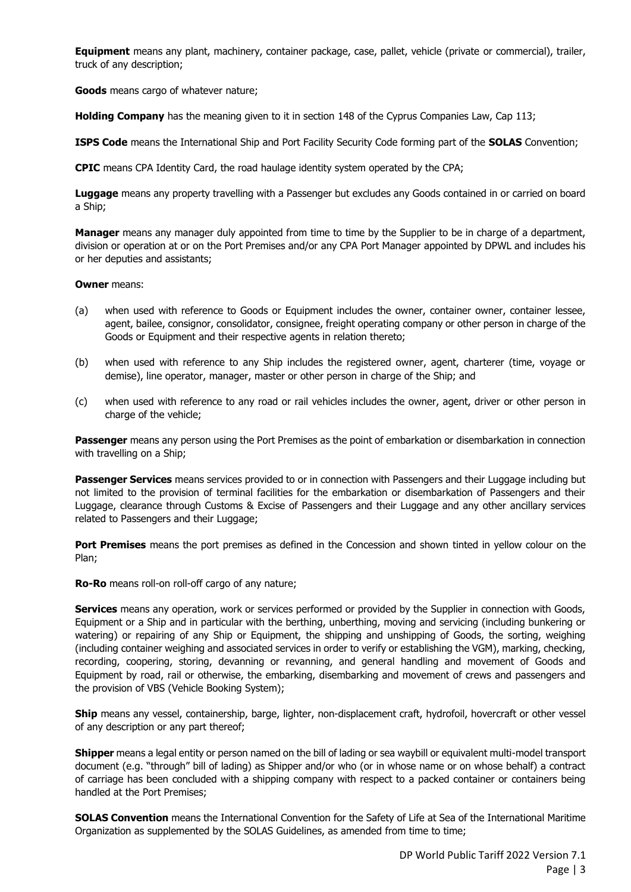**Equipment** means any plant, machinery, container package, case, pallet, vehicle (private or commercial), trailer, truck of any description;

**Goods** means cargo of whatever nature;

**Holding Company** has the meaning given to it in section 148 of the Cyprus Companies Law, Cap 113;

**ISPS Code** means the International Ship and Port Facility Security Code forming part of the **SOLAS** Convention;

**CPIC** means CPA Identity Card, the road haulage identity system operated by the CPA;

**Luggage** means any property travelling with a Passenger but excludes any Goods contained in or carried on board a Ship;

**Manager** means any manager duly appointed from time to time by the Supplier to be in charge of a department, division or operation at or on the Port Premises and/or any CPA Port Manager appointed by DPWL and includes his or her deputies and assistants;

#### **Owner** means:

- (a) when used with reference to Goods or Equipment includes the owner, container owner, container lessee, agent, bailee, consignor, consolidator, consignee, freight operating company or other person in charge of the Goods or Equipment and their respective agents in relation thereto;
- (b) when used with reference to any Ship includes the registered owner, agent, charterer (time, voyage or demise), line operator, manager, master or other person in charge of the Ship; and
- (c) when used with reference to any road or rail vehicles includes the owner, agent, driver or other person in charge of the vehicle;

**Passenger** means any person using the Port Premises as the point of embarkation or disembarkation in connection with travelling on a Ship;

**Passenger Services** means services provided to or in connection with Passengers and their Luggage including but not limited to the provision of terminal facilities for the embarkation or disembarkation of Passengers and their Luggage, clearance through Customs & Excise of Passengers and their Luggage and any other ancillary services related to Passengers and their Luggage;

**Port Premises** means the port premises as defined in the Concession and shown tinted in yellow colour on the Plan;

**Ro-Ro** means roll-on roll-off cargo of any nature;

**Services** means any operation, work or services performed or provided by the Supplier in connection with Goods, Equipment or a Ship and in particular with the berthing, unberthing, moving and servicing (including bunkering or watering) or repairing of any Ship or Equipment, the shipping and unshipping of Goods, the sorting, weighing (including container weighing and associated services in order to verify or establishing the VGM), marking, checking, recording, coopering, storing, devanning or revanning, and general handling and movement of Goods and Equipment by road, rail or otherwise, the embarking, disembarking and movement of crews and passengers and the provision of VBS (Vehicle Booking System);

**Ship** means any vessel, containership, barge, lighter, non-displacement craft, hydrofoil, hovercraft or other vessel of any description or any part thereof;

**Shipper** means a legal entity or person named on the bill of lading or sea waybill or equivalent multi-model transport document (e.g. "through" bill of lading) as Shipper and/or who (or in whose name or on whose behalf) a contract of carriage has been concluded with a shipping company with respect to a packed container or containers being handled at the Port Premises;

**SOLAS Convention** means the International Convention for the Safety of Life at Sea of the International Maritime Organization as supplemented by the SOLAS Guidelines, as amended from time to time;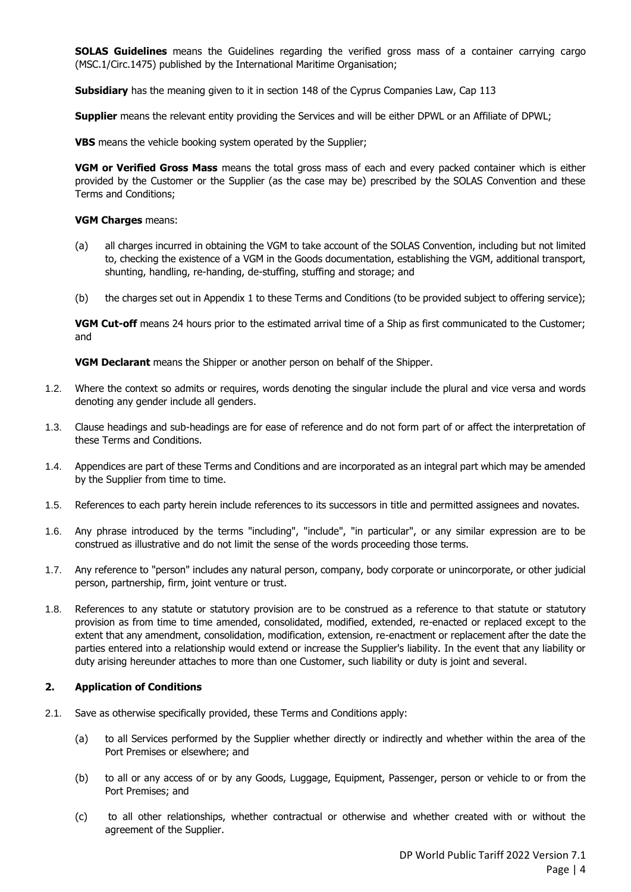**SOLAS Guidelines** means the Guidelines regarding the verified gross mass of a container carrying cargo (MSC.1/Circ.1475) published by the International Maritime Organisation;

**Subsidiary** has the meaning given to it in section 148 of the Cyprus Companies Law, Cap 113

**Supplier** means the relevant entity providing the Services and will be either DPWL or an Affiliate of DPWL;

**VBS** means the vehicle booking system operated by the Supplier;

**VGM or Verified Gross Mass** means the total gross mass of each and every packed container which is either provided by the Customer or the Supplier (as the case may be) prescribed by the SOLAS Convention and these Terms and Conditions;

#### **VGM Charges** means:

- (a) all charges incurred in obtaining the VGM to take account of the SOLAS Convention, including but not limited to, checking the existence of a VGM in the Goods documentation, establishing the VGM, additional transport, shunting, handling, re-handing, de-stuffing, stuffing and storage; and
- (b) the charges set out in Appendix 1 to these Terms and Conditions (to be provided subject to offering service);

**VGM Cut-off** means 24 hours prior to the estimated arrival time of a Ship as first communicated to the Customer; and

**VGM Declarant** means the Shipper or another person on behalf of the Shipper.

- 1.2. Where the context so admits or requires, words denoting the singular include the plural and vice versa and words denoting any gender include all genders.
- 1.3. Clause headings and sub-headings are for ease of reference and do not form part of or affect the interpretation of these Terms and Conditions.
- 1.4. Appendices are part of these Terms and Conditions and are incorporated as an integral part which may be amended by the Supplier from time to time.
- 1.5. References to each party herein include references to its successors in title and permitted assignees and novates.
- 1.6. Any phrase introduced by the terms "including", "include", "in particular", or any similar expression are to be construed as illustrative and do not limit the sense of the words proceeding those terms.
- 1.7. Any reference to "person" includes any natural person, company, body corporate or unincorporate, or other judicial person, partnership, firm, joint venture or trust.
- 1.8. References to any statute or statutory provision are to be construed as a reference to that statute or statutory provision as from time to time amended, consolidated, modified, extended, re-enacted or replaced except to the extent that any amendment, consolidation, modification, extension, re-enactment or replacement after the date the parties entered into a relationship would extend or increase the Supplier's liability. In the event that any liability or duty arising hereunder attaches to more than one Customer, such liability or duty is joint and several.

#### <span id="page-8-0"></span>**2. Application of Conditions**

- 2.1. Save as otherwise specifically provided, these Terms and Conditions apply:
	- (a) to all Services performed by the Supplier whether directly or indirectly and whether within the area of the Port Premises or elsewhere; and
	- (b) to all or any access of or by any Goods, Luggage, Equipment, Passenger, person or vehicle to or from the Port Premises; and
	- (c) to all other relationships, whether contractual or otherwise and whether created with or without the agreement of the Supplier.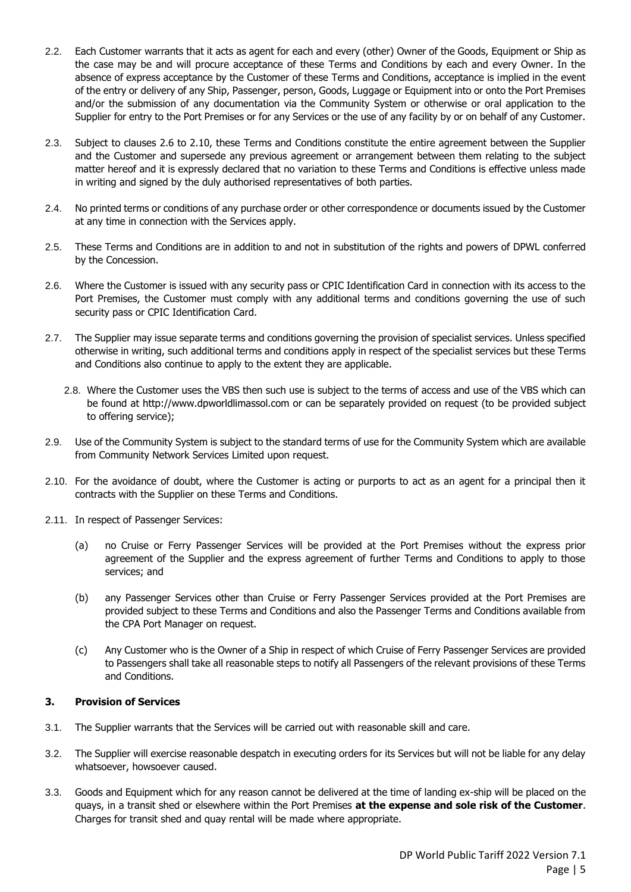- 2.2. Each Customer warrants that it acts as agent for each and every (other) Owner of the Goods, Equipment or Ship as the case may be and will procure acceptance of these Terms and Conditions by each and every Owner. In the absence of express acceptance by the Customer of these Terms and Conditions, acceptance is implied in the event of the entry or delivery of any Ship, Passenger, person, Goods, Luggage or Equipment into or onto the Port Premises and/or the submission of any documentation via the Community System or otherwise or oral application to the Supplier for entry to the Port Premises or for any Services or the use of any facility by or on behalf of any Customer.
- 2.3. Subject to clauses [2.6](#page-9-1) to [2.10,](#page-9-2) these Terms and Conditions constitute the entire agreement between the Supplier and the Customer and supersede any previous agreement or arrangement between them relating to the subject matter hereof and it is expressly declared that no variation to these Terms and Conditions is effective unless made in writing and signed by the duly authorised representatives of both parties.
- 2.4. No printed terms or conditions of any purchase order or other correspondence or documents issued by the Customer at any time in connection with the Services apply.
- 2.5. These Terms and Conditions are in addition to and not in substitution of the rights and powers of DPWL conferred by the Concession.
- <span id="page-9-1"></span>2.6. Where the Customer is issued with any security pass or CPIC Identification Card in connection with its access to the Port Premises, the Customer must comply with any additional terms and conditions governing the use of such security pass or CPIC Identification Card.
- 2.7. The Supplier may issue separate terms and conditions governing the provision of specialist services. Unless specified otherwise in writing, such additional terms and conditions apply in respect of the specialist services but these Terms and Conditions also continue to apply to the extent they are applicable.
	- 2.8. Where the Customer uses the VBS then such use is subject to the terms of access and use of the VBS which can be found at http://www.dpworldlimassol.com or can be separately provided on request (to be provided subject to offering service);
- 2.9. Use of the Community System is subject to the standard terms of use for the Community System which are available from Community Network Services Limited upon request.
- <span id="page-9-2"></span>2.10. For the avoidance of doubt, where the Customer is acting or purports to act as an agent for a principal then it contracts with the Supplier on these Terms and Conditions.
- 2.11. In respect of Passenger Services:
	- (a) no Cruise or Ferry Passenger Services will be provided at the Port Premises without the express prior agreement of the Supplier and the express agreement of further Terms and Conditions to apply to those services; and
	- (b) any Passenger Services other than Cruise or Ferry Passenger Services provided at the Port Premises are provided subject to these Terms and Conditions and also the Passenger Terms and Conditions available from the CPA Port Manager on request.
	- (c) Any Customer who is the Owner of a Ship in respect of which Cruise of Ferry Passenger Services are provided to Passengers shall take all reasonable steps to notify all Passengers of the relevant provisions of these Terms and Conditions.

#### <span id="page-9-0"></span>**3. Provision of Services**

- 3.1. The Supplier warrants that the Services will be carried out with reasonable skill and care.
- 3.2. The Supplier will exercise reasonable despatch in executing orders for its Services but will not be liable for any delay whatsoever, howsoever caused.
- 3.3. Goods and Equipment which for any reason cannot be delivered at the time of landing ex-ship will be placed on the quays, in a transit shed or elsewhere within the Port Premises **at the expense and sole risk of the Customer**. Charges for transit shed and quay rental will be made where appropriate.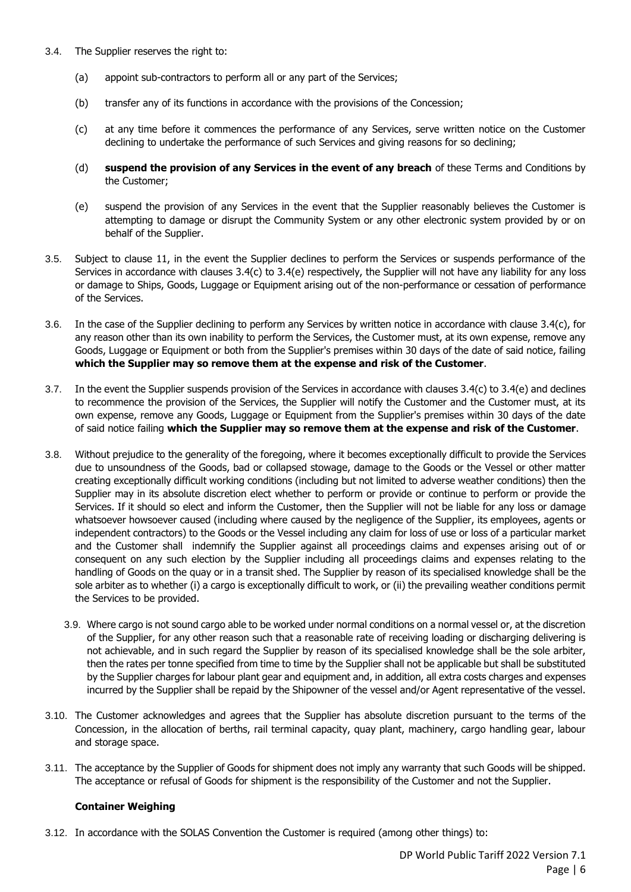- <span id="page-10-0"></span>3.4. The Supplier reserves the right to:
	- (a) appoint sub-contractors to perform all or any part of the Services;
	- (b) transfer any of its functions in accordance with the provisions of the Concession;
	- (c) at any time before it commences the performance of any Services, serve written notice on the Customer declining to undertake the performance of such Services and giving reasons for so declining;
	- (d) **suspend the provision of any Services in the event of any breach** of these Terms and Conditions by the Customer;
	- (e) suspend the provision of any Services in the event that the Supplier reasonably believes the Customer is attempting to damage or disrupt the Community System or any other electronic system provided by or on behalf of the Supplier.
- <span id="page-10-1"></span>3.5. Subject to clause [11,](#page-16-0) in the event the Supplier declines to perform the Services or suspends performance of the Services in accordance with clauses [3.4\(c\)](#page-10-0) to [3.4\(e\)](#page-10-1) respectively, the Supplier will not have any liability for any loss or damage to Ships, Goods, Luggage or Equipment arising out of the non-performance or cessation of performance of the Services.
- 3.6. In the case of the Supplier declining to perform any Services by written notice in accordance with clause [3.4\(c\),](#page-10-0) for any reason other than its own inability to perform the Services, the Customer must, at its own expense, remove any Goods, Luggage or Equipment or both from the Supplier's premises within 30 days of the date of said notice, failing **which the Supplier may so remove them at the expense and risk of the Customer**.
- 3.7. In the event the Supplier suspends provision of the Services in accordance with clause[s 3.4\(c\)](#page-10-0) to [3.4\(e\)](#page-10-1) and declines to recommence the provision of the Services, the Supplier will notify the Customer and the Customer must, at its own expense, remove any Goods, Luggage or Equipment from the Supplier's premises within 30 days of the date of said notice failing **which the Supplier may so remove them at the expense and risk of the Customer**.
- 3.8. Without prejudice to the generality of the foregoing, where it becomes exceptionally difficult to provide the Services due to unsoundness of the Goods, bad or collapsed stowage, damage to the Goods or the Vessel or other matter creating exceptionally difficult working conditions (including but not limited to adverse weather conditions) then the Supplier may in its absolute discretion elect whether to perform or provide or continue to perform or provide the Services. If it should so elect and inform the Customer, then the Supplier will not be liable for any loss or damage whatsoever howsoever caused (including where caused by the negligence of the Supplier, its employees, agents or independent contractors) to the Goods or the Vessel including any claim for loss of use or loss of a particular market and the Customer shall indemnify the Supplier against all proceedings claims and expenses arising out of or consequent on any such election by the Supplier including all proceedings claims and expenses relating to the handling of Goods on the quay or in a transit shed. The Supplier by reason of its specialised knowledge shall be the sole arbiter as to whether (i) a cargo is exceptionally difficult to work, or (ii) the prevailing weather conditions permit the Services to be provided.
	- 3.9. Where cargo is not sound cargo able to be worked under normal conditions on a normal vessel or, at the discretion of the Supplier, for any other reason such that a reasonable rate of receiving loading or discharging delivering is not achievable, and in such regard the Supplier by reason of its specialised knowledge shall be the sole arbiter, then the rates per tonne specified from time to time by the Supplier shall not be applicable but shall be substituted by the Supplier charges for labour plant gear and equipment and, in addition, all extra costs charges and expenses incurred by the Supplier shall be repaid by the Shipowner of the vessel and/or Agent representative of the vessel.
- 3.10. The Customer acknowledges and agrees that the Supplier has absolute discretion pursuant to the terms of the Concession, in the allocation of berths, rail terminal capacity, quay plant, machinery, cargo handling gear, labour and storage space.
- 3.11. The acceptance by the Supplier of Goods for shipment does not imply any warranty that such Goods will be shipped. The acceptance or refusal of Goods for shipment is the responsibility of the Customer and not the Supplier.

#### **Container Weighing**

3.12. In accordance with the SOLAS Convention the Customer is required (among other things) to: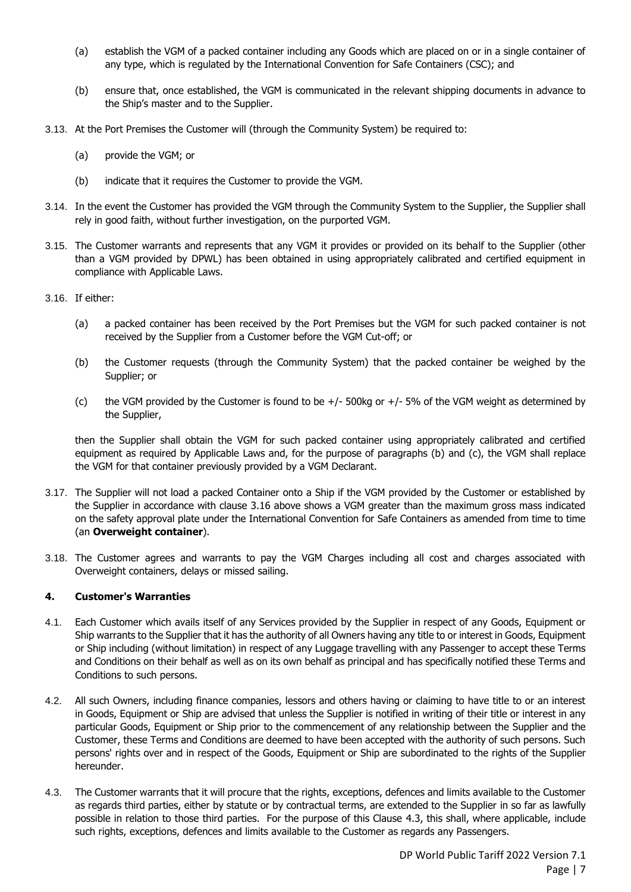- (a) establish the VGM of a packed container including any Goods which are placed on or in a single container of any type, which is regulated by the International Convention for Safe Containers (CSC); and
- (b) ensure that, once established, the VGM is communicated in the relevant shipping documents in advance to the Ship's master and to the Supplier.
- 3.13. At the Port Premises the Customer will (through the Community System) be required to:
	- (a) provide the VGM; or
	- (b) indicate that it requires the Customer to provide the VGM.
- 3.14. In the event the Customer has provided the VGM through the Community System to the Supplier, the Supplier shall rely in good faith, without further investigation, on the purported VGM.
- 3.15. The Customer warrants and represents that any VGM it provides or provided on its behalf to the Supplier (other than a VGM provided by DPWL) has been obtained in using appropriately calibrated and certified equipment in compliance with Applicable Laws.
- <span id="page-11-1"></span>3.16. If either:
	- (a) a packed container has been received by the Port Premises but the VGM for such packed container is not received by the Supplier from a Customer before the VGM Cut-off; or
	- (b) the Customer requests (through the Community System) that the packed container be weighed by the Supplier; or
	- (c) the VGM provided by the Customer is found to be  $+/-$  500kg or  $+/-$  5% of the VGM weight as determined by the Supplier,

then the Supplier shall obtain the VGM for such packed container using appropriately calibrated and certified equipment as required by Applicable Laws and, for the purpose of paragraphs (b) and (c), the VGM shall replace the VGM for that container previously provided by a VGM Declarant.

- 3.17. The Supplier will not load a packed Container onto a Ship if the VGM provided by the Customer or established by the Supplier in accordance with clause [3.16](#page-11-1) above shows a VGM greater than the maximum gross mass indicated on the safety approval plate under the International Convention for Safe Containers as amended from time to time (an **Overweight container**).
- 3.18. The Customer agrees and warrants to pay the VGM Charges including all cost and charges associated with Overweight containers, delays or missed sailing.

#### <span id="page-11-0"></span>**4. Customer's Warranties**

- 4.1. Each Customer which avails itself of any Services provided by the Supplier in respect of any Goods, Equipment or Ship warrants to the Supplier that it has the authority of all Owners having any title to or interest in Goods, Equipment or Ship including (without limitation) in respect of any Luggage travelling with any Passenger to accept these Terms and Conditions on their behalf as well as on its own behalf as principal and has specifically notified these Terms and Conditions to such persons.
- 4.2. All such Owners, including finance companies, lessors and others having or claiming to have title to or an interest in Goods, Equipment or Ship are advised that unless the Supplier is notified in writing of their title or interest in any particular Goods, Equipment or Ship prior to the commencement of any relationship between the Supplier and the Customer, these Terms and Conditions are deemed to have been accepted with the authority of such persons. Such persons' rights over and in respect of the Goods, Equipment or Ship are subordinated to the rights of the Supplier hereunder.
- <span id="page-11-2"></span>4.3. The Customer warrants that it will procure that the rights, exceptions, defences and limits available to the Customer as regards third parties, either by statute or by contractual terms, are extended to the Supplier in so far as lawfully possible in relation to those third parties. For the purpose of this Clause [4.3,](#page-11-2) this shall, where applicable, include such rights, exceptions, defences and limits available to the Customer as regards any Passengers.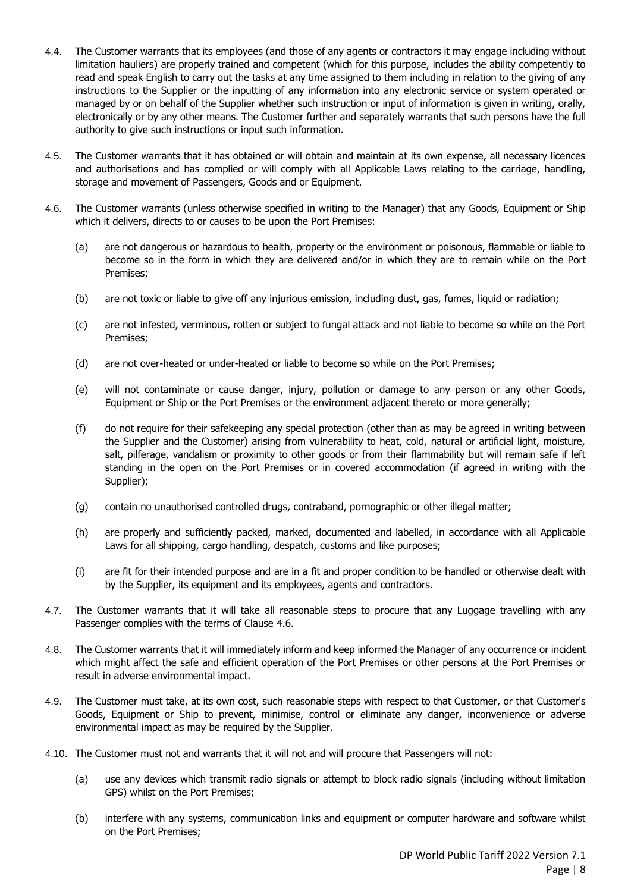- 4.4. The Customer warrants that its employees (and those of any agents or contractors it may engage including without limitation hauliers) are properly trained and competent (which for this purpose, includes the ability competently to read and speak English to carry out the tasks at any time assigned to them including in relation to the giving of any instructions to the Supplier or the inputting of any information into any electronic service or system operated or managed by or on behalf of the Supplier whether such instruction or input of information is given in writing, orally, electronically or by any other means. The Customer further and separately warrants that such persons have the full authority to give such instructions or input such information.
- 4.5. The Customer warrants that it has obtained or will obtain and maintain at its own expense, all necessary licences and authorisations and has complied or will comply with all Applicable Laws relating to the carriage, handling, storage and movement of Passengers, Goods and or Equipment.
- <span id="page-12-0"></span>4.6. The Customer warrants (unless otherwise specified in writing to the Manager) that any Goods, Equipment or Ship which it delivers, directs to or causes to be upon the Port Premises:
	- (a) are not dangerous or hazardous to health, property or the environment or poisonous, flammable or liable to become so in the form in which they are delivered and/or in which they are to remain while on the Port Premises;
	- (b) are not toxic or liable to give off any injurious emission, including dust, gas, fumes, liquid or radiation;
	- (c) are not infested, verminous, rotten or subject to fungal attack and not liable to become so while on the Port Premises;
	- (d) are not over-heated or under-heated or liable to become so while on the Port Premises;
	- (e) will not contaminate or cause danger, injury, pollution or damage to any person or any other Goods, Equipment or Ship or the Port Premises or the environment adjacent thereto or more generally;
	- (f) do not require for their safekeeping any special protection (other than as may be agreed in writing between the Supplier and the Customer) arising from vulnerability to heat, cold, natural or artificial light, moisture, salt, pilferage, vandalism or proximity to other goods or from their flammability but will remain safe if left standing in the open on the Port Premises or in covered accommodation (if agreed in writing with the Supplier);
	- (g) contain no unauthorised controlled drugs, contraband, pornographic or other illegal matter;
	- (h) are properly and sufficiently packed, marked, documented and labelled, in accordance with all Applicable Laws for all shipping, cargo handling, despatch, customs and like purposes;
	- (i) are fit for their intended purpose and are in a fit and proper condition to be handled or otherwise dealt with by the Supplier, its equipment and its employees, agents and contractors.
- 4.7. The Customer warrants that it will take all reasonable steps to procure that any Luggage travelling with any Passenger complies with the terms of Clause [4.6.](#page-12-0)
- 4.8. The Customer warrants that it will immediately inform and keep informed the Manager of any occurrence or incident which might affect the safe and efficient operation of the Port Premises or other persons at the Port Premises or result in adverse environmental impact.
- 4.9. The Customer must take, at its own cost, such reasonable steps with respect to that Customer, or that Customer's Goods, Equipment or Ship to prevent, minimise, control or eliminate any danger, inconvenience or adverse environmental impact as may be required by the Supplier.
- 4.10. The Customer must not and warrants that it will not and will procure that Passengers will not:
	- (a) use any devices which transmit radio signals or attempt to block radio signals (including without limitation GPS) whilst on the Port Premises;
	- (b) interfere with any systems, communication links and equipment or computer hardware and software whilst on the Port Premises;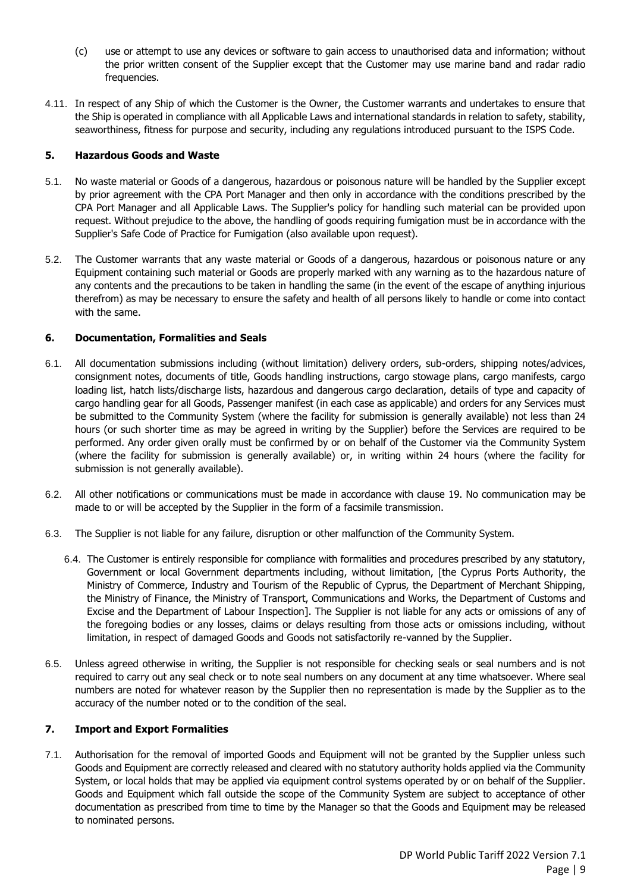- (c) use or attempt to use any devices or software to gain access to unauthorised data and information; without the prior written consent of the Supplier except that the Customer may use marine band and radar radio frequencies.
- 4.11. In respect of any Ship of which the Customer is the Owner, the Customer warrants and undertakes to ensure that the Ship is operated in compliance with all Applicable Laws and international standards in relation to safety, stability, seaworthiness, fitness for purpose and security, including any regulations introduced pursuant to the ISPS Code.

#### <span id="page-13-0"></span>**5. Hazardous Goods and Waste**

- 5.1. No waste material or Goods of a dangerous, hazardous or poisonous nature will be handled by the Supplier except by prior agreement with the CPA Port Manager and then only in accordance with the conditions prescribed by the CPA Port Manager and all Applicable Laws. The Supplier's policy for handling such material can be provided upon request. Without prejudice to the above, the handling of goods requiring fumigation must be in accordance with the Supplier's Safe Code of Practice for Fumigation (also available upon request).
- 5.2. The Customer warrants that any waste material or Goods of a dangerous, hazardous or poisonous nature or any Equipment containing such material or Goods are properly marked with any warning as to the hazardous nature of any contents and the precautions to be taken in handling the same (in the event of the escape of anything injurious therefrom) as may be necessary to ensure the safety and health of all persons likely to handle or come into contact with the same.

#### <span id="page-13-1"></span>**6. Documentation, Formalities and Seals**

- 6.1. All documentation submissions including (without limitation) delivery orders, sub-orders, shipping notes/advices, consignment notes, documents of title, Goods handling instructions, cargo stowage plans, cargo manifests, cargo loading list, hatch lists/discharge lists, hazardous and dangerous cargo declaration, details of type and capacity of cargo handling gear for all Goods, Passenger manifest (in each case as applicable) and orders for any Services must be submitted to the Community System (where the facility for submission is generally available) not less than 24 hours (or such shorter time as may be agreed in writing by the Supplier) before the Services are required to be performed. Any order given orally must be confirmed by or on behalf of the Customer via the Community System (where the facility for submission is generally available) or, in writing within 24 hours (where the facility for submission is not generally available).
- 6.2. All other notifications or communications must be made in accordance with clause [19.](#page-22-2) No communication may be made to or will be accepted by the Supplier in the form of a facsimile transmission.
- 6.3. The Supplier is not liable for any failure, disruption or other malfunction of the Community System.
	- 6.4. The Customer is entirely responsible for compliance with formalities and procedures prescribed by any statutory, Government or local Government departments including, without limitation, [the Cyprus Ports Authority, the Ministry of Commerce, Industry and Tourism of the Republic of Cyprus, the Department of Merchant Shipping, the Ministry of Finance, the Ministry of Transport, Communications and Works, the Department of Customs and Excise and the Department of Labour Inspection]. The Supplier is not liable for any acts or omissions of any of the foregoing bodies or any losses, claims or delays resulting from those acts or omissions including, without limitation, in respect of damaged Goods and Goods not satisfactorily re-vanned by the Supplier.
- 6.5. Unless agreed otherwise in writing, the Supplier is not responsible for checking seals or seal numbers and is not required to carry out any seal check or to note seal numbers on any document at any time whatsoever. Where seal numbers are noted for whatever reason by the Supplier then no representation is made by the Supplier as to the accuracy of the number noted or to the condition of the seal.

#### <span id="page-13-2"></span>**7. Import and Export Formalities**

7.1. Authorisation for the removal of imported Goods and Equipment will not be granted by the Supplier unless such Goods and Equipment are correctly released and cleared with no statutory authority holds applied via the Community System, or local holds that may be applied via equipment control systems operated by or on behalf of the Supplier. Goods and Equipment which fall outside the scope of the Community System are subject to acceptance of other documentation as prescribed from time to time by the Manager so that the Goods and Equipment may be released to nominated persons.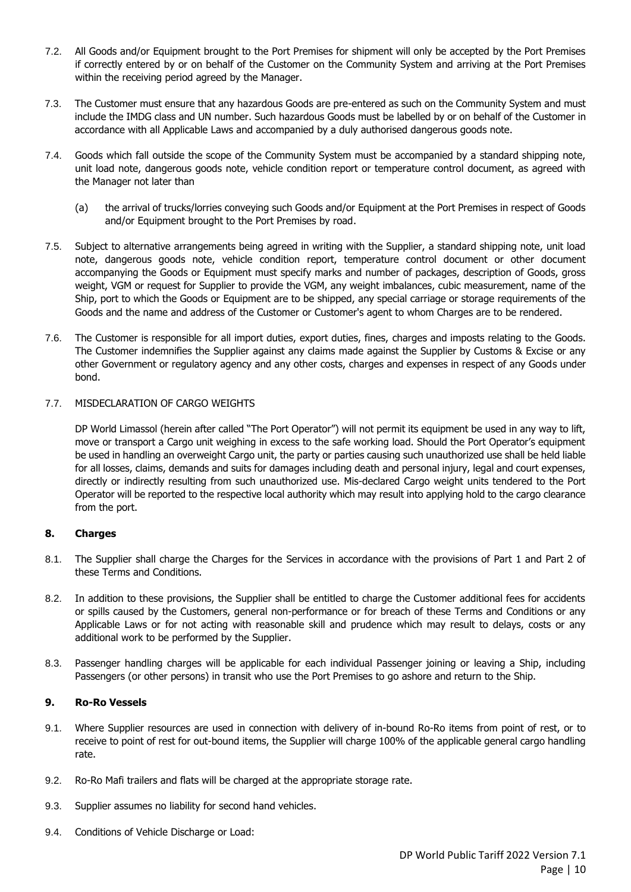- 7.2. All Goods and/or Equipment brought to the Port Premises for shipment will only be accepted by the Port Premises if correctly entered by or on behalf of the Customer on the Community System and arriving at the Port Premises within the receiving period agreed by the Manager.
- 7.3. The Customer must ensure that any hazardous Goods are pre-entered as such on the Community System and must include the IMDG class and UN number. Such hazardous Goods must be labelled by or on behalf of the Customer in accordance with all Applicable Laws and accompanied by a duly authorised dangerous goods note.
- 7.4. Goods which fall outside the scope of the Community System must be accompanied by a standard shipping note, unit load note, dangerous goods note, vehicle condition report or temperature control document, as agreed with the Manager not later than
	- (a) the arrival of trucks/lorries conveying such Goods and/or Equipment at the Port Premises in respect of Goods and/or Equipment brought to the Port Premises by road.
- 7.5. Subject to alternative arrangements being agreed in writing with the Supplier, a standard shipping note, unit load note, dangerous goods note, vehicle condition report, temperature control document or other document accompanying the Goods or Equipment must specify marks and number of packages, description of Goods, gross weight, VGM or request for Supplier to provide the VGM, any weight imbalances, cubic measurement, name of the Ship, port to which the Goods or Equipment are to be shipped, any special carriage or storage requirements of the Goods and the name and address of the Customer or Customer's agent to whom Charges are to be rendered.
- 7.6. The Customer is responsible for all import duties, export duties, fines, charges and imposts relating to the Goods. The Customer indemnifies the Supplier against any claims made against the Supplier by Customs & Excise or any other Government or regulatory agency and any other costs, charges and expenses in respect of any Goods under bond.

#### 7.7. MISDECLARATION OF CARGO WEIGHTS

DP World Limassol (herein after called "The Port Operator") will not permit its equipment be used in any way to lift, move or transport a Cargo unit weighing in excess to the safe working load. Should the Port Operator's equipment be used in handling an overweight Cargo unit, the party or parties causing such unauthorized use shall be held liable for all losses, claims, demands and suits for damages including death and personal injury, legal and court expenses, directly or indirectly resulting from such unauthorized use. Mis-declared Cargo weight units tendered to the Port Operator will be reported to the respective local authority which may result into applying hold to the cargo clearance from the port.

#### <span id="page-14-0"></span>**8. Charges**

- 8.1. The Supplier shall charge the Charges for the Services in accordance with the provisions of Part 1 and Part 2 of these Terms and Conditions.
- 8.2. In addition to these provisions, the Supplier shall be entitled to charge the Customer additional fees for accidents or spills caused by the Customers, general non-performance or for breach of these Terms and Conditions or any Applicable Laws or for not acting with reasonable skill and prudence which may result to delays, costs or any additional work to be performed by the Supplier.
- 8.3. Passenger handling charges will be applicable for each individual Passenger joining or leaving a Ship, including Passengers (or other persons) in transit who use the Port Premises to go ashore and return to the Ship.

#### <span id="page-14-1"></span>**9. Ro-Ro Vessels**

- 9.1. Where Supplier resources are used in connection with delivery of in-bound Ro-Ro items from point of rest, or to receive to point of rest for out-bound items, the Supplier will charge 100% of the applicable general cargo handling rate.
- 9.2. Ro-Ro Mafi trailers and flats will be charged at the appropriate storage rate.
- 9.3. Supplier assumes no liability for second hand vehicles.
- 9.4. Conditions of Vehicle Discharge or Load: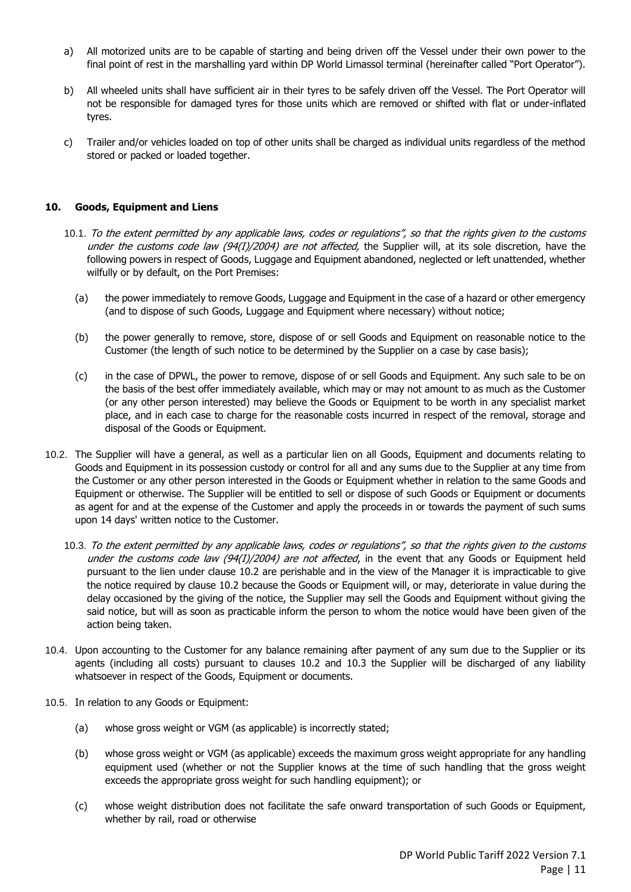- a) All motorized units are to be capable of starting and being driven off the Vessel under their own power to the final point of rest in the marshalling yard within DP World Limassol terminal (hereinafter called "Port Operator").
- b) All wheeled units shall have sufficient air in their tyres to be safely driven off the Vessel. The Port Operator will not be responsible for damaged tyres for those units which are removed or shifted with flat or under-inflated tyres.
- c) Trailer and/or vehicles loaded on top of other units shall be charged as individual units regardless of the method stored or packed or loaded together.

#### <span id="page-15-0"></span>**10. Goods, Equipment and Liens**

- 10.1. To the extent permitted by any applicable laws, codes or regulations", so that the rights given to the customs under the customs code law (94(I)/2004) are not affected, the Supplier will, at its sole discretion, have the following powers in respect of Goods, Luggage and Equipment abandoned, neglected or left unattended, whether wilfully or by default, on the Port Premises:
	- (a) the power immediately to remove Goods, Luggage and Equipment in the case of a hazard or other emergency (and to dispose of such Goods, Luggage and Equipment where necessary) without notice;
	- (b) the power generally to remove, store, dispose of or sell Goods and Equipment on reasonable notice to the Customer (the length of such notice to be determined by the Supplier on a case by case basis);
	- (c) in the case of DPWL, the power to remove, dispose of or sell Goods and Equipment. Any such sale to be on the basis of the best offer immediately available, which may or may not amount to as much as the Customer (or any other person interested) may believe the Goods or Equipment to be worth in any specialist market place, and in each case to charge for the reasonable costs incurred in respect of the removal, storage and disposal of the Goods or Equipment.
- <span id="page-15-2"></span><span id="page-15-1"></span>10.2. The Supplier will have a general, as well as a particular lien on all Goods, Equipment and documents relating to Goods and Equipment in its possession custody or control for all and any sums due to the Supplier at any time from the Customer or any other person interested in the Goods or Equipment whether in relation to the same Goods and Equipment or otherwise. The Supplier will be entitled to sell or dispose of such Goods or Equipment or documents as agent for and at the expense of the Customer and apply the proceeds in or towards the payment of such sums upon 14 days' written notice to the Customer.
	- 10.3. To the extent permitted by any applicable laws, codes or regulations", so that the rights given to the customs under the customs code law  $(94(1)/2004)$  are not affected, in the event that any Goods or Equipment held pursuant to the lien under clause [10.2](#page-15-1) are perishable and in the view of the Manager it is impracticable to give the notice required by clause [10.2](#page-15-1) because the Goods or Equipment will, or may, deteriorate in value during the delay occasioned by the giving of the notice, the Supplier may sell the Goods and Equipment without giving the said notice, but will as soon as practicable inform the person to whom the notice would have been given of the action being taken.
- 10.4. Upon accounting to the Customer for any balance remaining after payment of any sum due to the Supplier or its agents (including all costs) pursuant to clauses [10.2](#page-15-1) and [10.3](#page-15-2) the Supplier will be discharged of any liability whatsoever in respect of the Goods, Equipment or documents.
- <span id="page-15-3"></span>10.5. In relation to any Goods or Equipment:
	- (a) whose gross weight or VGM (as applicable) is incorrectly stated;
	- (b) whose gross weight or VGM (as applicable) exceeds the maximum gross weight appropriate for any handling equipment used (whether or not the Supplier knows at the time of such handling that the gross weight exceeds the appropriate gross weight for such handling equipment); or
	- (c) whose weight distribution does not facilitate the safe onward transportation of such Goods or Equipment, whether by rail, road or otherwise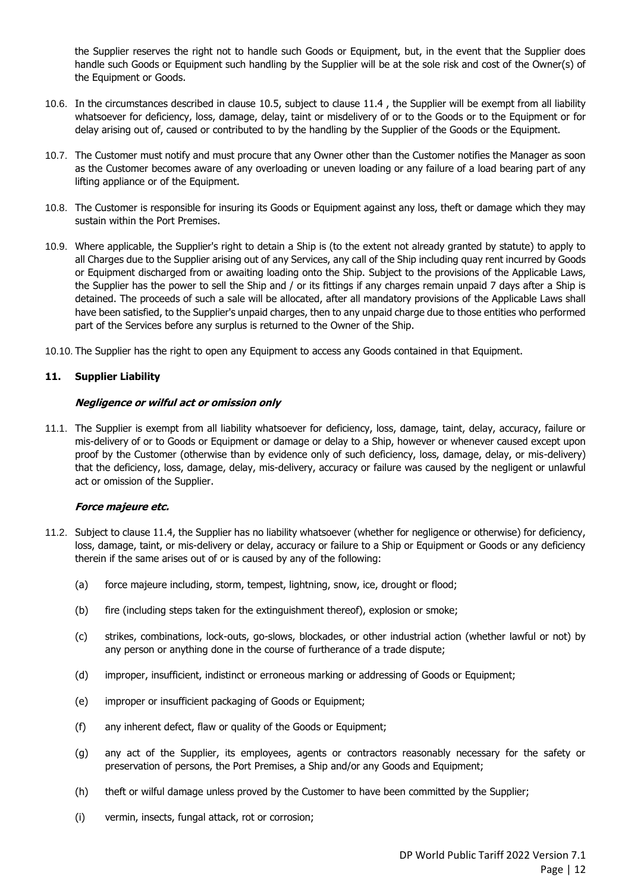the Supplier reserves the right not to handle such Goods or Equipment, but, in the event that the Supplier does handle such Goods or Equipment such handling by the Supplier will be at the sole risk and cost of the Owner(s) of the Equipment or Goods.

- 10.6. In the circumstances described in clause [10.5,](#page-15-3) subject to clause [11.4](#page-17-0) , the Supplier will be exempt from all liability whatsoever for deficiency, loss, damage, delay, taint or misdelivery of or to the Goods or to the Equipment or for delay arising out of, caused or contributed to by the handling by the Supplier of the Goods or the Equipment.
- 10.7. The Customer must notify and must procure that any Owner other than the Customer notifies the Manager as soon as the Customer becomes aware of any overloading or uneven loading or any failure of a load bearing part of any lifting appliance or of the Equipment.
- 10.8. The Customer is responsible for insuring its Goods or Equipment against any loss, theft or damage which they may sustain within the Port Premises.
- 10.9. Where applicable, the Supplier's right to detain a Ship is (to the extent not already granted by statute) to apply to all Charges due to the Supplier arising out of any Services, any call of the Ship including quay rent incurred by Goods or Equipment discharged from or awaiting loading onto the Ship. Subject to the provisions of the Applicable Laws, the Supplier has the power to sell the Ship and / or its fittings if any charges remain unpaid 7 days after a Ship is detained. The proceeds of such a sale will be allocated, after all mandatory provisions of the Applicable Laws shall have been satisfied, to the Supplier's unpaid charges, then to any unpaid charge due to those entities who performed part of the Services before any surplus is returned to the Owner of the Ship.
- 10.10. The Supplier has the right to open any Equipment to access any Goods contained in that Equipment.

#### <span id="page-16-0"></span>**11. Supplier Liability**

#### **Negligence or wilful act or omission only**

11.1. The Supplier is exempt from all liability whatsoever for deficiency, loss, damage, taint, delay, accuracy, failure or mis-delivery of or to Goods or Equipment or damage or delay to a Ship, however or whenever caused except upon proof by the Customer (otherwise than by evidence only of such deficiency, loss, damage, delay, or mis-delivery) that the deficiency, loss, damage, delay, mis-delivery, accuracy or failure was caused by the negligent or unlawful act or omission of the Supplier.

#### **Force majeure etc.**

- 11.2. Subject to clause [11.4,](#page-17-0) the Supplier has no liability whatsoever (whether for negligence or otherwise) for deficiency, loss, damage, taint, or mis-delivery or delay, accuracy or failure to a Ship or Equipment or Goods or any deficiency therein if the same arises out of or is caused by any of the following:
	- (a) force majeure including, storm, tempest, lightning, snow, ice, drought or flood;
	- (b) fire (including steps taken for the extinguishment thereof), explosion or smoke;
	- (c) strikes, combinations, lock-outs, go-slows, blockades, or other industrial action (whether lawful or not) by any person or anything done in the course of furtherance of a trade dispute;
	- (d) improper, insufficient, indistinct or erroneous marking or addressing of Goods or Equipment;
	- (e) improper or insufficient packaging of Goods or Equipment;
	- (f) any inherent defect, flaw or quality of the Goods or Equipment;
	- (g) any act of the Supplier, its employees, agents or contractors reasonably necessary for the safety or preservation of persons, the Port Premises, a Ship and/or any Goods and Equipment;
	- (h) theft or wilful damage unless proved by the Customer to have been committed by the Supplier;
	- (i) vermin, insects, fungal attack, rot or corrosion;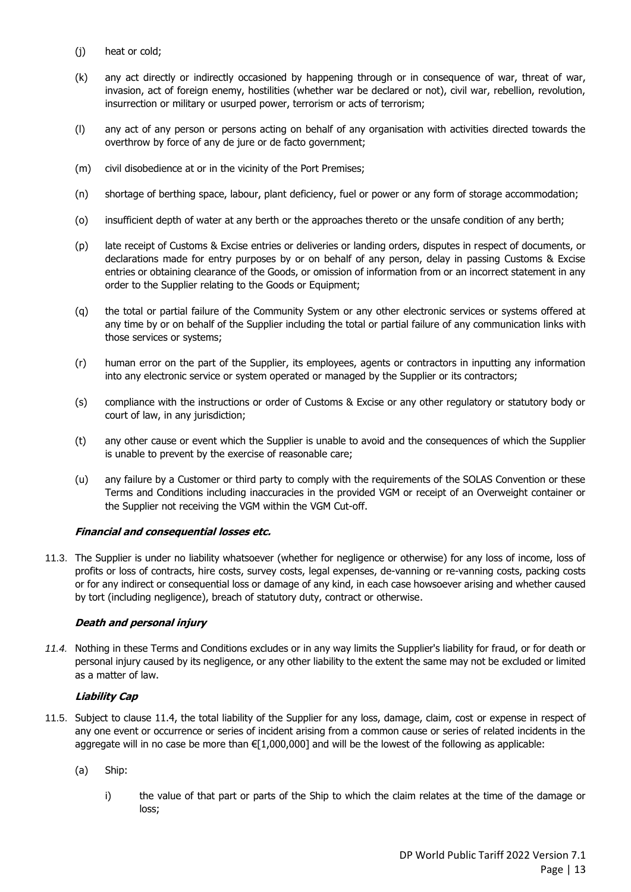- (j) heat or cold;
- (k) any act directly or indirectly occasioned by happening through or in consequence of war, threat of war, invasion, act of foreign enemy, hostilities (whether war be declared or not), civil war, rebellion, revolution, insurrection or military or usurped power, terrorism or acts of terrorism;
- (l) any act of any person or persons acting on behalf of any organisation with activities directed towards the overthrow by force of any de jure or de facto government;
- (m) civil disobedience at or in the vicinity of the Port Premises;
- (n) shortage of berthing space, labour, plant deficiency, fuel or power or any form of storage accommodation;
- (o) insufficient depth of water at any berth or the approaches thereto or the unsafe condition of any berth;
- (p) late receipt of Customs & Excise entries or deliveries or landing orders, disputes in respect of documents, or declarations made for entry purposes by or on behalf of any person, delay in passing Customs & Excise entries or obtaining clearance of the Goods, or omission of information from or an incorrect statement in any order to the Supplier relating to the Goods or Equipment;
- (q) the total or partial failure of the Community System or any other electronic services or systems offered at any time by or on behalf of the Supplier including the total or partial failure of any communication links with those services or systems;
- (r) human error on the part of the Supplier, its employees, agents or contractors in inputting any information into any electronic service or system operated or managed by the Supplier or its contractors;
- (s) compliance with the instructions or order of Customs & Excise or any other regulatory or statutory body or court of law, in any jurisdiction;
- (t) any other cause or event which the Supplier is unable to avoid and the consequences of which the Supplier is unable to prevent by the exercise of reasonable care;
- (u) any failure by a Customer or third party to comply with the requirements of the SOLAS Convention or these Terms and Conditions including inaccuracies in the provided VGM or receipt of an Overweight container or the Supplier not receiving the VGM within the VGM Cut-off.

#### **Financial and consequential losses etc.**

11.3. The Supplier is under no liability whatsoever (whether for negligence or otherwise) for any loss of income, loss of profits or loss of contracts, hire costs, survey costs, legal expenses, de-vanning or re-vanning costs, packing costs or for any indirect or consequential loss or damage of any kind, in each case howsoever arising and whether caused by tort (including negligence), breach of statutory duty, contract or otherwise.

#### **Death and personal injury**

<span id="page-17-0"></span>*11.4.* Nothing in these Terms and Conditions excludes or in any way limits the Supplier's liability for fraud, or for death or personal injury caused by its negligence, or any other liability to the extent the same may not be excluded or limited as a matter of law.

#### **Liability Cap**

- <span id="page-17-1"></span>11.5. Subject to clause [11.4,](#page-17-0) the total liability of the Supplier for any loss, damage, claim, cost or expense in respect of any one event or occurrence or series of incident arising from a common cause or series of related incidents in the aggregate will in no case be more than €[1,000,000] and will be the lowest of the following as applicable:
	- (a) Ship:
		- i) the value of that part or parts of the Ship to which the claim relates at the time of the damage or loss;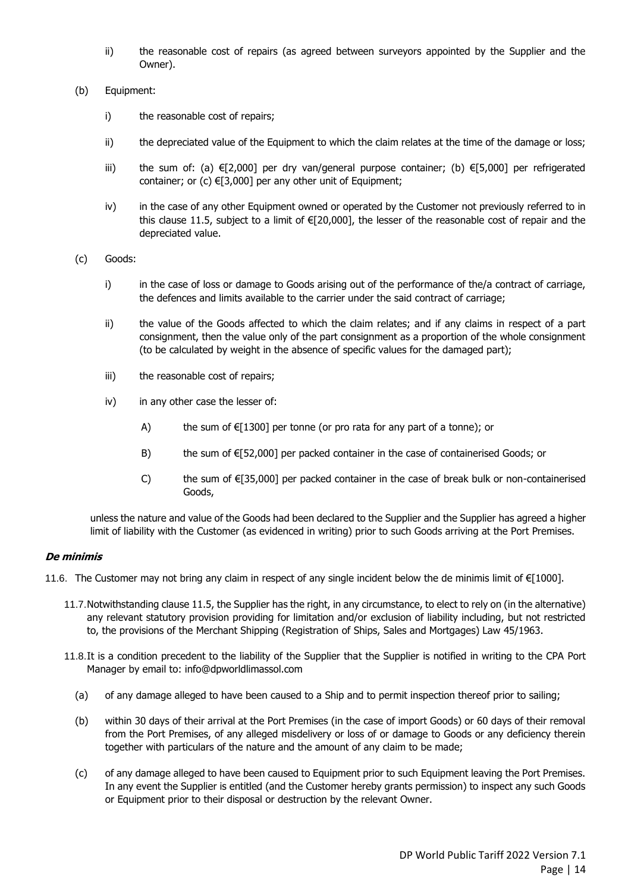- ii) the reasonable cost of repairs (as agreed between surveyors appointed by the Supplier and the Owner).
- (b) Equipment:
	- i) the reasonable cost of repairs;
	- ii) the depreciated value of the Equipment to which the claim relates at the time of the damage or loss;
	- iii) the sum of: (a) €[2,000] per dry van/general purpose container; (b) €[5,000] per refrigerated container; or  $(c) \in [3,000]$  per any other unit of Equipment;
	- iv) in the case of any other Equipment owned or operated by the Customer not previously referred to in this clause [11.5](#page-17-1), subject to a limit of  $E$ [20,000], the lesser of the reasonable cost of repair and the depreciated value.
- (c) Goods:
	- i) in the case of loss or damage to Goods arising out of the performance of the/a contract of carriage, the defences and limits available to the carrier under the said contract of carriage;
	- ii) the value of the Goods affected to which the claim relates; and if any claims in respect of a part consignment, then the value only of the part consignment as a proportion of the whole consignment (to be calculated by weight in the absence of specific values for the damaged part);
	- iii) the reasonable cost of repairs;
	- iv) in any other case the lesser of:
		- A) the sum of  $E[1300]$  per tonne (or pro rata for any part of a tonne); or
		- B) the sum of  $E[52,000]$  per packed container in the case of containerised Goods; or
		- C) the sum of  $\epsilon$ [35,000] per packed container in the case of break bulk or non-containerised Goods,

unless the nature and value of the Goods had been declared to the Supplier and the Supplier has agreed a higher limit of liability with the Customer (as evidenced in writing) prior to such Goods arriving at the Port Premises.

#### **De minimis**

- <span id="page-18-0"></span>11.6. The Customer may not bring any claim in respect of any single incident below the de minimis limit of €[1000].
	- 11.7.Notwithstanding clause [11.5,](#page-17-1) the Supplier has the right, in any circumstance, to elect to rely on (in the alternative) any relevant statutory provision providing for limitation and/or exclusion of liability including, but not restricted to, the provisions of the Merchant Shipping (Registration of Ships, Sales and Mortgages) Law 45/1963.
	- 11.8.It is a condition precedent to the liability of the Supplier that the Supplier is notified in writing to the CPA Port Manager by email to: info@dpworldlimassol.com
		- (a) of any damage alleged to have been caused to a Ship and to permit inspection thereof prior to sailing;
		- (b) within 30 days of their arrival at the Port Premises (in the case of import Goods) or 60 days of their removal from the Port Premises, of any alleged misdelivery or loss of or damage to Goods or any deficiency therein together with particulars of the nature and the amount of any claim to be made;
		- (c) of any damage alleged to have been caused to Equipment prior to such Equipment leaving the Port Premises. In any event the Supplier is entitled (and the Customer hereby grants permission) to inspect any such Goods or Equipment prior to their disposal or destruction by the relevant Owner.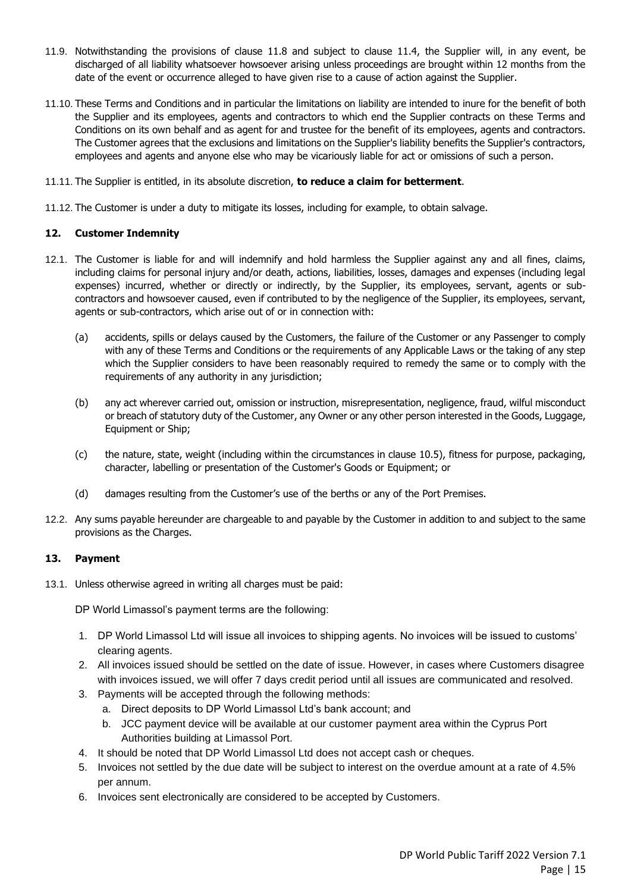- 11.9. Notwithstanding the provisions of clause [11.8](#page-18-0) and subject to clause [11.4,](#page-17-0) the Supplier will, in any event, be discharged of all liability whatsoever howsoever arising unless proceedings are brought within 12 months from the date of the event or occurrence alleged to have given rise to a cause of action against the Supplier.
- 11.10. These Terms and Conditions and in particular the limitations on liability are intended to inure for the benefit of both the Supplier and its employees, agents and contractors to which end the Supplier contracts on these Terms and Conditions on its own behalf and as agent for and trustee for the benefit of its employees, agents and contractors. The Customer agrees that the exclusions and limitations on the Supplier's liability benefits the Supplier's contractors, employees and agents and anyone else who may be vicariously liable for act or omissions of such a person.
- 11.11. The Supplier is entitled, in its absolute discretion, **to reduce a claim for betterment**.
- 11.12. The Customer is under a duty to mitigate its losses, including for example, to obtain salvage.

#### <span id="page-19-0"></span>**12. Customer Indemnity**

- 12.1. The Customer is liable for and will indemnify and hold harmless the Supplier against any and all fines, claims, including claims for personal injury and/or death, actions, liabilities, losses, damages and expenses (including legal expenses) incurred, whether or directly or indirectly, by the Supplier, its employees, servant, agents or subcontractors and howsoever caused, even if contributed to by the negligence of the Supplier, its employees, servant, agents or sub-contractors, which arise out of or in connection with:
	- (a) accidents, spills or delays caused by the Customers, the failure of the Customer or any Passenger to comply with any of these Terms and Conditions or the requirements of any Applicable Laws or the taking of any step which the Supplier considers to have been reasonably required to remedy the same or to comply with the requirements of any authority in any jurisdiction;
	- (b) any act wherever carried out, omission or instruction, misrepresentation, negligence, fraud, wilful misconduct or breach of statutory duty of the Customer, any Owner or any other person interested in the Goods, Luggage, Equipment or Ship;
	- (c) the nature, state, weight (including within the circumstances in clause [10.5\)](#page-15-3), fitness for purpose, packaging, character, labelling or presentation of the Customer's Goods or Equipment; or
	- (d) damages resulting from the Customer's use of the berths or any of the Port Premises.
- 12.2. Any sums payable hereunder are chargeable to and payable by the Customer in addition to and subject to the same provisions as the Charges.

#### <span id="page-19-1"></span>**13. Payment**

<span id="page-19-2"></span>13.1. Unless otherwise agreed in writing all charges must be paid:

DP World Limassol's payment terms are the following:

- 1. DP World Limassol Ltd will issue all invoices to shipping agents. No invoices will be issued to customs' clearing agents.
- 2. All invoices issued should be settled on the date of issue. However, in cases where Customers disagree with invoices issued, we will offer 7 days credit period until all issues are communicated and resolved.
- 3. Payments will be accepted through the following methods:
	- a. Direct deposits to DP World Limassol Ltd's bank account; and
	- b. JCC payment device will be available at our customer payment area within the Cyprus Port Authorities building at Limassol Port.
- 4. It should be noted that DP World Limassol Ltd does not accept cash or cheques.
- 5. Invoices not settled by the due date will be subject to interest on the overdue amount at a rate of 4.5% per annum.
- 6. Invoices sent electronically are considered to be accepted by Customers.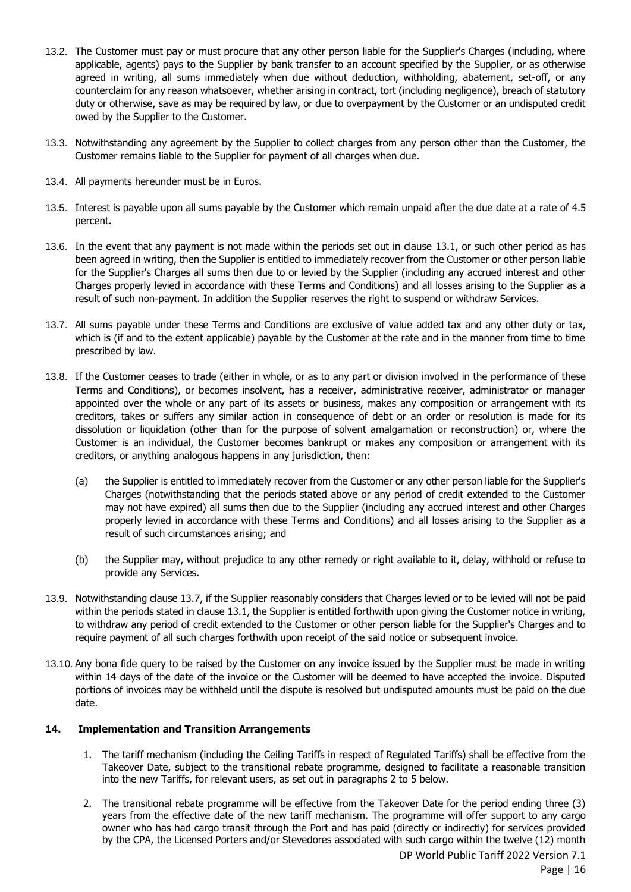- 13.2. The Customer must pay or must procure that any other person liable for the Supplier's Charges (including, where applicable, agents) pays to the Supplier by bank transfer to an account specified by the Supplier, or as otherwise agreed in writing, all sums immediately when due without deduction, withholding, abatement, set-off, or any counterclaim for any reason whatsoever, whether arising in contract, tort (including negligence), breach of statutory duty or otherwise, save as may be required by law, or due to overpayment by the Customer or an undisputed credit owed by the Supplier to the Customer.
- 13.3. Notwithstanding any agreement by the Supplier to collect charges from any person other than the Customer, the Customer remains liable to the Supplier for payment of all charges when due.
- 13.4. All payments hereunder must be in Euros.
- 13.5. Interest is payable upon all sums payable by the Customer which remain unpaid after the due date at a rate of 4.5 percent.
- 13.6. In the event that any payment is not made within the periods set out in clause [13.1,](#page-19-2) or such other period as has been agreed in writing, then the Supplier is entitled to immediately recover from the Customer or other person liable for the Supplier's Charges all sums then due to or levied by the Supplier (including any accrued interest and other Charges properly levied in accordance with these Terms and Conditions) and all losses arising to the Supplier as a result of such non-payment. In addition the Supplier reserves the right to suspend or withdraw Services.
- <span id="page-20-1"></span>13.7. All sums payable under these Terms and Conditions are exclusive of value added tax and any other duty or tax, which is (if and to the extent applicable) payable by the Customer at the rate and in the manner from time to time prescribed by law.
- 13.8. If the Customer ceases to trade (either in whole, or as to any part or division involved in the performance of these Terms and Conditions), or becomes insolvent, has a receiver, administrative receiver, administrator or manager appointed over the whole or any part of its assets or business, makes any composition or arrangement with its creditors, takes or suffers any similar action in consequence of debt or an order or resolution is made for its dissolution or liquidation (other than for the purpose of solvent amalgamation or reconstruction) or, where the Customer is an individual, the Customer becomes bankrupt or makes any composition or arrangement with its creditors, or anything analogous happens in any jurisdiction, then:
	- (a) the Supplier is entitled to immediately recover from the Customer or any other person liable for the Supplier's Charges (notwithstanding that the periods stated above or any period of credit extended to the Customer may not have expired) all sums then due to the Supplier (including any accrued interest and other Charges properly levied in accordance with these Terms and Conditions) and all losses arising to the Supplier as a result of such circumstances arising; and
	- (b) the Supplier may, without prejudice to any other remedy or right available to it, delay, withhold or refuse to provide any Services.
- 13.9. Notwithstanding clause [13.7,](#page-20-1) if the Supplier reasonably considers that Charges levied or to be levied will not be paid within the periods stated in claus[e 13.1,](#page-19-2) the Supplier is entitled forthwith upon giving the Customer notice in writing, to withdraw any period of credit extended to the Customer or other person liable for the Supplier's Charges and to require payment of all such charges forthwith upon receipt of the said notice or subsequent invoice.
- 13.10. Any bona fide query to be raised by the Customer on any invoice issued by the Supplier must be made in writing within 14 days of the date of the invoice or the Customer will be deemed to have accepted the invoice. Disputed portions of invoices may be withheld until the dispute is resolved but undisputed amounts must be paid on the due date.

#### **14. Implementation and Transition Arrangements**

- <span id="page-20-0"></span>1. The tariff mechanism (including the Ceiling Tariffs in respect of Regulated Tariffs) shall be effective from the Takeover Date, subject to the transitional rebate programme, designed to facilitate a reasonable transition into the new Tariffs, for relevant users, as set out in paragraphs 2 to 5 below.
- 2. The transitional rebate programme will be effective from the Takeover Date for the period ending three (3) years from the effective date of the new tariff mechanism. The programme will offer support to any cargo owner who has had cargo transit through the Port and has paid (directly or indirectly) for services provided by the CPA, the Licensed Porters and/or Stevedores associated with such cargo within the twelve (12) month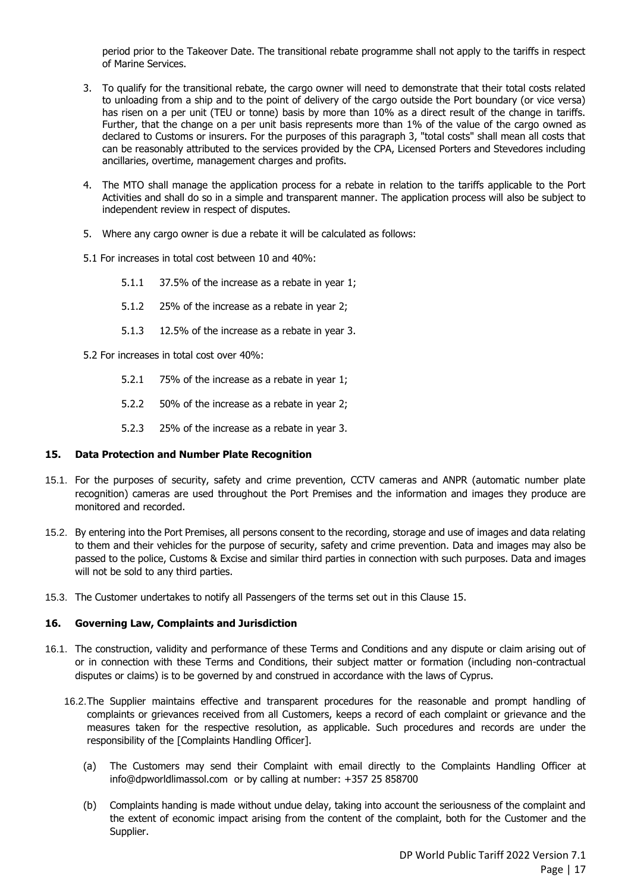period prior to the Takeover Date. The transitional rebate programme shall not apply to the tariffs in respect of Marine Services.

- 3. To qualify for the transitional rebate, the cargo owner will need to demonstrate that their total costs related to unloading from a ship and to the point of delivery of the cargo outside the Port boundary (or vice versa) has risen on a per unit (TEU or tonne) basis by more than 10% as a direct result of the change in tariffs. Further, that the change on a per unit basis represents more than 1% of the value of the cargo owned as declared to Customs or insurers. For the purposes of this paragraph 3, "total costs" shall mean all costs that can be reasonably attributed to the services provided by the CPA, Licensed Porters and Stevedores including ancillaries, overtime, management charges and profits.
- 4. The MTO shall manage the application process for a rebate in relation to the tariffs applicable to the Port Activities and shall do so in a simple and transparent manner. The application process will also be subject to independent review in respect of disputes.
- 5. Where any cargo owner is due a rebate it will be calculated as follows:
- 5.1 For increases in total cost between 10 and 40%:
	- 5.1.1 37.5% of the increase as a rebate in year 1;
	- 5.1.2 25% of the increase as a rebate in year 2;
	- 5.1.3 12.5% of the increase as a rebate in year 3.
- 5.2 For increases in total cost over 40%:
	- 5.2.1 75% of the increase as a rebate in year 1;
	- 5.2.2 50% of the increase as a rebate in year 2;
	- 5.2.3 25% of the increase as a rebate in year 3.

#### <span id="page-21-0"></span>**15. Data Protection and Number Plate Recognition**

- 15.1. For the purposes of security, safety and crime prevention, CCTV cameras and ANPR (automatic number plate recognition) cameras are used throughout the Port Premises and the information and images they produce are monitored and recorded.
- 15.2. By entering into the Port Premises, all persons consent to the recording, storage and use of images and data relating to them and their vehicles for the purpose of security, safety and crime prevention. Data and images may also be passed to the police, Customs & Excise and similar third parties in connection with such purposes. Data and images will not be sold to any third parties.
- 15.3. The Customer undertakes to notify all Passengers of the terms set out in this Clause [15.](#page-21-0)

#### <span id="page-21-1"></span>**16. Governing Law, Complaints and Jurisdiction**

- 16.1. The construction, validity and performance of these Terms and Conditions and any dispute or claim arising out of or in connection with these Terms and Conditions, their subject matter or formation (including non-contractual disputes or claims) is to be governed by and construed in accordance with the laws of Cyprus.
	- 16.2.The Supplier maintains effective and transparent procedures for the reasonable and prompt handling of complaints or grievances received from all Customers, keeps a record of each complaint or grievance and the measures taken for the respective resolution, as applicable. Such procedures and records are under the responsibility of the [Complaints Handling Officer].
		- (a) The Customers may send their Complaint with email directly to the Complaints Handling Officer at info@dpworldlimassol.com or by calling at number: +357 25 858700
		- (b) Complaints handing is made without undue delay, taking into account the seriousness of the complaint and the extent of economic impact arising from the content of the complaint, both for the Customer and the Supplier.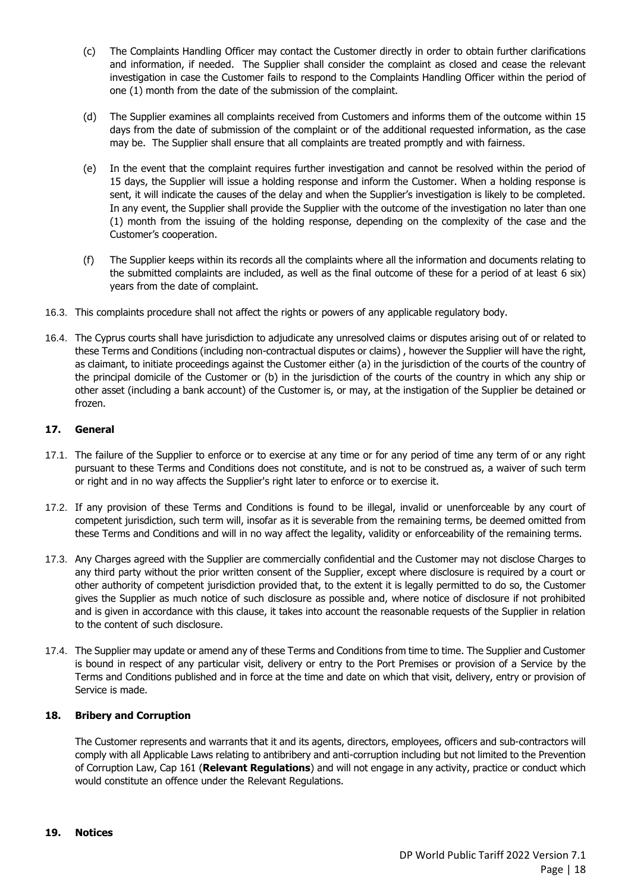- (c) The Complaints Handling Officer may contact the Customer directly in order to obtain further clarifications and information, if needed. The Supplier shall consider the complaint as closed and cease the relevant investigation in case the Customer fails to respond to the Complaints Handling Officer within the period of one (1) month from the date of the submission of the complaint.
- (d) The Supplier examines all complaints received from Customers and informs them of the outcome within 15 days from the date of submission of the complaint or of the additional requested information, as the case may be. The Supplier shall ensure that all complaints are treated promptly and with fairness.
- (e) In the event that the complaint requires further investigation and cannot be resolved within the period of 15 days, the Supplier will issue a holding response and inform the Customer. When a holding response is sent, it will indicate the causes of the delay and when the Supplier's investigation is likely to be completed. In any event, the Supplier shall provide the Supplier with the outcome of the investigation no later than one (1) month from the issuing of the holding response, depending on the complexity of the case and the Customer's cooperation.
- (f) The Supplier keeps within its records all the complaints where all the information and documents relating to the submitted complaints are included, as well as the final outcome of these for a period of at least 6 six) years from the date of complaint.
- 16.3. This complaints procedure shall not affect the rights or powers of any applicable regulatory body.
- 16.4. The Cyprus courts shall have jurisdiction to adjudicate any unresolved claims or disputes arising out of or related to these Terms and Conditions (including non-contractual disputes or claims) , however the Supplier will have the right, as claimant, to initiate proceedings against the Customer either (a) in the jurisdiction of the courts of the country of the principal domicile of the Customer or (b) in the jurisdiction of the courts of the country in which any ship or other asset (including a bank account) of the Customer is, or may, at the instigation of the Supplier be detained or frozen.

#### <span id="page-22-0"></span>**17. General**

- 17.1. The failure of the Supplier to enforce or to exercise at any time or for any period of time any term of or any right pursuant to these Terms and Conditions does not constitute, and is not to be construed as, a waiver of such term or right and in no way affects the Supplier's right later to enforce or to exercise it.
- 17.2. If any provision of these Terms and Conditions is found to be illegal, invalid or unenforceable by any court of competent jurisdiction, such term will, insofar as it is severable from the remaining terms, be deemed omitted from these Terms and Conditions and will in no way affect the legality, validity or enforceability of the remaining terms.
- 17.3. Any Charges agreed with the Supplier are commercially confidential and the Customer may not disclose Charges to any third party without the prior written consent of the Supplier, except where disclosure is required by a court or other authority of competent jurisdiction provided that, to the extent it is legally permitted to do so, the Customer gives the Supplier as much notice of such disclosure as possible and, where notice of disclosure if not prohibited and is given in accordance with this clause, it takes into account the reasonable requests of the Supplier in relation to the content of such disclosure.
- 17.4. The Supplier may update or amend any of these Terms and Conditions from time to time. The Supplier and Customer is bound in respect of any particular visit, delivery or entry to the Port Premises or provision of a Service by the Terms and Conditions published and in force at the time and date on which that visit, delivery, entry or provision of Service is made.

#### <span id="page-22-1"></span>**18. Bribery and Corruption**

<span id="page-22-2"></span>The Customer represents and warrants that it and its agents, directors, employees, officers and sub-contractors will comply with all Applicable Laws relating to antibribery and anti-corruption including but not limited to the Prevention of Corruption Law, Cap 161 (**Relevant Regulations**) and will not engage in any activity, practice or conduct which would constitute an offence under the Relevant Regulations.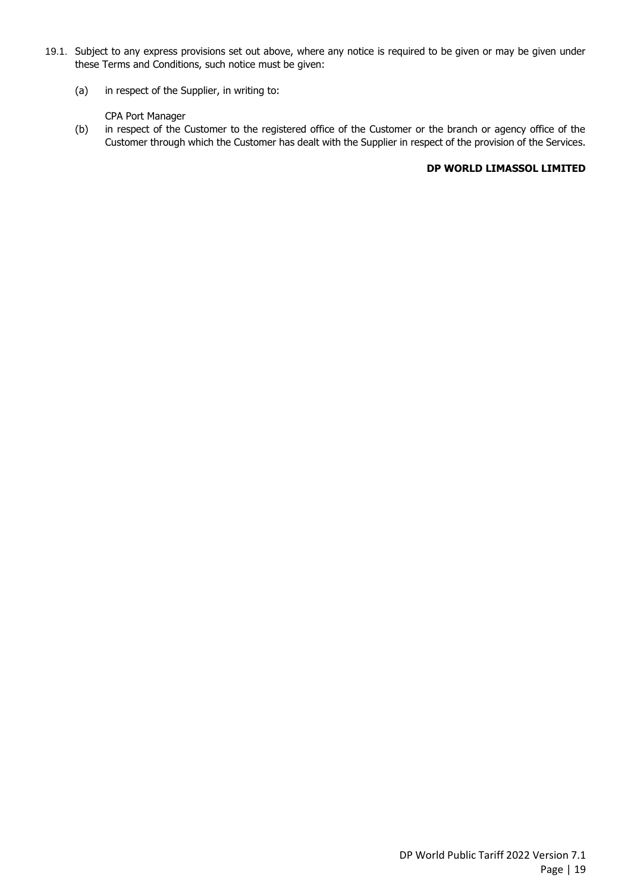- 19.1. Subject to any express provisions set out above, where any notice is required to be given or may be given under these Terms and Conditions, such notice must be given:
	- (a) in respect of the Supplier, in writing to:

#### CPA Port Manager

(b) in respect of the Customer to the registered office of the Customer or the branch or agency office of the Customer through which the Customer has dealt with the Supplier in respect of the provision of the Services.

#### **DP WORLD LIMASSOL LIMITED**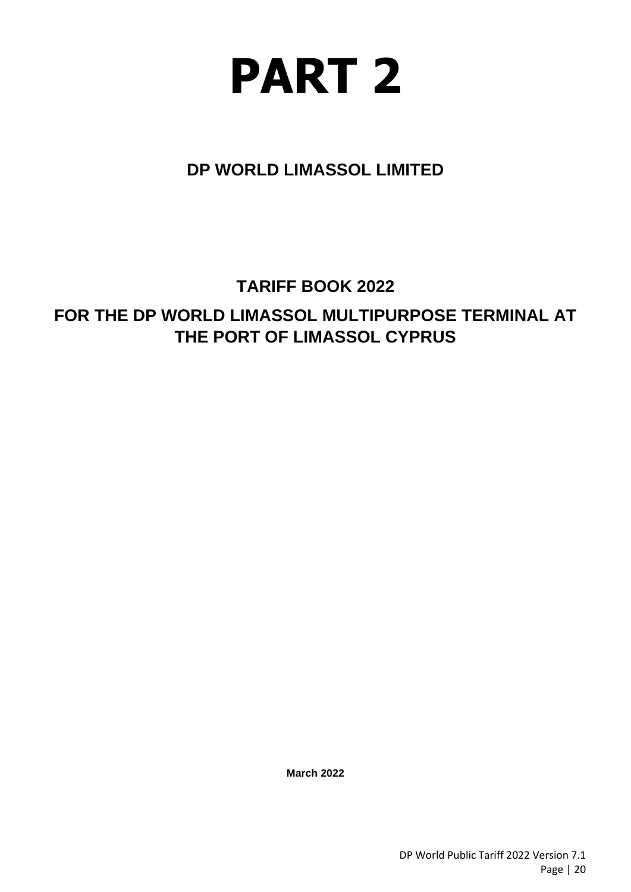# **PART 2**

# <span id="page-24-0"></span>**DP WORLD LIMASSOL LIMITED**

# **TARIFF BOOK 2022**

# **FOR THE DP WORLD LIMASSOL MULTIPURPOSE TERMINAL AT THE PORT OF LIMASSOL CYPRUS**

**March 2022**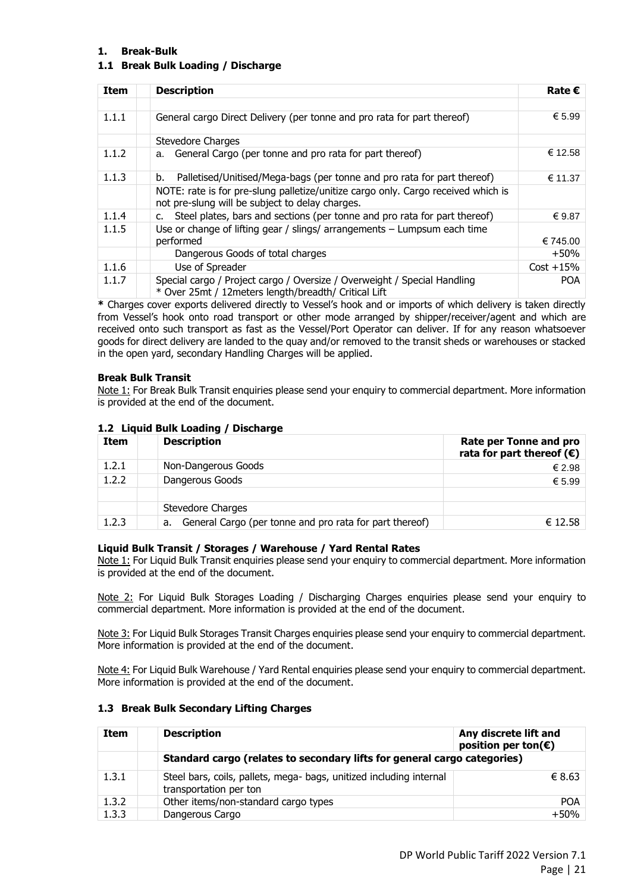#### <span id="page-25-0"></span>**1. Break-Bulk**

#### **1.1 Break Bulk Loading / Discharge**

| <b>Item</b> | <b>Description</b>                                                                                                                   | Rate $\epsilon$ |
|-------------|--------------------------------------------------------------------------------------------------------------------------------------|-----------------|
|             |                                                                                                                                      |                 |
| 1.1.1       | General cargo Direct Delivery (per tonne and pro rata for part thereof)                                                              |                 |
|             | Stevedore Charges                                                                                                                    |                 |
| 1.1.2       | a. General Cargo (per tonne and pro rata for part thereof)                                                                           | € 12.58         |
| 1.1.3       | Palletised/Unitised/Mega-bags (per tonne and pro rata for part thereof)<br>b.                                                        | € 11.37         |
|             | NOTE: rate is for pre-slung palletize/unitize cargo only. Cargo received which is<br>not pre-slung will be subject to delay charges. |                 |
| 1.1.4       | Steel plates, bars and sections (per tonne and pro rata for part thereof)<br>c.                                                      | € 9.87          |
| 1.1.5       | Use or change of lifting gear / slings/ arrangements $-$ Lumpsum each time                                                           |                 |
|             | performed                                                                                                                            | € 745.00        |
|             | Dangerous Goods of total charges                                                                                                     | $+50%$          |
| 1.1.6       | Use of Spreader                                                                                                                      | $Cost + 15%$    |
| 1.1.7       | Special cargo / Project cargo / Oversize / Overweight / Special Handling<br>* Over 25mt / 12meters length/breadth/ Critical Lift     |                 |

**\*** Charges cover exports delivered directly to Vessel's hook and or imports of which delivery is taken directly from Vessel's hook onto road transport or other mode arranged by shipper/receiver/agent and which are received onto such transport as fast as the Vessel/Port Operator can deliver. If for any reason whatsoever goods for direct delivery are landed to the quay and/or removed to the transit sheds or warehouses or stacked in the open yard, secondary Handling Charges will be applied.

#### **Break Bulk Transit**

Note 1: For Break Bulk Transit enquiries please send your enquiry to commercial department. More information is provided at the end of the document.

#### **1.2 Liquid Bulk Loading / Discharge**

| Item  | <b>Description</b>                                            | Rate per Tonne and pro<br>rata for part thereof $(\epsilon)$ |
|-------|---------------------------------------------------------------|--------------------------------------------------------------|
| 1.2.1 | Non-Dangerous Goods                                           | € 2.98                                                       |
| 1.2.2 | Dangerous Goods                                               | € 5.99                                                       |
|       | Stevedore Charges                                             |                                                              |
| 1.2.3 | General Cargo (per tonne and pro rata for part thereof)<br>a. | € 12.58                                                      |

#### **Liquid Bulk Transit / Storages / Warehouse / Yard Rental Rates**

Note 1: For Liquid Bulk Transit enquiries please send your enquiry to commercial department. More information is provided at the end of the document.

Note 2: For Liquid Bulk Storages Loading / Discharging Charges enquiries please send your enquiry to commercial department. More information is provided at the end of the document.

Note 3: For Liquid Bulk Storages Transit Charges enquiries please send your enquiry to commercial department. More information is provided at the end of the document.

Note 4: For Liquid Bulk Warehouse / Yard Rental enquiries please send your enquiry to commercial department. More information is provided at the end of the document.

#### **1.3 Break Bulk Secondary Lifting Charges**

| <b>Item</b> | <b>Description</b>                                                                            | Any discrete lift and<br>position per ton( $\epsilon$ ) |  |
|-------------|-----------------------------------------------------------------------------------------------|---------------------------------------------------------|--|
|             | Standard cargo (relates to secondary lifts for general cargo categories)                      |                                                         |  |
| 1.3.1       | Steel bars, coils, pallets, mega- bags, unitized including internal<br>transportation per ton | € 8.63                                                  |  |
| 1.3.2       | Other items/non-standard cargo types                                                          | <b>POA</b>                                              |  |
| 1.3.3       | Dangerous Cargo                                                                               | $+50%$                                                  |  |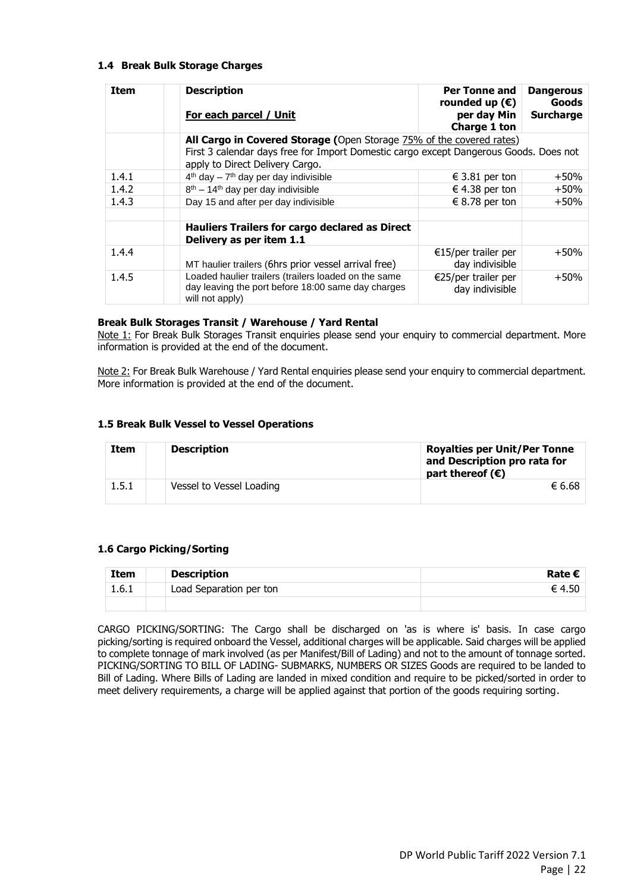#### **1.4 Break Bulk Storage Charges**

| <b>Item</b> | <b>Description</b><br>For each parcel / Unit                                                                                  | Per Tonne and<br>rounded up $(\epsilon)$<br>per day Min | <b>Dangerous</b><br>Goods<br><b>Surcharge</b> |
|-------------|-------------------------------------------------------------------------------------------------------------------------------|---------------------------------------------------------|-----------------------------------------------|
|             | All Cargo in Covered Storage (Open Storage 75% of the covered rates)                                                          | Charge 1 ton                                            |                                               |
|             | First 3 calendar days free for Import Domestic cargo except Dangerous Goods. Does not<br>apply to Direct Delivery Cargo.      |                                                         |                                               |
| 1.4.1       | $4th$ day – $7th$ day per day indivisible                                                                                     | € 3.81 per ton                                          | $+50%$                                        |
| 1.4.2       | $8th - 14th$ day per day indivisible                                                                                          | € 4.38 per ton                                          | $+50%$                                        |
| 1.4.3       | Day 15 and after per day indivisible                                                                                          | € 8.78 per ton                                          | $+50%$                                        |
|             |                                                                                                                               |                                                         |                                               |
|             | Hauliers Trailers for cargo declared as Direct<br>Delivery as per item 1.1                                                    |                                                         |                                               |
| 1.4.4       | MT haulier trailers (6hrs prior vessel arrival free)                                                                          | €15/per trailer per<br>day indivisible                  | $+50%$                                        |
| 1.4.5       | Loaded haulier trailers (trailers loaded on the same<br>day leaving the port before 18:00 same day charges<br>will not apply) | €25/per trailer per<br>day indivisible                  | $+50%$                                        |

#### **Break Bulk Storages Transit / Warehouse / Yard Rental**

Note 1: For Break Bulk Storages Transit enquiries please send your enquiry to commercial department. More information is provided at the end of the document.

Note 2: For Break Bulk Warehouse / Yard Rental enquiries please send your enquiry to commercial department. More information is provided at the end of the document.

#### **1.5 Break Bulk Vessel to Vessel Operations**

| Item  | <b>Description</b>       | <b>Royalties per Unit/Per Tonne</b><br>and Description pro rata for<br>part thereof $(\epsilon)$ |
|-------|--------------------------|--------------------------------------------------------------------------------------------------|
| 1.5.1 | Vessel to Vessel Loading | € 6.68                                                                                           |

#### **1.6 Cargo Picking/Sorting**

| <b>Item</b> | <b>Description</b>      | Rate $\boldsymbol{\epsilon}$ |
|-------------|-------------------------|------------------------------|
| 1.6.1       | Load Separation per ton | € 4.50                       |
|             |                         |                              |

CARGO PICKING/SORTING: The Cargo shall be discharged on 'as is where is' basis. In case cargo picking/sorting is required onboard the Vessel, additional charges will be applicable. Said charges will be applied to complete tonnage of mark involved (as per Manifest/Bill of Lading) and not to the amount of tonnage sorted. PICKING/SORTING TO BILL OF LADING- SUBMARKS, NUMBERS OR SIZES Goods are required to be landed to Bill of Lading. Where Bills of Lading are landed in mixed condition and require to be picked/sorted in order to meet delivery requirements, a charge will be applied against that portion of the goods requiring sorting.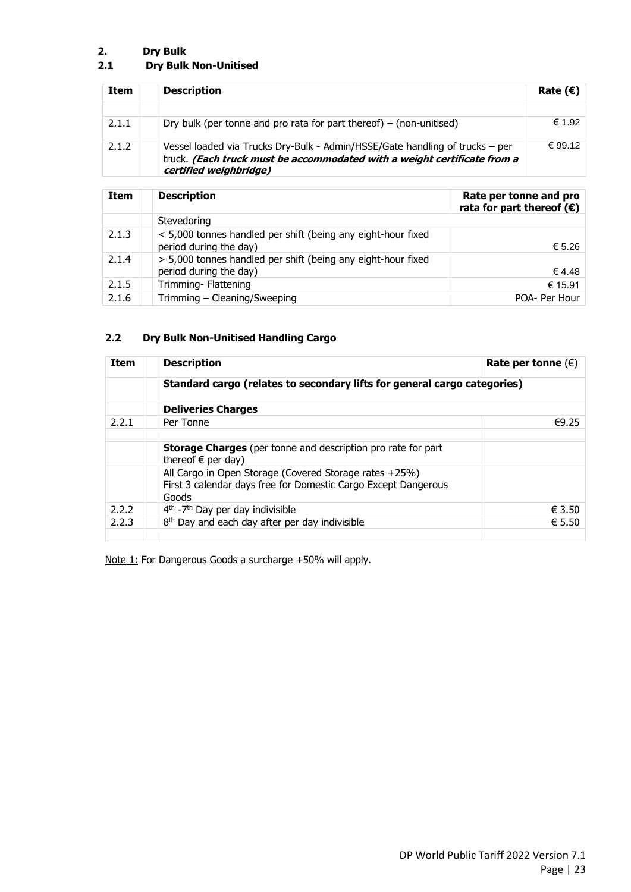# <span id="page-27-0"></span>**2. Dry Bulk**

# **2.1 Dry Bulk Non-Unitised**

| Item  | <b>Description</b>                                                                                                                                                                 | Rate $(\epsilon)$ |
|-------|------------------------------------------------------------------------------------------------------------------------------------------------------------------------------------|-------------------|
|       |                                                                                                                                                                                    |                   |
| 2.1.1 | Dry bulk (per tonne and pro rata for part thereof) $-$ (non-unitised)                                                                                                              | € 1.92            |
| 2.1.2 | Vessel loaded via Trucks Dry-Bulk - Admin/HSSE/Gate handling of trucks – per<br>truck. (Each truck must be accommodated with a weight certificate from a<br>certified weighbridge) | € 99.12           |

| <b>Item</b> | <b>Description</b>                                                                     | Rate per tonne and pro<br>rata for part thereof $(\epsilon)$ |
|-------------|----------------------------------------------------------------------------------------|--------------------------------------------------------------|
|             | Stevedoring                                                                            |                                                              |
| 2.1.3       | < 5,000 tonnes handled per shift (being any eight-hour fixed<br>period during the day) | € 5.26                                                       |
| 2.1.4       | > 5,000 tonnes handled per shift (being any eight-hour fixed<br>period during the day) | € 4.48                                                       |
| 2.1.5       | Trimming- Flattening                                                                   | € 15.91                                                      |
| 2.1.6       | Trimming - Cleaning/Sweeping                                                           | POA- Per Hour                                                |

# **2.2 Dry Bulk Non-Unitised Handling Cargo**

| <b>Item</b> | <b>Description</b>                                                                                                                    | Rate per tonne $(\epsilon)$ |
|-------------|---------------------------------------------------------------------------------------------------------------------------------------|-----------------------------|
|             | Standard cargo (relates to secondary lifts for general cargo categories)                                                              |                             |
|             | <b>Deliveries Charges</b>                                                                                                             |                             |
| 2.2.1       | Per Tonne                                                                                                                             | €9.25                       |
|             | <b>Storage Charges</b> (per tonne and description pro rate for part<br>thereof $\epsilon$ per day)                                    |                             |
|             | All Cargo in Open Storage (Covered Storage rates $+25\%$ )<br>First 3 calendar days free for Domestic Cargo Except Dangerous<br>Goods |                             |
| 2.2.2       | $4th$ -7 <sup>th</sup> Day per day indivisible                                                                                        | € 3.50                      |
| 2.2.3       | 8 <sup>th</sup> Day and each day after per day indivisible                                                                            | $\epsilon$ 5.50             |

Note 1: For Dangerous Goods a surcharge +50% will apply.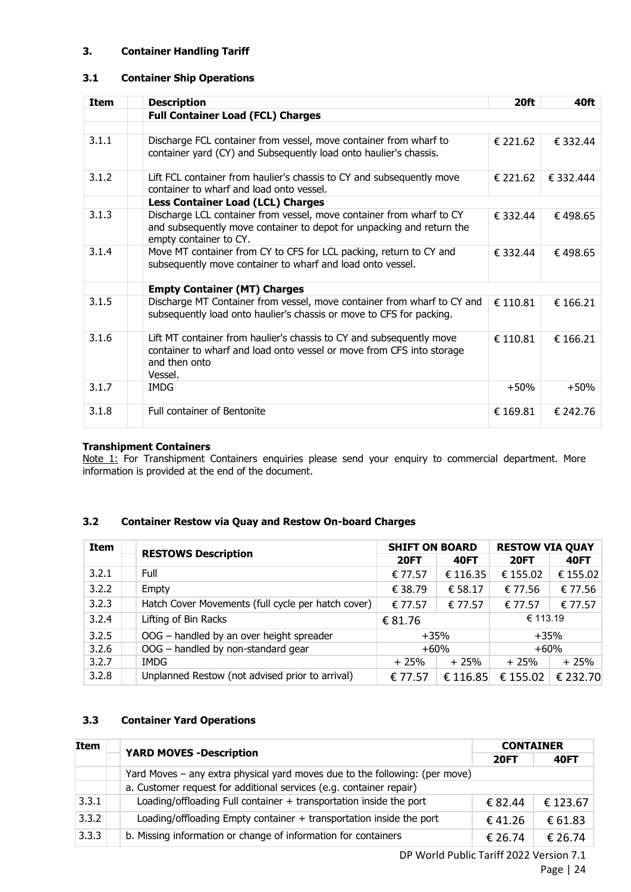#### <span id="page-28-0"></span>**3. Container Handling Tariff**

#### **3.1 Container Ship Operations**

| <b>Item</b> | <b>Description</b>                                                                                                                                                        | 20ft     | 40ft      |
|-------------|---------------------------------------------------------------------------------------------------------------------------------------------------------------------------|----------|-----------|
|             | <b>Full Container Load (FCL) Charges</b>                                                                                                                                  |          |           |
|             |                                                                                                                                                                           |          |           |
| 3.1.1       | Discharge FCL container from vessel, move container from wharf to<br>container yard (CY) and Subsequently load onto haulier's chassis.                                    | € 221.62 | € 332.44  |
| 3.1.2       | Lift FCL container from haulier's chassis to CY and subsequently move<br>container to wharf and load onto vessel.                                                         | € 221.62 | € 332.444 |
|             | <b>Less Container Load (LCL) Charges</b>                                                                                                                                  |          |           |
| 3.1.3       | Discharge LCL container from vessel, move container from wharf to CY<br>and subsequently move container to depot for unpacking and return the<br>empty container to CY.   | € 332.44 | €498.65   |
| 3.1.4       | Move MT container from CY to CFS for LCL packing, return to CY and<br>subsequently move container to wharf and load onto vessel.                                          | € 332.44 | €498.65   |
|             | <b>Empty Container (MT) Charges</b>                                                                                                                                       |          |           |
| 3.1.5       | Discharge MT Container from vessel, move container from wharf to CY and<br>subsequently load onto haulier's chassis or move to CFS for packing.                           | € 110.81 | € 166.21  |
| 3.1.6       | Lift MT container from haulier's chassis to CY and subsequently move<br>container to wharf and load onto vessel or move from CFS into storage<br>and then onto<br>Vessel. | € 110.81 | € 166.21  |
| 3.1.7       | IMDG                                                                                                                                                                      | $+50%$   | $+50%$    |
| 3.1.8       | <b>Full container of Bentonite</b>                                                                                                                                        | € 169.81 | € 242.76  |

#### **Transhipment Containers**

Note 1: For Transhipment Containers enquiries please send your enquiry to commercial department. More information is provided at the end of the document.

#### **3.2 Container Restow via Quay and Restow On-board Charges**

| Item  | <b>RESTOWS Description</b>                         | <b>SHIFT ON BOARD</b> |             | <b>RESTOW VIA QUAY</b> |             |  |
|-------|----------------------------------------------------|-----------------------|-------------|------------------------|-------------|--|
|       |                                                    | <b>20FT</b>           | <b>40FT</b> | <b>20FT</b>            | <b>40FT</b> |  |
| 3.2.1 | Full                                               | € 77.57               | € 116.35    | € 155.02               | € 155.02    |  |
| 3.2.2 | Empty                                              | € 38.79               | € 58.17     | € 77.56                | € 77.56     |  |
| 3.2.3 | Hatch Cover Movements (full cycle per hatch cover) | € 77.57               | € 77.57     | € 77.57                | € 77.57     |  |
| 3.2.4 | Lifting of Bin Racks                               | € 81.76               |             | € 113.19               |             |  |
| 3.2.5 | OOG - handled by an over height spreader           | +35%                  |             | $+35%$                 |             |  |
| 3.2.6 | OOG - handled by non-standard gear                 | $+60%$                |             | $+60%$                 |             |  |
| 3.2.7 | IMDG                                               | $+25%$                | $+25%$      | $+25%$                 | $+25%$      |  |
| 3.2.8 | Unplanned Restow (not advised prior to arrival)    | € 77.57               | € 116.85    | € 155.02               | € 232.70    |  |

#### **3.3 Container Yard Operations**

| Item  | <b>YARD MOVES - Description</b>                                             | <b>CONTAINER</b> |             |
|-------|-----------------------------------------------------------------------------|------------------|-------------|
|       |                                                                             | <b>20FT</b>      | <b>40FT</b> |
|       | Yard Moves – any extra physical yard moves due to the following: (per move) |                  |             |
|       | a. Customer request for additional services (e.g. container repair)         |                  |             |
| 3.3.1 | Loading/offloading Full container + transportation inside the port          | € 82.44          | € 123.67    |
| 3.3.2 | Loading/offloading Empty container $+$ transportation inside the port       | €41.26           | € 61.83     |
| 3.3.3 | b. Missing information or change of information for containers              | € 26.74          | € 26.74     |

DP World Public Tariff 2022 Version 7.1 Page | 24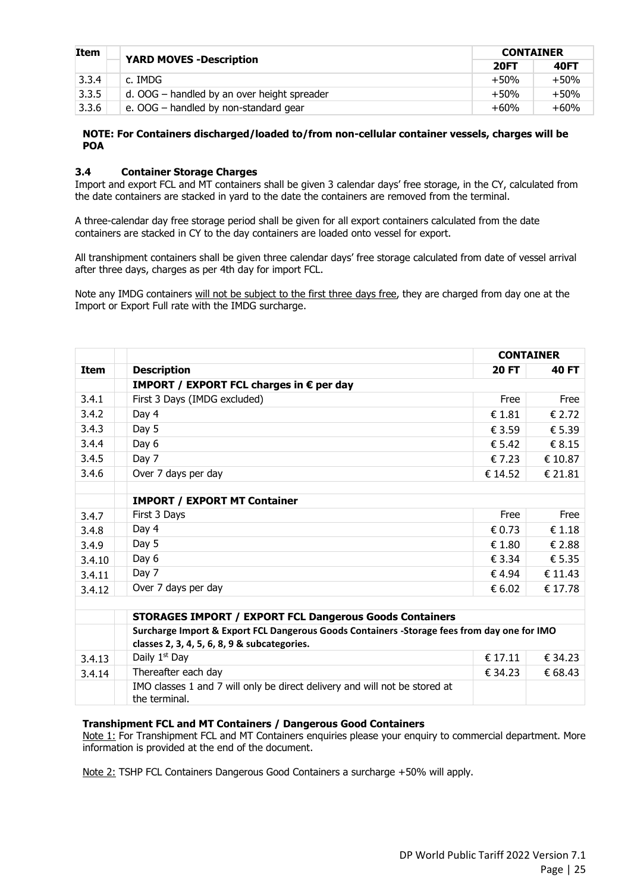| Item  | <b>YARD MOVES - Description</b>             | <b>CONTAINER</b> |             |  |
|-------|---------------------------------------------|------------------|-------------|--|
|       |                                             | <b>20FT</b>      | <b>40FT</b> |  |
| 3.3.4 | c. IMDG                                     | +50%             | $+50%$      |  |
| 3.3.5 | d. OOG – handled by an over height spreader | $+50%$           | $+50%$      |  |
| 3.3.6 | e. OOG - handled by non-standard gear       | $+60%$           | $+60%$      |  |

#### **NOTE: For Containers discharged/loaded to/from non-cellular container vessels, charges will be POA**

#### **3.4 Container Storage Charges**

Import and export FCL and MT containers shall be given 3 calendar days' free storage, in the CY, calculated from the date containers are stacked in yard to the date the containers are removed from the terminal.

A three-calendar day free storage period shall be given for all export containers calculated from the date containers are stacked in CY to the day containers are loaded onto vessel for export.

All transhipment containers shall be given three calendar days' free storage calculated from date of vessel arrival after three days, charges as per 4th day for import FCL.

Note any IMDG containers will not be subject to the first three days free, they are charged from day one at the Import or Export Full rate with the IMDG surcharge.

|        |                                                                                             | <b>CONTAINER</b> |                 |
|--------|---------------------------------------------------------------------------------------------|------------------|-----------------|
| Item   | <b>Description</b>                                                                          | <b>20 FT</b>     | 40 FT           |
|        | <b>IMPORT / EXPORT FCL charges in <math>\epsilon</math> per day</b>                         |                  |                 |
| 3.4.1  | First 3 Days (IMDG excluded)                                                                | Free             | Free            |
| 3.4.2  | Day 4                                                                                       | € 1.81           | € 2.72          |
| 3.4.3  | Day 5                                                                                       | € 3.59           | € 5.39          |
| 3.4.4  | Day 6                                                                                       | € 5.42           | $\epsilon$ 8.15 |
| 3.4.5  | Day 7                                                                                       | £7.23            | € 10.87         |
| 3.4.6  | Over 7 days per day                                                                         | € 14.52          | € 21.81         |
|        |                                                                                             |                  |                 |
|        | <b>IMPORT / EXPORT MT Container</b>                                                         |                  |                 |
| 3.4.7  | First 3 Days                                                                                | Free             | Free            |
| 3.4.8  | Day 4                                                                                       | € 0.73           | £1.18           |
| 3.4.9  | Day 5                                                                                       | € 1.80           | € 2.88          |
| 3.4.10 | Day 6                                                                                       | € 3.34           | € 5.35          |
| 3.4.11 | Day 7                                                                                       | € 4.94           | € 11.43         |
| 3.4.12 | Over 7 days per day                                                                         | € 6.02           | € 17.78         |
|        |                                                                                             |                  |                 |
|        | <b>STORAGES IMPORT / EXPORT FCL Dangerous Goods Containers</b>                              |                  |                 |
|        | Surcharge Import & Export FCL Dangerous Goods Containers -Storage fees from day one for IMO |                  |                 |
|        | classes 2, 3, 4, 5, 6, 8, 9 & subcategories.                                                |                  |                 |
| 3.4.13 | Daily 1 <sup>st</sup> Day                                                                   | € 17.11          | € 34.23         |
| 3.4.14 | Thereafter each day                                                                         | € 34.23          | € 68.43         |
|        | IMO classes 1 and 7 will only be direct delivery and will not be stored at<br>the terminal. |                  |                 |

#### **Transhipment FCL and MT Containers / Dangerous Good Containers**

Note 1: For Transhipment FCL and MT Containers enquiries please your enquiry to commercial department. More information is provided at the end of the document.

Note 2: TSHP FCL Containers Dangerous Good Containers a surcharge +50% will apply.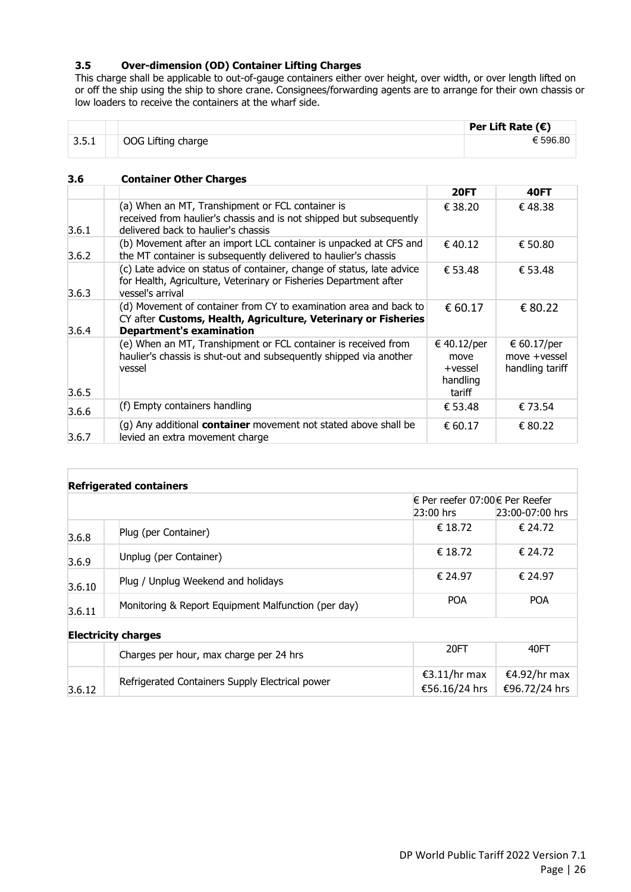### **3.5 Over-dimension (OD) Container Lifting Charges**

This charge shall be applicable to out-of-gauge containers either over height, over width, or over length lifted on or off the ship using the ship to shore crane. Consignees/forwarding agents are to arrange for their own chassis or low loaders to receive the containers at the wharf side.

|       |                    | Per Lift Rate $(\epsilon)$ |
|-------|--------------------|----------------------------|
| 3.5.1 | OOG Lifting charge | € 596.80                   |

#### **3.6 Container Other Charges**

|       |                                                                                                                                                                        | <b>20FT</b>                                          | <b>40FT</b>                                    |
|-------|------------------------------------------------------------------------------------------------------------------------------------------------------------------------|------------------------------------------------------|------------------------------------------------|
| 3.6.1 | (a) When an MT, Transhipment or FCL container is<br>received from haulier's chassis and is not shipped but subsequently<br>delivered back to haulier's chassis         | € 38.20                                              | €48.38                                         |
| 3.6.2 | (b) Movement after an import LCL container is unpacked at CFS and<br>the MT container is subsequently delivered to haulier's chassis                                   | € 40.12                                              | € 50.80                                        |
| 3.6.3 | (c) Late advice on status of container, change of status, late advice<br>for Health, Agriculture, Veterinary or Fisheries Department after<br>vessel's arrival         | € 53.48                                              | € 53.48                                        |
| 3.6.4 | (d) Movement of container from CY to examination area and back to<br>CY after Customs, Health, Agriculture, Veterinary or Fisheries<br><b>Department's examination</b> | € 60.17                                              | € 80.22                                        |
| 3.6.5 | (e) When an MT, Transhipment or FCL container is received from<br>haulier's chassis is shut-out and subsequently shipped via another<br>vessel                         | € 40.12/per<br>move<br>+vessel<br>handling<br>tariff | € 60.17/per<br>move +vessel<br>handling tariff |
| 3.6.6 | (f) Empty containers handling                                                                                                                                          | € 53.48                                              | € 73.54                                        |
| 3.6.7 | $(q)$ Any additional <b>container</b> movement not stated above shall be<br>levied an extra movement charge                                                            | € 60.17                                              | € 80.22                                        |

|        | <b>Refrigerated containers</b>                      |                                             |                               |
|--------|-----------------------------------------------------|---------------------------------------------|-------------------------------|
|        |                                                     | € Per reefer 07:00€ Per Reefer<br>23:00 hrs | 23:00-07:00 hrs               |
| 3.6.8  | Plug (per Container)                                | € 18.72                                     | € 24.72                       |
| 3.6.9  | Unplug (per Container)                              | € 18.72                                     | € 24.72                       |
| 3.6.10 | Plug / Unplug Weekend and holidays                  | € 24.97                                     | € 24.97                       |
| 3.6.11 | Monitoring & Report Equipment Malfunction (per day) | <b>POA</b>                                  | <b>POA</b>                    |
|        | <b>Electricity charges</b>                          |                                             |                               |
|        | Charges per hour, max charge per 24 hrs             | 20FT                                        | 40FT                          |
| 3.6.12 | Refrigerated Containers Supply Electrical power     | €3.11/hr max<br>€56.16/24 hrs               | €4.92/hr max<br>€96.72/24 hrs |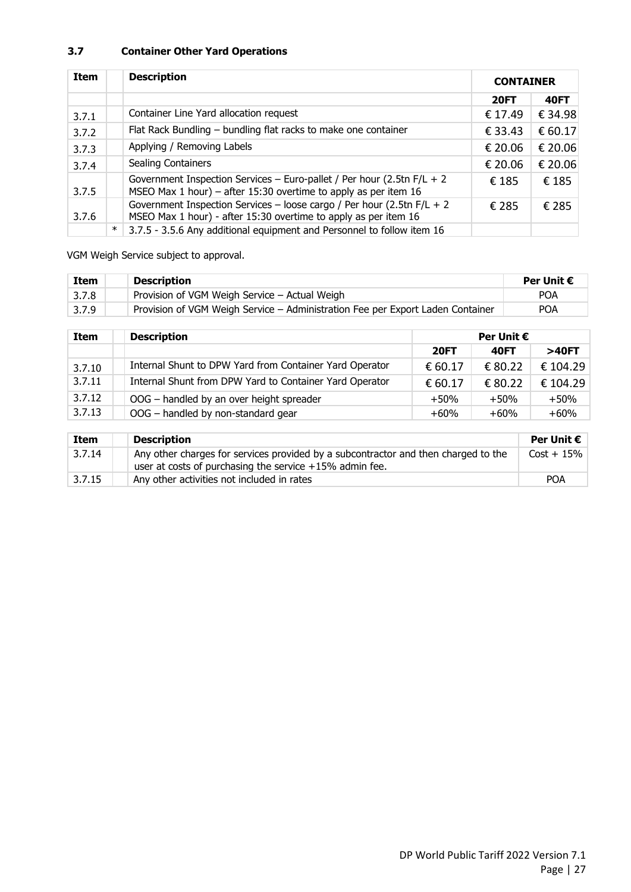## **3.7 Container Other Yard Operations**

| <b>Item</b> |        | <b>Description</b>                                                                                                                          | <b>CONTAINER</b> |             |
|-------------|--------|---------------------------------------------------------------------------------------------------------------------------------------------|------------------|-------------|
|             |        |                                                                                                                                             | <b>20FT</b>      | <b>40FT</b> |
| 3.7.1       |        | Container Line Yard allocation request                                                                                                      | € 17.49          | € 34.98     |
| 3.7.2       |        | Flat Rack Bundling - bundling flat racks to make one container                                                                              | € 33.43          | € 60.17     |
| 3.7.3       |        | Applying / Removing Labels                                                                                                                  | € 20.06          | € 20.06     |
| 3.7.4       |        | <b>Sealing Containers</b>                                                                                                                   | € 20.06          | € 20.06     |
| 3.7.5       |        | Government Inspection Services - Euro-pallet / Per hour (2.5tn $F/L + 2$<br>MSEO Max 1 hour) – after 15:30 overtime to apply as per item 16 | € 185            | € 185       |
| 3.7.6       |        | Government Inspection Services - loose cargo / Per hour (2.5tn $F/L + 2$<br>MSEO Max 1 hour) - after 15:30 overtime to apply as per item 16 | € 285            | € 285       |
|             | $\ast$ | 3.7.5 - 3.5.6 Any additional equipment and Personnel to follow item 16                                                                      |                  |             |

VGM Weigh Service subject to approval.

| <b>Item</b> | <b>Description</b>                                                             | Per Unit $\boldsymbol{\epsilon}$ |
|-------------|--------------------------------------------------------------------------------|----------------------------------|
| 3.7.8       | Provision of VGM Weigh Service - Actual Weigh                                  | <b>POA</b>                       |
| 3.7.9       | Provision of VGM Weigh Service – Administration Fee per Export Laden Container | <b>POA</b>                       |

| Item   | <b>Description</b>                                      | Per Unit $\epsilon$ |             |          |
|--------|---------------------------------------------------------|---------------------|-------------|----------|
|        |                                                         | <b>20FT</b>         | <b>40FT</b> | >40FT    |
| 3.7.10 | Internal Shunt to DPW Yard from Container Yard Operator | € 60.17             | € 80.22     | € 104.29 |
| 3.7.11 | Internal Shunt from DPW Yard to Container Yard Operator | € 60.17             | € 80.22     | € 104.29 |
| 3.7.12 | OOG - handled by an over height spreader                | $+50%$              | $+50%$      | $+50%$   |
| 3.7.13 | OOG - handled by non-standard gear                      | $+60%$              | $+60%$      | $+60%$   |

| <b>Item</b> | <b>Description</b>                                                                                                                              | Per Unit $\boldsymbol{\epsilon}$ |
|-------------|-------------------------------------------------------------------------------------------------------------------------------------------------|----------------------------------|
| 3.7.14      | Any other charges for services provided by a subcontractor and then charged to the<br>user at costs of purchasing the service $+15%$ admin fee. | $Cost + 15\%$                    |
| 3.7.15      | Any other activities not included in rates                                                                                                      | <b>POA</b>                       |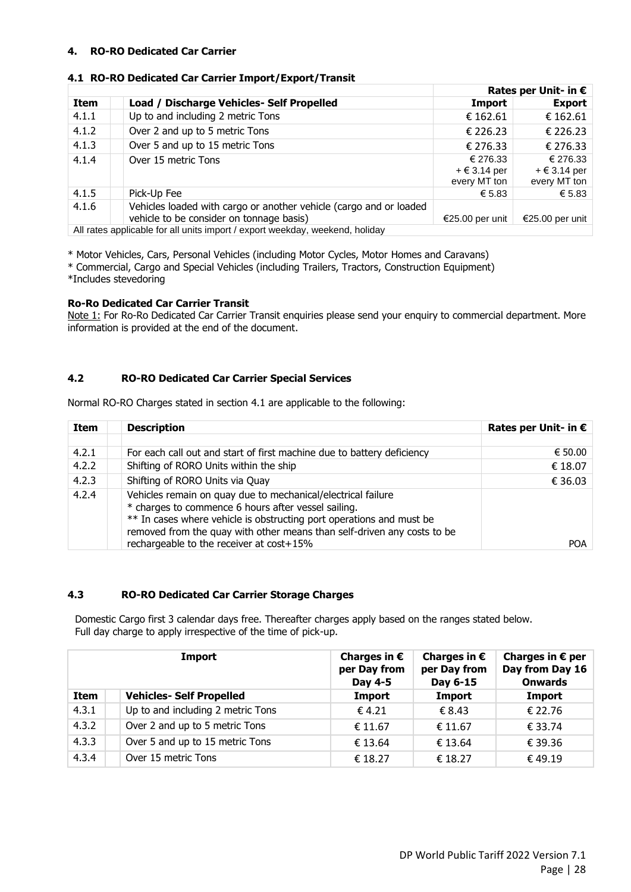#### <span id="page-32-0"></span>**4. RO-RO Dedicated Car Carrier**

|                                                                              |                                                                                                                |                                                   | Rates per Unit- in $\epsilon$                     |  |
|------------------------------------------------------------------------------|----------------------------------------------------------------------------------------------------------------|---------------------------------------------------|---------------------------------------------------|--|
| <b>Item</b>                                                                  | Load / Discharge Vehicles- Self Propelled                                                                      | Import                                            | <b>Export</b>                                     |  |
| 4.1.1                                                                        | Up to and including 2 metric Tons                                                                              | € 162.61                                          | € 162.61                                          |  |
| 4.1.2                                                                        | Over 2 and up to 5 metric Tons                                                                                 | € 226.23                                          | € 226.23                                          |  |
| 4.1.3                                                                        | Over 5 and up to 15 metric Tons                                                                                | € 276.33                                          | € 276.33                                          |  |
| 4.1.4                                                                        | Over 15 metric Tons                                                                                            | € 276.33<br>$+ \epsilon$ 3.14 per<br>every MT ton | € 276.33<br>$+ \epsilon$ 3.14 per<br>every MT ton |  |
| 4.1.5                                                                        | Pick-Up Fee                                                                                                    | € 5.83                                            | € 5.83                                            |  |
| 4.1.6                                                                        | Vehicles loaded with cargo or another vehicle (cargo and or loaded<br>vehicle to be consider on tonnage basis) | €25.00 per unit                                   | €25.00 per unit                                   |  |
| All rates applicable for all units import / export weekday, weekend, holiday |                                                                                                                |                                                   |                                                   |  |

#### **4.1 RO-RO Dedicated Car Carrier Import/Export/Transit**

\* Motor Vehicles, Cars, Personal Vehicles (including Motor Cycles, Motor Homes and Caravans)

\* Commercial, Cargo and Special Vehicles (including Trailers, Tractors, Construction Equipment)

\*Includes stevedoring

#### **Ro-Ro Dedicated Car Carrier Transit**

Note 1: For Ro-Ro Dedicated Car Carrier Transit enquiries please send your enquiry to commercial department. More information is provided at the end of the document.

#### **4.2 RO-RO Dedicated Car Carrier Special Services**

Normal RO-RO Charges stated in section 4.1 are applicable to the following:

| Item  | <b>Description</b>                                                                                                                                                                                                                                                     | Rates per Unit- in $\epsilon$ |
|-------|------------------------------------------------------------------------------------------------------------------------------------------------------------------------------------------------------------------------------------------------------------------------|-------------------------------|
|       |                                                                                                                                                                                                                                                                        |                               |
| 4.2.1 | For each call out and start of first machine due to battery deficiency                                                                                                                                                                                                 | € 50.00                       |
| 4.2.2 | Shifting of RORO Units within the ship                                                                                                                                                                                                                                 | € 18.07                       |
| 4.2.3 | Shifting of RORO Units via Quay                                                                                                                                                                                                                                        | € 36.03                       |
| 4.2.4 | Vehicles remain on quay due to mechanical/electrical failure<br>* charges to commence 6 hours after vessel sailing.<br>** In cases where vehicle is obstructing port operations and must be<br>removed from the quay with other means than self-driven any costs to be | <b>POA</b>                    |
|       | rechargeable to the receiver at cost+15%                                                                                                                                                                                                                               |                               |

#### **4.3 RO-RO Dedicated Car Carrier Storage Charges**

Domestic Cargo first 3 calendar days free. Thereafter charges apply based on the ranges stated below. Full day charge to apply irrespective of the time of pick-up.

| Import |                                   | Charges in $\epsilon$<br>per Day from<br>Day 4-5 | Charges in $\epsilon$<br>per Day from<br>Day 6-15 | Charges in $\epsilon$ per<br>Day from Day 16<br><b>Onwards</b> |
|--------|-----------------------------------|--------------------------------------------------|---------------------------------------------------|----------------------------------------------------------------|
| Item   | <b>Vehicles- Self Propelled</b>   | Import                                           | <b>Import</b>                                     | Import                                                         |
| 4.3.1  | Up to and including 2 metric Tons | $\epsilon$ 4.21                                  | € 8.43                                            | € 22.76                                                        |
| 4.3.2  | Over 2 and up to 5 metric Tons    | € 11.67                                          | € 11.67                                           | € 33.74                                                        |
| 4.3.3  | Over 5 and up to 15 metric Tons   | € 13.64                                          | € 13.64                                           | € 39.36                                                        |
| 4.3.4  | Over 15 metric Tons               | € 18.27                                          | € 18.27                                           | € 49.19                                                        |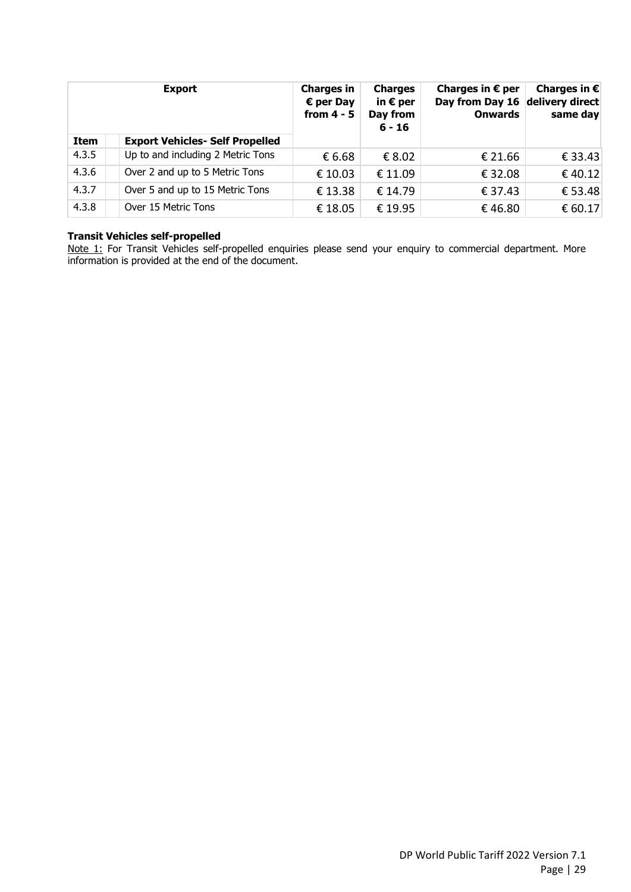|             | <b>Export</b>                          | <b>Charges in</b><br>$\epsilon$ per Day<br>from $4 - 5$ | <b>Charges</b><br>in $\epsilon$ per<br>Day from<br>$6 - 16$ | Charges in $\epsilon$ per<br>Day from Day 16<br><b>Onwards</b> | Charges in $\epsilon$<br>delivery direct<br>same day |
|-------------|----------------------------------------|---------------------------------------------------------|-------------------------------------------------------------|----------------------------------------------------------------|------------------------------------------------------|
| <b>Item</b> | <b>Export Vehicles- Self Propelled</b> |                                                         |                                                             |                                                                |                                                      |
| 4.3.5       | Up to and including 2 Metric Tons      | € 6.68                                                  | € 8.02                                                      | € 21.66                                                        | € 33.43                                              |
| 4.3.6       | Over 2 and up to 5 Metric Tons         | € 10.03                                                 | € 11.09                                                     | € 32.08                                                        | €40.12                                               |
| 4.3.7       | Over 5 and up to 15 Metric Tons        | € 13.38                                                 | € 14.79                                                     | € 37.43                                                        | € 53.48                                              |
| 4.3.8       | Over 15 Metric Tons                    | € 18.05                                                 | € 19.95                                                     | €46.80                                                         | € 60.17                                              |

#### **Transit Vehicles self-propelled**

Note 1: For Transit Vehicles self-propelled enquiries please send your enquiry to commercial department. More information is provided at the end of the document.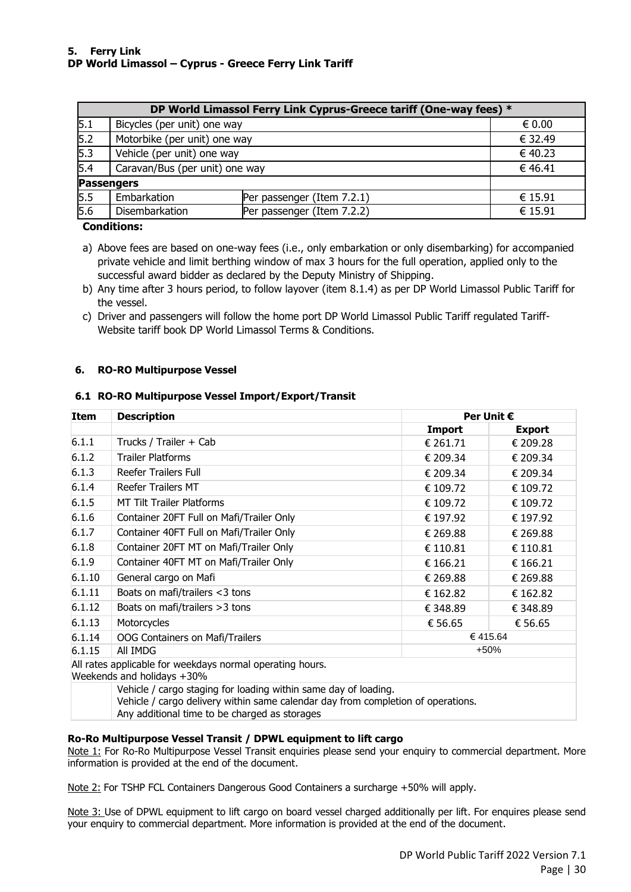<span id="page-34-0"></span>

|     | DP World Limassol Ferry Link Cyprus-Greece tariff (One-way fees) * |                            |                 |  |  |  |
|-----|--------------------------------------------------------------------|----------------------------|-----------------|--|--|--|
| 5.1 | Bicycles (per unit) one way                                        |                            | $\epsilon$ 0.00 |  |  |  |
| 5.2 | Motorbike (per unit) one way                                       |                            | € 32.49         |  |  |  |
| 5.3 | Vehicle (per unit) one way                                         | € 40.23                    |                 |  |  |  |
| 5.4 | Caravan/Bus (per unit) one way                                     |                            | € 46.41         |  |  |  |
|     | <b>Passengers</b>                                                  |                            |                 |  |  |  |
| 5.5 | Embarkation                                                        | Per passenger (Item 7.2.1) | € 15.91         |  |  |  |
| 5.6 | Disembarkation                                                     | Per passenger (Item 7.2.2) | € 15.91         |  |  |  |

#### **Conditions:**

a) Above fees are based on one-way fees (i.e., only embarkation or only disembarking) for accompanied private vehicle and limit berthing window of max 3 hours for the full operation, applied only to the successful award bidder as declared by the Deputy Ministry of Shipping.

- b) Any time after 3 hours period, to follow layover (item 8.1.4) as per DP World Limassol Public Tariff for the vessel.
- c) Driver and passengers will follow the home port DP World Limassol Public Tariff regulated Tariff-Website tariff book DP World Limassol Terms & Conditions.

#### <span id="page-34-1"></span>**6. RO-RO Multipurpose Vessel**

#### **6.1 RO-RO Multipurpose Vessel Import/Export/Transit**

| <b>Item</b>                                                                             | <b>Description</b>                       |               | Per Unit €    |  |  |
|-----------------------------------------------------------------------------------------|------------------------------------------|---------------|---------------|--|--|
|                                                                                         |                                          | <b>Import</b> | <b>Export</b> |  |  |
| 6.1.1                                                                                   | Trucks / Trailer + Cab                   | € 261.71      | € 209.28      |  |  |
| 6.1.2                                                                                   | <b>Trailer Platforms</b>                 | € 209.34      | € 209.34      |  |  |
| 6.1.3                                                                                   | <b>Reefer Trailers Full</b>              | € 209.34      | € 209.34      |  |  |
| 6.1.4                                                                                   | Reefer Trailers MT                       | € 109.72      | € 109.72      |  |  |
| 6.1.5                                                                                   | <b>MT Tilt Trailer Platforms</b>         | € 109.72      | € 109.72      |  |  |
| 6.1.6                                                                                   | Container 20FT Full on Mafi/Trailer Only | € 197.92      | € 197.92      |  |  |
| 6.1.7                                                                                   | Container 40FT Full on Mafi/Trailer Only | € 269.88      | € 269.88      |  |  |
| 6.1.8                                                                                   | Container 20FT MT on Mafi/Trailer Only   | € 110.81      | € 110.81      |  |  |
| 6.1.9                                                                                   | Container 40FT MT on Mafi/Trailer Only   | € 166.21      | € 166.21      |  |  |
| 6.1.10                                                                                  | General cargo on Mafi                    | € 269.88      | € 269.88      |  |  |
| 6.1.11                                                                                  | Boats on mafi/trailers $<$ 3 tons        | € 162.82      | € 162.82      |  |  |
| 6.1.12                                                                                  | Boats on mafi/trailers $>3$ tons         | € 348.89      | € 348.89      |  |  |
| 6.1.13                                                                                  | Motorcycles                              | € 56.65       | € 56.65       |  |  |
| 6.1.14                                                                                  | OOG Containers on Mafi/Trailers          | €415.64       |               |  |  |
| 6.1.15                                                                                  | All IMDG                                 | +50%          |               |  |  |
| All rates applicable for weekdays normal operating hours.<br>Weekends and holidays +30% |                                          |               |               |  |  |

Vehicle / cargo staging for loading within same day of loading.

Vehicle / cargo delivery within same calendar day from completion of operations.

Any additional time to be charged as storages

#### **Ro-Ro Multipurpose Vessel Transit / DPWL equipment to lift cargo**

Note 1: For Ro-Ro Multipurpose Vessel Transit enquiries please send your enquiry to commercial department. More information is provided at the end of the document.

Note 2: For TSHP FCL Containers Dangerous Good Containers a surcharge +50% will apply.

Note 3: Use of DPWL equipment to lift cargo on board vessel charged additionally per lift. For enquires please send your enquiry to commercial department. More information is provided at the end of the document.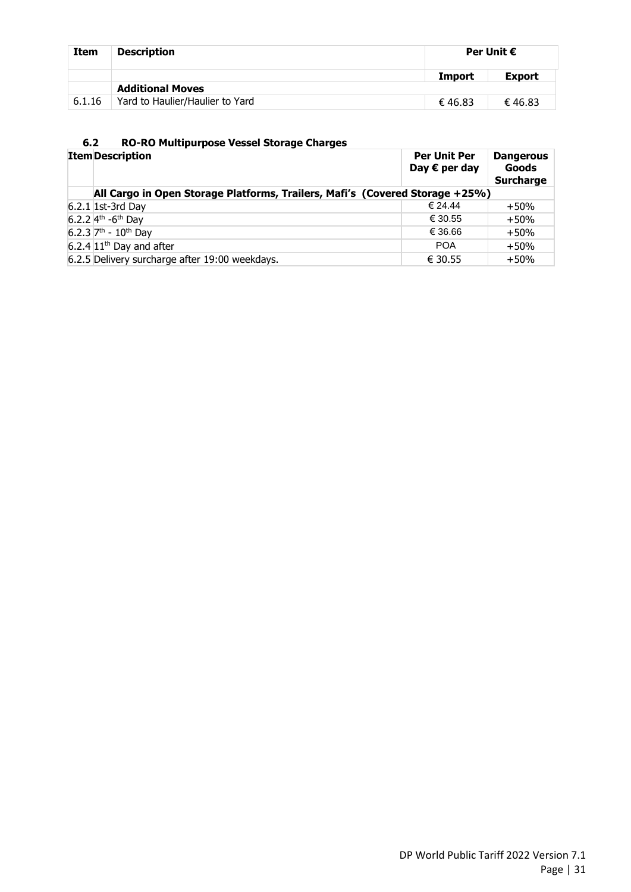| <b>Item</b> | <b>Description</b>              |                         | Per Unit $\epsilon$ |
|-------------|---------------------------------|-------------------------|---------------------|
|             |                                 | <b>Export</b><br>Import |                     |
|             | <b>Additional Moves</b>         |                         |                     |
| 6.1.16      | Yard to Haulier/Haulier to Yard | €46.83                  | €46.83              |

# **6.2 RO-RO Multipurpose Vessel Storage Charges**

| <b>Item Description</b>                                                      | <b>Per Unit Per</b><br>Day $\epsilon$ per day | <b>Dangerous</b><br>Goods<br><b>Surcharge</b> |
|------------------------------------------------------------------------------|-----------------------------------------------|-----------------------------------------------|
| All Cargo in Open Storage Platforms, Trailers, Mafi's (Covered Storage +25%) |                                               |                                               |
| 6.2.1 1st-3rd Day                                                            | € 24.44                                       | $+50%$                                        |
| 6.2.2 $4^{th}$ -6 <sup>th</sup> Day                                          | € 30.55                                       | $+50%$                                        |
| 6.2.3 $7th - 10th$ Day                                                       | € 36.66                                       | $+50%$                                        |
| $6.2.4 \, 11$ <sup>th</sup> Day and after                                    | <b>POA</b>                                    | $+50%$                                        |
| 6.2.5 Delivery surcharge after 19:00 weekdays.                               | € 30.55                                       | $+50%$                                        |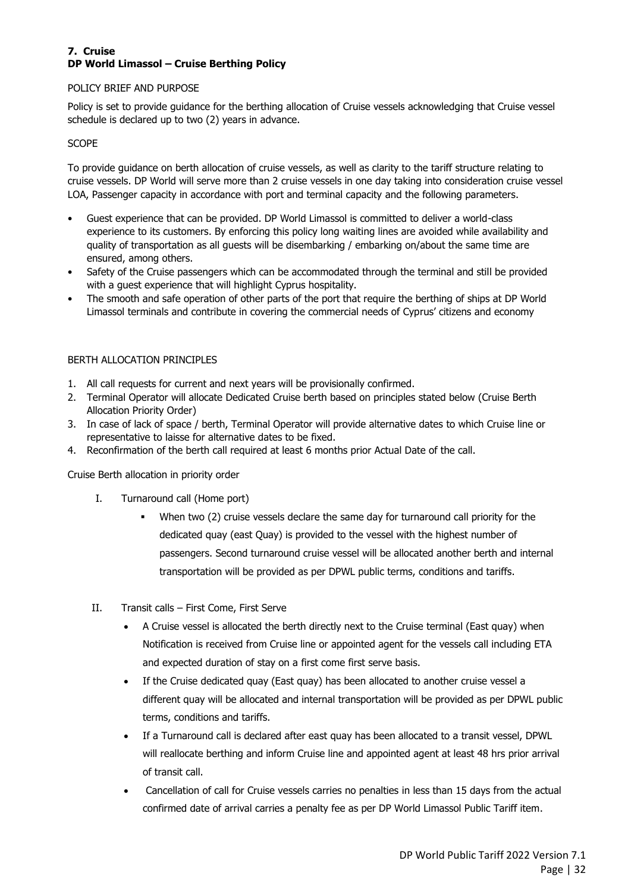#### <span id="page-36-0"></span>**7. Cruise DP World Limassol – Cruise Berthing Policy**

#### POLICY BRIEF AND PURPOSE

Policy is set to provide guidance for the berthing allocation of Cruise vessels acknowledging that Cruise vessel schedule is declared up to two (2) years in advance.

#### **SCOPE**

To provide guidance on berth allocation of cruise vessels, as well as clarity to the tariff structure relating to cruise vessels. DP World will serve more than 2 cruise vessels in one day taking into consideration cruise vessel LOA, Passenger capacity in accordance with port and terminal capacity and the following parameters.

- Guest experience that can be provided. DP World Limassol is committed to deliver a world-class experience to its customers. By enforcing this policy long waiting lines are avoided while availability and quality of transportation as all guests will be disembarking / embarking on/about the same time are ensured, among others.
- Safety of the Cruise passengers which can be accommodated through the terminal and still be provided with a guest experience that will highlight Cyprus hospitality.
- The smooth and safe operation of other parts of the port that require the berthing of ships at DP World Limassol terminals and contribute in covering the commercial needs of Cyprus' citizens and economy

#### BERTH ALLOCATION PRINCIPLES

- 1. All call requests for current and next years will be provisionally confirmed.
- 2. Terminal Operator will allocate Dedicated Cruise berth based on principles stated below (Cruise Berth Allocation Priority Order)
- 3. In case of lack of space / berth, Terminal Operator will provide alternative dates to which Cruise line or representative to laisse for alternative dates to be fixed.
- 4. Reconfirmation of the berth call required at least 6 months prior Actual Date of the call.

Cruise Berth allocation in priority order

- I. Turnaround call (Home port)
	- When two (2) cruise vessels declare the same day for turnaround call priority for the dedicated quay (east Quay) is provided to the vessel with the highest number of passengers. Second turnaround cruise vessel will be allocated another berth and internal transportation will be provided as per DPWL public terms, conditions and tariffs.
- II. Transit calls First Come, First Serve
	- A Cruise vessel is allocated the berth directly next to the Cruise terminal (East quay) when Notification is received from Cruise line or appointed agent for the vessels call including ETA and expected duration of stay on a first come first serve basis.
	- If the Cruise dedicated quay (East quay) has been allocated to another cruise vessel a different quay will be allocated and internal transportation will be provided as per DPWL public terms, conditions and tariffs.
	- If a Turnaround call is declared after east quay has been allocated to a transit vessel, DPWL will reallocate berthing and inform Cruise line and appointed agent at least 48 hrs prior arrival of transit call.
	- Cancellation of call for Cruise vessels carries no penalties in less than 15 days from the actual confirmed date of arrival carries a penalty fee as per DP World Limassol Public Tariff item.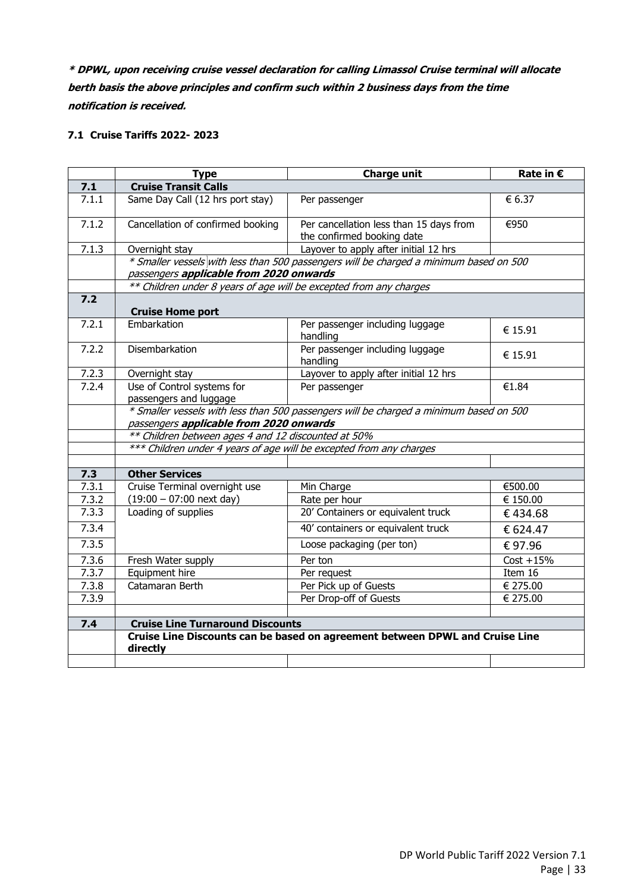**\* DPWL, upon receiving cruise vessel declaration for calling Limassol Cruise terminal will allocate berth basis the above principles and confirm such within 2 business days from the time notification is received.** 

## **7.1 Cruise Tariffs 2022- 2023**

|                    | <b>Type</b>                                                         | <b>Charge unit</b>                                                                     | Rate in €    |  |
|--------------------|---------------------------------------------------------------------|----------------------------------------------------------------------------------------|--------------|--|
| 7.1                | <b>Cruise Transit Calls</b>                                         |                                                                                        |              |  |
| 7.1.1              | Same Day Call (12 hrs port stay)                                    | Per passenger                                                                          | € 6.37       |  |
| 7.1.2              | Cancellation of confirmed booking                                   | Per cancellation less than 15 days from                                                | €950         |  |
|                    |                                                                     | the confirmed booking date                                                             |              |  |
| 7.1.3              | Overnight stay                                                      | Layover to apply after initial 12 hrs                                                  |              |  |
|                    |                                                                     | * Smaller vessels with less than 500 passengers will be charged a minimum based on 500 |              |  |
|                    | passengers applicable from 2020 onwards                             |                                                                                        |              |  |
|                    | ** Children under 8 years of age will be excepted from any charges  |                                                                                        |              |  |
| 7.2                | <b>Cruise Home port</b>                                             |                                                                                        |              |  |
| 7.2.1              | Embarkation                                                         | Per passenger including luggage<br>handling                                            | € 15.91      |  |
| 7.2.2              | Disembarkation                                                      | Per passenger including luggage<br>handling                                            | € 15.91      |  |
| 7.2.3              | Overnight stay                                                      | Layover to apply after initial 12 hrs                                                  |              |  |
| 7.2.4              | Use of Control systems for                                          | Per passenger                                                                          | €1.84        |  |
|                    | passengers and luggage                                              |                                                                                        |              |  |
|                    |                                                                     | * Smaller vessels with less than 500 passengers will be charged a minimum based on 500 |              |  |
|                    | passengers applicable from 2020 onwards                             |                                                                                        |              |  |
|                    | ** Children between ages 4 and 12 discounted at 50%                 |                                                                                        |              |  |
|                    | *** Children under 4 years of age will be excepted from any charges |                                                                                        |              |  |
|                    |                                                                     |                                                                                        |              |  |
| 7.3                | <b>Other Services</b>                                               |                                                                                        |              |  |
| $\overline{7}.3.1$ | Cruise Terminal overnight use                                       | Min Charge                                                                             | €500.00      |  |
| 7.3.2              | $(19:00 - 07:00$ next day)                                          | Rate per hour                                                                          | € 150.00     |  |
| 7.3.3              | Loading of supplies                                                 | 20' Containers or equivalent truck                                                     | €434.68      |  |
| 7.3.4              |                                                                     | 40' containers or equivalent truck                                                     | € 624.47     |  |
| 7.3.5              |                                                                     | Loose packaging (per ton)                                                              | €97.96       |  |
| 7.3.6              | Fresh Water supply                                                  | Per ton                                                                                | $Cost + 15%$ |  |
| 7.3.7              | Equipment hire                                                      | Per request                                                                            | Item 16      |  |
| 7.3.8              | Catamaran Berth                                                     | Per Pick up of Guests                                                                  | € 275.00     |  |
| 7.3.9              |                                                                     | Per Drop-off of Guests                                                                 | € 275.00     |  |
|                    |                                                                     |                                                                                        |              |  |
| 7.4                | <b>Cruise Line Turnaround Discounts</b>                             |                                                                                        |              |  |
|                    | directly                                                            | Cruise Line Discounts can be based on agreement between DPWL and Cruise Line           |              |  |
|                    |                                                                     |                                                                                        |              |  |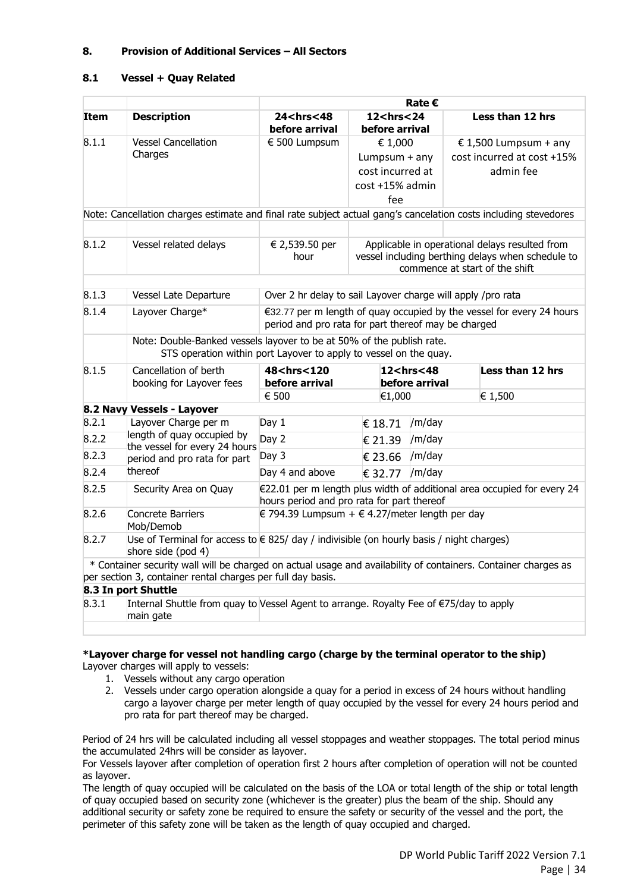#### <span id="page-38-0"></span>**8. Provision of Additional Services – All Sectors**

#### **8.1 Vessel + Quay Related**

|                                                                                                                |                                                                                                                                            | <b>Rate €</b>                                                                                                                |                                          |                                          |  |                                                                         |
|----------------------------------------------------------------------------------------------------------------|--------------------------------------------------------------------------------------------------------------------------------------------|------------------------------------------------------------------------------------------------------------------------------|------------------------------------------|------------------------------------------|--|-------------------------------------------------------------------------|
| <b>Item</b>                                                                                                    | <b>Description</b>                                                                                                                         | 24 <hrs<48<br>before arrival</hrs<48<br>                                                                                     | 12 <hrs<24<br>before arrival</hrs<24<br> |                                          |  | Less than 12 hrs                                                        |
| 8.1.1                                                                                                          | <b>Vessel Cancellation</b>                                                                                                                 | € 500 Lumpsum                                                                                                                | € 1,000                                  |                                          |  | € 1,500 Lumpsum + any                                                   |
|                                                                                                                | Charges                                                                                                                                    |                                                                                                                              | Lumpsum + any                            |                                          |  | cost incurred at cost +15%                                              |
|                                                                                                                |                                                                                                                                            |                                                                                                                              | cost incurred at                         |                                          |  | admin fee                                                               |
|                                                                                                                |                                                                                                                                            |                                                                                                                              | cost +15% admin                          |                                          |  |                                                                         |
|                                                                                                                |                                                                                                                                            |                                                                                                                              | fee                                      |                                          |  |                                                                         |
|                                                                                                                | Note: Cancellation charges estimate and final rate subject actual gang's cancelation costs including stevedores                            |                                                                                                                              |                                          |                                          |  |                                                                         |
|                                                                                                                |                                                                                                                                            |                                                                                                                              |                                          |                                          |  |                                                                         |
| 8.1.2                                                                                                          | Vessel related delays                                                                                                                      | € 2,539.50 per                                                                                                               |                                          |                                          |  | Applicable in operational delays resulted from                          |
|                                                                                                                |                                                                                                                                            | hour                                                                                                                         |                                          |                                          |  | vessel including berthing delays when schedule to                       |
|                                                                                                                |                                                                                                                                            |                                                                                                                              |                                          |                                          |  | commence at start of the shift                                          |
| 8.1.3                                                                                                          |                                                                                                                                            |                                                                                                                              |                                          |                                          |  |                                                                         |
|                                                                                                                | Vessel Late Departure                                                                                                                      | Over 2 hr delay to sail Layover charge will apply /pro rata                                                                  |                                          |                                          |  |                                                                         |
| 8.1.4                                                                                                          | Layover Charge*                                                                                                                            | €32.77 per m length of quay occupied by the vessel for every 24 hours<br>period and pro rata for part thereof may be charged |                                          |                                          |  |                                                                         |
|                                                                                                                | Note: Double-Banked vessels layover to be at 50% of the publish rate.<br>STS operation within port Layover to apply to vessel on the quay. |                                                                                                                              |                                          |                                          |  |                                                                         |
| 8.1.5                                                                                                          | Cancellation of berth<br>booking for Layover fees                                                                                          | 48 <hrs<120<br>before arrival</hrs<120<br>                                                                                   |                                          | 12 <hrs<48<br>before arrival</hrs<48<br> |  | Less than 12 hrs                                                        |
|                                                                                                                |                                                                                                                                            | € 500                                                                                                                        | €1,000                                   |                                          |  | € 1,500                                                                 |
|                                                                                                                | 8.2 Navy Vessels - Layover                                                                                                                 |                                                                                                                              |                                          |                                          |  |                                                                         |
| 8.2.1                                                                                                          | Layover Charge per m                                                                                                                       | Day 1                                                                                                                        | € 18.71                                  | /m/day                                   |  |                                                                         |
| 8.2.2                                                                                                          | length of quay occupied by                                                                                                                 | Day 2                                                                                                                        | € 21.39                                  | /m/day                                   |  |                                                                         |
| 8.2.3                                                                                                          | the vessel for every 24 hours<br>period and pro rata for part                                                                              | Day 3                                                                                                                        | € 23.66                                  | /m/day                                   |  |                                                                         |
| 8.2.4                                                                                                          | thereof                                                                                                                                    | Day 4 and above                                                                                                              | € 32.77                                  | /m/day                                   |  |                                                                         |
| 8.2.5                                                                                                          | Security Area on Quay                                                                                                                      | hours period and pro rata for part thereof                                                                                   |                                          |                                          |  | €22.01 per m length plus width of additional area occupied for every 24 |
| 8.2.6                                                                                                          | <b>Concrete Barriers</b><br>Mob/Demob                                                                                                      | € 794.39 Lumpsum + € 4.27/meter length per day                                                                               |                                          |                                          |  |                                                                         |
| 8.2.7                                                                                                          | shore side (pod 4)                                                                                                                         | Use of Terminal for access to $\epsilon$ 825/ day / indivisible (on hourly basis / night charges)                            |                                          |                                          |  |                                                                         |
| * Container security wall will be charged on actual usage and availability of containers. Container charges as |                                                                                                                                            |                                                                                                                              |                                          |                                          |  |                                                                         |
|                                                                                                                | per section 3, container rental charges per full day basis.                                                                                |                                                                                                                              |                                          |                                          |  |                                                                         |
|                                                                                                                | 8.3 In port Shuttle                                                                                                                        |                                                                                                                              |                                          |                                          |  |                                                                         |
| 8.3.1                                                                                                          | Internal Shuttle from quay to Vessel Agent to arrange. Royalty Fee of €75/day to apply<br>main gate                                        |                                                                                                                              |                                          |                                          |  |                                                                         |

#### **\*Layover charge for vessel not handling cargo (charge by the terminal operator to the ship)** Layover charges will apply to vessels:

- 1. Vessels without any cargo operation
- 2. Vessels under cargo operation alongside a quay for a period in excess of 24 hours without handling cargo a layover charge per meter length of quay occupied by the vessel for every 24 hours period and pro rata for part thereof may be charged.

Period of 24 hrs will be calculated including all vessel stoppages and weather stoppages. The total period minus the accumulated 24hrs will be consider as layover.

For Vessels layover after completion of operation first 2 hours after completion of operation will not be counted as layover.

The length of quay occupied will be calculated on the basis of the LOA or total length of the ship or total length of quay occupied based on security zone (whichever is the greater) plus the beam of the ship. Should any additional security or safety zone be required to ensure the safety or security of the vessel and the port, the perimeter of this safety zone will be taken as the length of quay occupied and charged.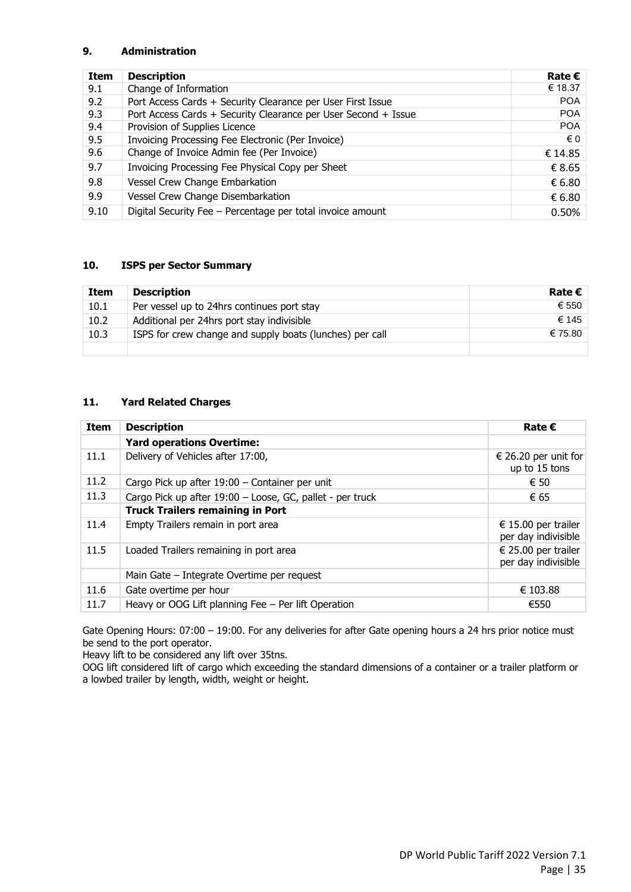#### <span id="page-39-0"></span>**9. Administration**

| Item | <b>Description</b>                                             | Rate $\epsilon$ |
|------|----------------------------------------------------------------|-----------------|
| 9.1  | Change of Information                                          | € 18.37         |
| 9.2  | Port Access Cards + Security Clearance per User First Issue    | <b>POA</b>      |
| 9.3  | Port Access Cards + Security Clearance per User Second + Issue | <b>POA</b>      |
| 9.4  | Provision of Supplies Licence                                  | <b>POA</b>      |
| 9.5  | Invoicing Processing Fee Electronic (Per Invoice)              | € 0             |
| 9.6  | Change of Invoice Admin fee (Per Invoice)                      | € 14.85         |
| 9.7  | Invoicing Processing Fee Physical Copy per Sheet               | € 8.65          |
| 9.8  | Vessel Crew Change Embarkation                                 | € 6.80          |
| 9.9  | Vessel Crew Change Disembarkation                              | € 6.80          |
| 9.10 | Digital Security Fee - Percentage per total invoice amount     | 0.50%           |

#### <span id="page-39-1"></span>**10. ISPS per Sector Summary**

| Item | <b>Description</b>                                       | Rate $\boldsymbol{\epsilon}$ |
|------|----------------------------------------------------------|------------------------------|
| 10.1 | Per vessel up to 24hrs continues port stay               | € 550                        |
| 10.2 | Additional per 24hrs port stay indivisible               | € 145                        |
| 10.3 | ISPS for crew change and supply boats (lunches) per call | € 75.80                      |
|      |                                                          |                              |

#### <span id="page-39-2"></span>**11. Yard Related Charges**

| Item | <b>Description</b>                                        | Rate $\epsilon$                            |
|------|-----------------------------------------------------------|--------------------------------------------|
|      | <b>Yard operations Overtime:</b>                          |                                            |
| 11.1 | Delivery of Vehicles after 17:00,                         | € 26.20 per unit for<br>up to 15 tons      |
| 11.2 | Cargo Pick up after 19:00 - Container per unit            | € 50                                       |
| 11.3 | Cargo Pick up after 19:00 - Loose, GC, pallet - per truck | € 65                                       |
|      | <b>Truck Trailers remaining in Port</b>                   |                                            |
| 11.4 | Empty Trailers remain in port area                        | € 15.00 per trailer<br>per day indivisible |
| 11.5 | Loaded Trailers remaining in port area                    | € 25.00 per trailer<br>per day indivisible |
|      | Main Gate – Integrate Overtime per request                |                                            |
| 11.6 | Gate overtime per hour                                    | € 103.88                                   |
| 11.7 | Heavy or OOG Lift planning Fee - Per lift Operation       | €550                                       |

Gate Opening Hours: 07:00 – 19:00. For any deliveries for after Gate opening hours a 24 hrs prior notice must be send to the port operator.

Heavy lift to be considered any lift over 35tns.

OOG lift considered lift of cargo which exceeding the standard dimensions of a container or a trailer platform or a lowbed trailer by length, width, weight or height.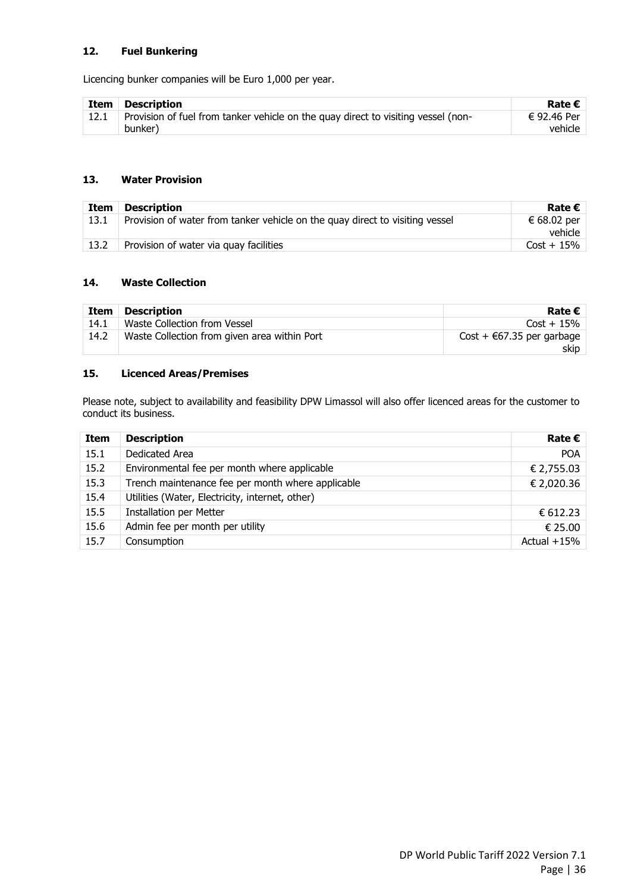#### <span id="page-40-0"></span>**12. Fuel Bunkering**

Licencing bunker companies will be Euro 1,000 per year.

| Item | <b>Description</b>                                                                | Rate $\boldsymbol{\epsilon}$ |
|------|-----------------------------------------------------------------------------------|------------------------------|
|      | Provision of fuel from tanker vehicle on the quay direct to visiting vessel (non- | € 92.46 Per                  |
|      | bunker)                                                                           | vehicle                      |

#### <span id="page-40-1"></span>**13. Water Provision**

| Item | Description                                                                  | Rate $\boldsymbol{\epsilon}$ |
|------|------------------------------------------------------------------------------|------------------------------|
| 13.1 | Provision of water from tanker vehicle on the quay direct to visiting vessel | € 68.02 per<br>vehicle       |
| 13.2 | Provision of water via quay facilities                                       | $Cost + 15\%$                |

#### <span id="page-40-2"></span>**14. Waste Collection**

| Item | <b>Description</b>                           | Rate $\epsilon$                             |
|------|----------------------------------------------|---------------------------------------------|
| 14.1 | Waste Collection from Vessel                 | $Cost + 15\%$                               |
| 14.2 | Waste Collection from given area within Port | $Cost + \epsilon 67.35$ per garbage<br>skip |

# <span id="page-40-3"></span>**15. Licenced Areas/Premises**

Please note, subject to availability and feasibility DPW Limassol will also offer licenced areas for the customer to conduct its business.

| <b>Item</b> | <b>Description</b>                                | Rate $\epsilon$ |
|-------------|---------------------------------------------------|-----------------|
| 15.1        | Dedicated Area                                    | <b>POA</b>      |
| 15.2        | Environmental fee per month where applicable      | € 2,755.03      |
| 15.3        | Trench maintenance fee per month where applicable | € 2,020.36      |
| 15.4        | Utilities (Water, Electricity, internet, other)   |                 |
| 15.5        | <b>Installation per Metter</b>                    | € 612.23        |
| 15.6        | Admin fee per month per utility                   | € 25.00         |
| 15.7        | Consumption                                       | Actual $+15%$   |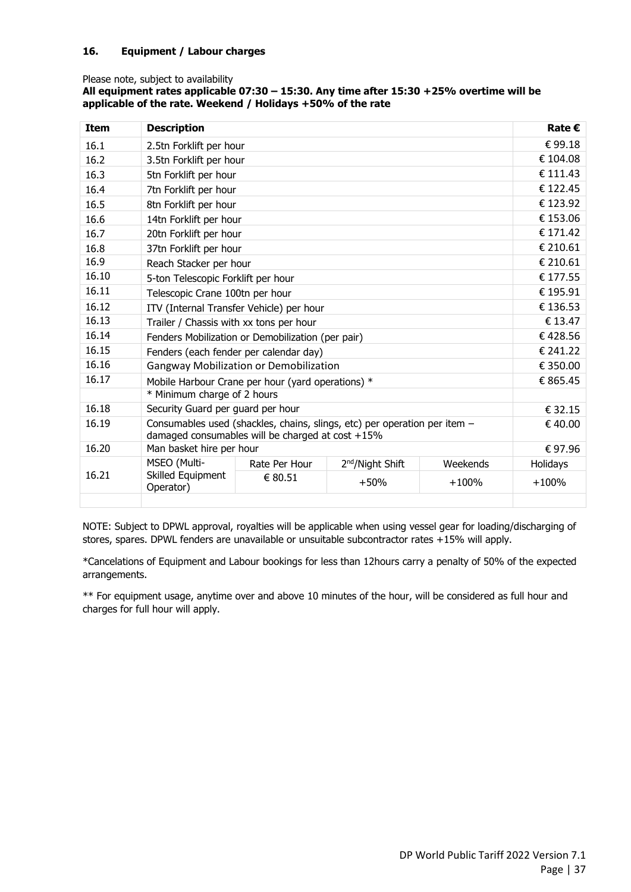#### <span id="page-41-0"></span>**16. Equipment / Labour charges**

#### Please note, subject to availability

#### **All equipment rates applicable 07:30 – 15:30. Any time after 15:30 +25% overtime will be applicable of the rate. Weekend / Holidays +50% of the rate**

| <b>Item</b> | <b>Description</b>                                                                                                               |                                                   |  |        | Rate $\epsilon$ |
|-------------|----------------------------------------------------------------------------------------------------------------------------------|---------------------------------------------------|--|--------|-----------------|
| 16.1        | 2.5tn Forklift per hour                                                                                                          |                                                   |  |        | €99.18          |
| 16.2        | 3.5tn Forklift per hour                                                                                                          |                                                   |  |        | € 104.08        |
| 16.3        | 5tn Forklift per hour                                                                                                            |                                                   |  |        | € 111.43        |
| 16.4        | 7tn Forklift per hour                                                                                                            |                                                   |  |        | € 122.45        |
| 16.5        | 8tn Forklift per hour                                                                                                            |                                                   |  |        | € 123.92        |
| 16.6        | 14tn Forklift per hour                                                                                                           |                                                   |  |        | € 153.06        |
| 16.7        | 20tn Forklift per hour                                                                                                           |                                                   |  |        | € 171.42        |
| 16.8        | 37tn Forklift per hour                                                                                                           |                                                   |  |        | € 210.61        |
| 16.9        | Reach Stacker per hour                                                                                                           |                                                   |  |        | € 210.61        |
| 16.10       | 5-ton Telescopic Forklift per hour                                                                                               |                                                   |  |        | € 177.55        |
| 16.11       | Telescopic Crane 100tn per hour                                                                                                  |                                                   |  |        | € 195.91        |
| 16.12       | ITV (Internal Transfer Vehicle) per hour                                                                                         | € 136.53                                          |  |        |                 |
| 16.13       | Trailer / Chassis with xx tons per hour                                                                                          | € 13.47                                           |  |        |                 |
| 16.14       | Fenders Mobilization or Demobilization (per pair)                                                                                | €428.56                                           |  |        |                 |
| 16.15       | Fenders (each fender per calendar day)                                                                                           | € 241.22                                          |  |        |                 |
| 16.16       |                                                                                                                                  | Gangway Mobilization or Demobilization            |  |        | € 350.00        |
| 16.17       |                                                                                                                                  | Mobile Harbour Crane per hour (yard operations) * |  |        | € 865.45        |
|             | * Minimum charge of 2 hours                                                                                                      |                                                   |  |        |                 |
| 16.18       | Security Guard per guard per hour                                                                                                | € 32.15                                           |  |        |                 |
| 16.19       | Consumables used (shackles, chains, slings, etc) per operation per item -<br>damaged consumables will be charged at $cost + 15%$ |                                                   |  |        | €40.00          |
| 16.20       | Man basket hire per hour                                                                                                         |                                                   |  | €97.96 |                 |
|             | MSEO (Multi-<br>Rate Per Hour<br>2 <sup>nd</sup> /Night Shift<br>Weekends                                                        |                                                   |  |        | Holidays        |
| 16.21       | Skilled Equipment<br>€ 80.51<br>$+100%$<br>$+50%$<br>Operator)                                                                   |                                                   |  |        | $+100%$         |
|             |                                                                                                                                  |                                                   |  |        |                 |

NOTE: Subject to DPWL approval, royalties will be applicable when using vessel gear for loading/discharging of stores, spares. DPWL fenders are unavailable or unsuitable subcontractor rates +15% will apply.

\*Cancelations of Equipment and Labour bookings for less than 12hours carry a penalty of 50% of the expected arrangements.

\*\* For equipment usage, anytime over and above 10 minutes of the hour, will be considered as full hour and charges for full hour will apply.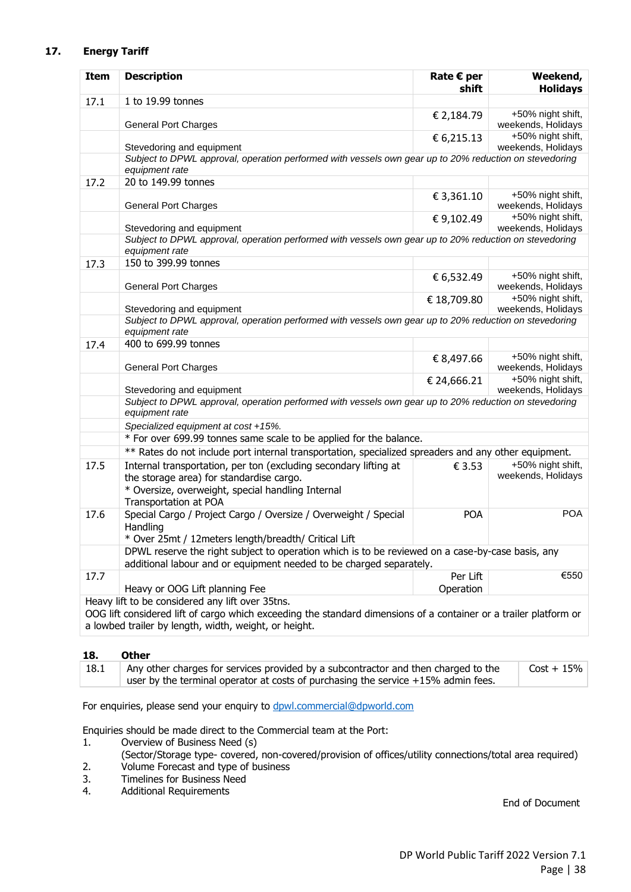#### <span id="page-42-0"></span>**17. Energy Tariff**

| <b>Item</b>                                           | <b>Description</b>                                                                                                                                                                         | Rate $€$ per<br>shift | Weekend,<br><b>Holidays</b>             |  |
|-------------------------------------------------------|--------------------------------------------------------------------------------------------------------------------------------------------------------------------------------------------|-----------------------|-----------------------------------------|--|
| 17.1                                                  | 1 to 19.99 tonnes                                                                                                                                                                          |                       |                                         |  |
|                                                       | <b>General Port Charges</b>                                                                                                                                                                | € 2,184.79            | +50% night shift,<br>weekends, Holidays |  |
|                                                       | Stevedoring and equipment                                                                                                                                                                  | € 6,215.13            | +50% night shift,<br>weekends, Holidays |  |
|                                                       | Subject to DPWL approval, operation performed with vessels own gear up to 20% reduction on stevedoring<br>equipment rate                                                                   |                       |                                         |  |
| 17.2                                                  | 20 to 149.99 tonnes                                                                                                                                                                        |                       |                                         |  |
|                                                       | <b>General Port Charges</b>                                                                                                                                                                | € 3,361.10            | +50% night shift,<br>weekends, Holidays |  |
|                                                       | Stevedoring and equipment                                                                                                                                                                  | €9,102.49             | +50% night shift,<br>weekends, Holidays |  |
|                                                       | Subject to DPWL approval, operation performed with vessels own gear up to 20% reduction on stevedoring<br>equipment rate                                                                   |                       |                                         |  |
| 17.3                                                  | 150 to 399.99 tonnes                                                                                                                                                                       |                       |                                         |  |
|                                                       | <b>General Port Charges</b>                                                                                                                                                                | € 6,532.49            | +50% night shift,<br>weekends, Holidays |  |
|                                                       | Stevedoring and equipment                                                                                                                                                                  | € 18,709.80           | +50% night shift,<br>weekends, Holidays |  |
|                                                       | Subject to DPWL approval, operation performed with vessels own gear up to 20% reduction on stevedoring<br>equipment rate                                                                   |                       |                                         |  |
| 17.4                                                  | 400 to 699.99 tonnes                                                                                                                                                                       |                       |                                         |  |
|                                                       | <b>General Port Charges</b>                                                                                                                                                                | € 8,497.66            | +50% night shift,<br>weekends, Holidays |  |
|                                                       | Stevedoring and equipment                                                                                                                                                                  | € 24,666.21           | +50% night shift,<br>weekends, Holidays |  |
|                                                       | Subject to DPWL approval, operation performed with vessels own gear up to 20% reduction on stevedoring<br>equipment rate                                                                   |                       |                                         |  |
|                                                       | Specialized equipment at cost +15%.                                                                                                                                                        |                       |                                         |  |
|                                                       | * For over 699.99 tonnes same scale to be applied for the balance.                                                                                                                         |                       |                                         |  |
|                                                       | ** Rates do not include port internal transportation, specialized spreaders and any other equipment.                                                                                       |                       |                                         |  |
| 17.5                                                  | Internal transportation, per ton (excluding secondary lifting at<br>the storage area) for standardise cargo.<br>* Oversize, overweight, special handling Internal<br>Transportation at POA | € 3.53                | +50% night shift,<br>weekends, Holidays |  |
| 17.6                                                  | Special Cargo / Project Cargo / Oversize / Overweight / Special<br>Handling<br>* Over 25mt / 12meters length/breadth/ Critical Lift                                                        | <b>POA</b>            | <b>POA</b>                              |  |
|                                                       | DPWL reserve the right subject to operation which is to be reviewed on a case-by-case basis, any<br>additional labour and or equipment needed to be charged separately.                    |                       |                                         |  |
| 17.7                                                  |                                                                                                                                                                                            | Per Lift              | €550                                    |  |
|                                                       | Heavy or OOG Lift planning Fee                                                                                                                                                             | Operation             |                                         |  |
|                                                       | Heavy lift to be considered any lift over 35tns.                                                                                                                                           |                       |                                         |  |
|                                                       | OOG lift considered lift of cargo which exceeding the standard dimensions of a container or a trailer platform or                                                                          |                       |                                         |  |
| a lowbed trailer by length, width, weight, or height. |                                                                                                                                                                                            |                       |                                         |  |

#### <span id="page-42-1"></span>**18. Other**

| 18.1 | Any other charges for services provided by a subcontractor and then charged to the | $Cost + 15\%$ |
|------|------------------------------------------------------------------------------------|---------------|
|      | user by the terminal operator at costs of purchasing the service +15% admin fees.  |               |

For enquiries, please send your enquiry to [dpwl.commercial@dpworld.com](mailto:dpwl.commercial@dpworld.com)

Enquiries should be made direct to the Commercial team at the Port:

- 1. Overview of Business Need (s)
	- (Sector/Storage type- covered, non-covered/provision of offices/utility connections/total area required)
- 2. Volume Forecast and type of business
- 3. Timelines for Business Need
- 4. Additional Requirements

End of Document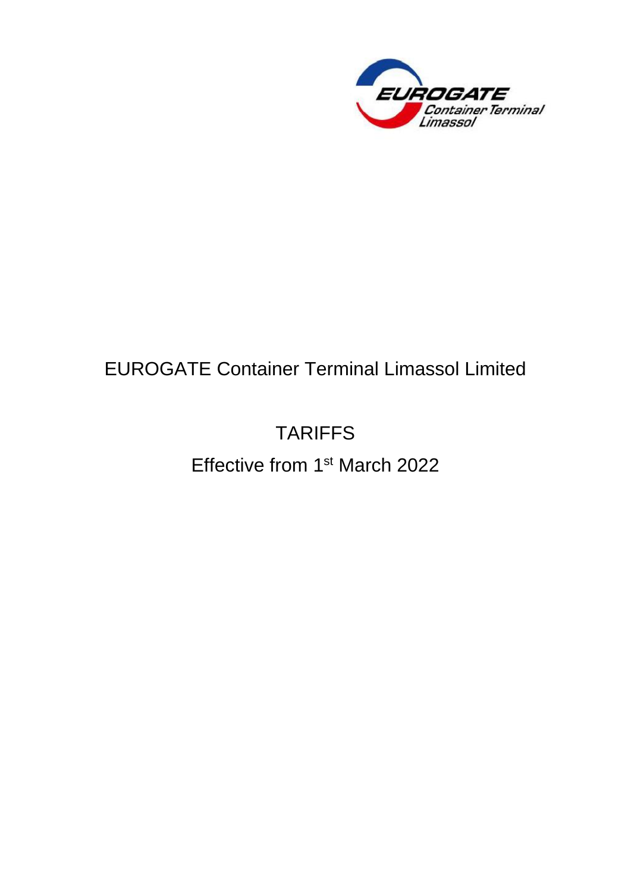

# EUROGATE Container Terminal Limassol Limited

# TARIFFS

Effective from 1<sup>st</sup> March 2022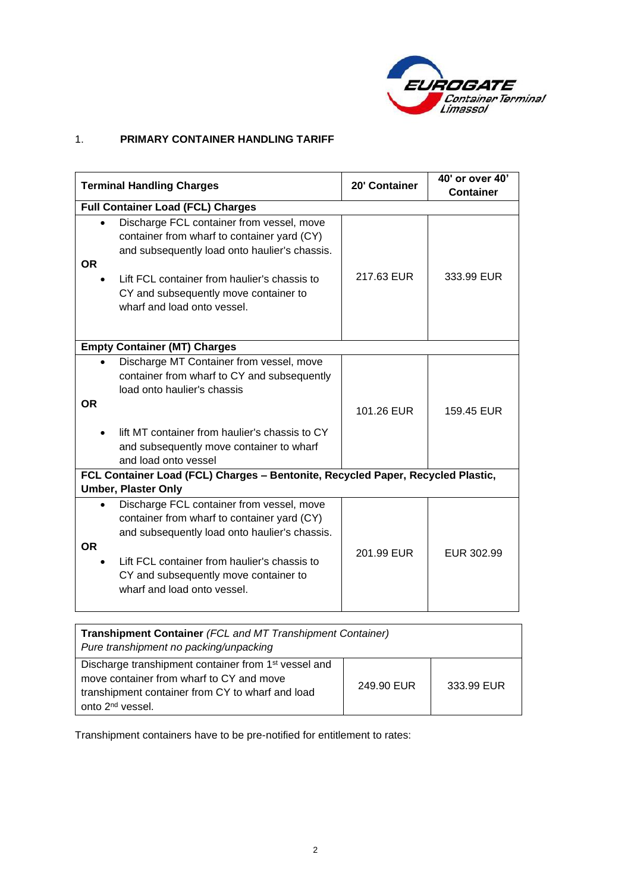

# 1. **PRIMARY CONTAINER HANDLING TARIFF**

|           | <b>Terminal Handling Charges</b>                                                                                                                                                                                                                                  | 20' Container | 40' or over 40'<br><b>Container</b> |  |
|-----------|-------------------------------------------------------------------------------------------------------------------------------------------------------------------------------------------------------------------------------------------------------------------|---------------|-------------------------------------|--|
|           | <b>Full Container Load (FCL) Charges</b>                                                                                                                                                                                                                          |               |                                     |  |
| <b>OR</b> | Discharge FCL container from vessel, move<br>container from wharf to container yard (CY)<br>and subsequently load onto haulier's chassis.<br>Lift FCL container from haulier's chassis to<br>CY and subsequently move container to<br>wharf and load onto vessel. | 217.63 EUR    | 333.99 EUR                          |  |
|           | <b>Empty Container (MT) Charges</b>                                                                                                                                                                                                                               |               |                                     |  |
| <b>OR</b> | Discharge MT Container from vessel, move<br>container from wharf to CY and subsequently<br>load onto haulier's chassis<br>lift MT container from haulier's chassis to CY<br>and subsequently move container to wharf<br>and load onto vessel                      | 101.26 EUR    | 159.45 EUR                          |  |
|           | FCL Container Load (FCL) Charges - Bentonite, Recycled Paper, Recycled Plastic,                                                                                                                                                                                   |               |                                     |  |
|           | <b>Umber, Plaster Only</b>                                                                                                                                                                                                                                        |               |                                     |  |
| <b>OR</b> | Discharge FCL container from vessel, move<br>container from wharf to container yard (CY)<br>and subsequently load onto haulier's chassis.                                                                                                                         | 201.99 EUR    | EUR 302.99                          |  |
|           | Lift FCL container from haulier's chassis to<br>CY and subsequently move container to<br>wharf and load onto vessel.                                                                                                                                              |               |                                     |  |

| <b>Transhipment Container (FCL and MT Transhipment Container)</b><br>Pure transhipment no packing/unpacking                                                                                      |            |            |  |
|--------------------------------------------------------------------------------------------------------------------------------------------------------------------------------------------------|------------|------------|--|
| Discharge transhipment container from 1 <sup>st</sup> vessel and<br>move container from wharf to CY and move<br>transhipment container from CY to wharf and load<br>onto 2 <sup>nd</sup> vessel. | 249.90 EUR | 333.99 EUR |  |

Transhipment containers have to be pre-notified for entitlement to rates: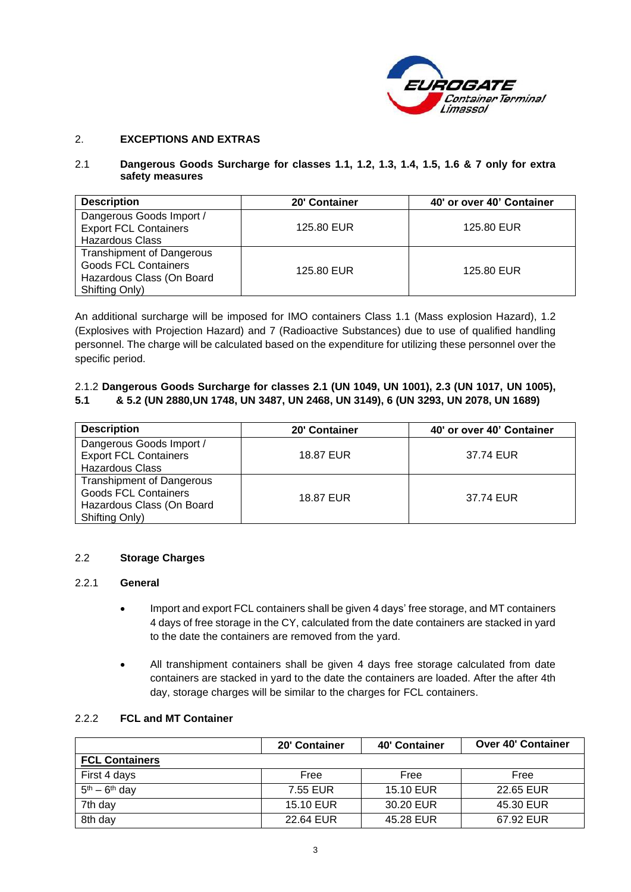

#### 2. **EXCEPTIONS AND EXTRAS**

#### 2.1 **Dangerous Goods Surcharge for classes 1.1, 1.2, 1.3, 1.4, 1.5, 1.6 & 7 only for extra safety measures**

| <b>Description</b>                                                                                             | 20' Container | 40' or over 40' Container |
|----------------------------------------------------------------------------------------------------------------|---------------|---------------------------|
| Dangerous Goods Import /<br><b>Export FCL Containers</b><br><b>Hazardous Class</b>                             | 125.80 EUR    | 125.80 EUR                |
| <b>Transhipment of Dangerous</b><br><b>Goods FCL Containers</b><br>Hazardous Class (On Board<br>Shifting Only) | 125.80 EUR    | 125.80 EUR                |

An additional surcharge will be imposed for IMO containers Class 1.1 (Mass explosion Hazard), 1.2 (Explosives with Projection Hazard) and 7 (Radioactive Substances) due to use of qualified handling personnel. The charge will be calculated based on the expenditure for utilizing these personnel over the specific period.

#### 2.1.2 **Dangerous Goods Surcharge for classes 2.1 (UN 1049, UN 1001), 2.3 (UN 1017, UN 1005), 5.1 & 5.2 (UN 2880,UN 1748, UN 3487, UN 2468, UN 3149), 6 (UN 3293, UN 2078, UN 1689)**

| <b>Description</b>                                                                                             | 20' Container | 40' or over 40' Container |
|----------------------------------------------------------------------------------------------------------------|---------------|---------------------------|
| Dangerous Goods Import /<br><b>Export FCL Containers</b><br><b>Hazardous Class</b>                             | 18.87 EUR     | 37.74 EUR                 |
| <b>Transhipment of Dangerous</b><br><b>Goods FCL Containers</b><br>Hazardous Class (On Board<br>Shifting Only) | 18.87 EUR     | 37.74 EUR                 |

#### 2.2 **Storage Charges**

#### 2.2.1 **General**

- Import and export FCL containers shall be given 4 days' free storage, and MT containers 4 days of free storage in the CY, calculated from the date containers are stacked in yard to the date the containers are removed from the yard.
- All transhipment containers shall be given 4 days free storage calculated from date containers are stacked in yard to the date the containers are loaded. After the after 4th day, storage charges will be similar to the charges for FCL containers.

#### 2.2.2 **FCL and MT Container**

|                       | 20' Container | 40' Container | <b>Over 40' Container</b> |
|-----------------------|---------------|---------------|---------------------------|
| <b>FCL Containers</b> |               |               |                           |
| First 4 days          | Free          | Free          | Free                      |
| $5th - 6th$ day       | 7.55 EUR      | 15.10 EUR     | 22.65 EUR                 |
| 7th day               | 15.10 EUR     | 30.20 EUR     | 45.30 EUR                 |
| 8th day               | 22.64 EUR     | 45.28 EUR     | 67.92 EUR                 |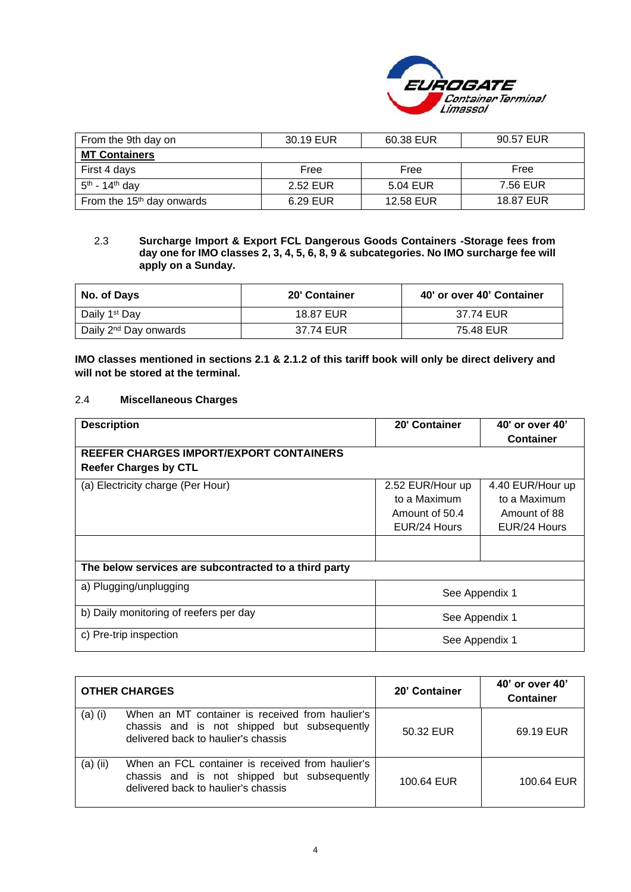

| From the 9th day on          | 30.19 EUR | 60.38 EUR | 90.57 EUR |
|------------------------------|-----------|-----------|-----------|
| <b>MT Containers</b>         |           |           |           |
| First 4 days                 | Free      | Free      | Free      |
| $5th$ - 14 <sup>th</sup> day | 2.52 EUR  | 5.04 EUR  | 7.56 EUR  |
| From the $15th$ day onwards  | 6.29 EUR  | 12.58 EUR | 18.87 EUR |

#### 2.3 **Surcharge Import & Export FCL Dangerous Goods Containers -Storage fees from day one for IMO classes 2, 3, 4, 5, 6, 8, 9 & subcategories. No IMO surcharge fee will apply on a Sunday.**

| No. of Days                       | 20' Container | 40' or over 40' Container |
|-----------------------------------|---------------|---------------------------|
| Daily 1 <sup>st</sup> Day         | 18.87 EUR     | 37.74 EUR                 |
| Daily 2 <sup>nd</sup> Day onwards | 37.74 EUR     | 75.48 EUR                 |

**IMO classes mentioned in sections 2.1 & 2.1.2 of this tariff book will only be direct delivery and will not be stored at the terminal.**

#### 2.4 **Miscellaneous Charges**

| <b>Description</b>                                    | 20' Container    | 40' or over 40'  |
|-------------------------------------------------------|------------------|------------------|
|                                                       |                  | <b>Container</b> |
| REEFER CHARGES IMPORT/EXPORT CONTAINERS               |                  |                  |
| <b>Reefer Charges by CTL</b>                          |                  |                  |
| (a) Electricity charge (Per Hour)                     | 2.52 EUR/Hour up | 4.40 EUR/Hour up |
|                                                       | to a Maximum     | to a Maximum     |
|                                                       | Amount of 50.4   | Amount of 88     |
|                                                       | EUR/24 Hours     | EUR/24 Hours     |
|                                                       |                  |                  |
| The below services are subcontracted to a third party |                  |                  |
| a) Plugging/unplugging                                | See Appendix 1   |                  |
| b) Daily monitoring of reefers per day                | See Appendix 1   |                  |
| c) Pre-trip inspection                                | See Appendix 1   |                  |

|            | <b>OTHER CHARGES</b>                                                                                                                   | 20' Container | 40' or over 40'<br><b>Container</b> |
|------------|----------------------------------------------------------------------------------------------------------------------------------------|---------------|-------------------------------------|
| $(a)$ (i)  | When an MT container is received from haulier's<br>chassis and is not shipped but subsequently<br>delivered back to haulier's chassis  | 50.32 EUR     | 69.19 EUR                           |
| $(a)$ (ii) | When an FCL container is received from haulier's<br>chassis and is not shipped but subsequently<br>delivered back to haulier's chassis | 100.64 EUR    | 100.64 EUR                          |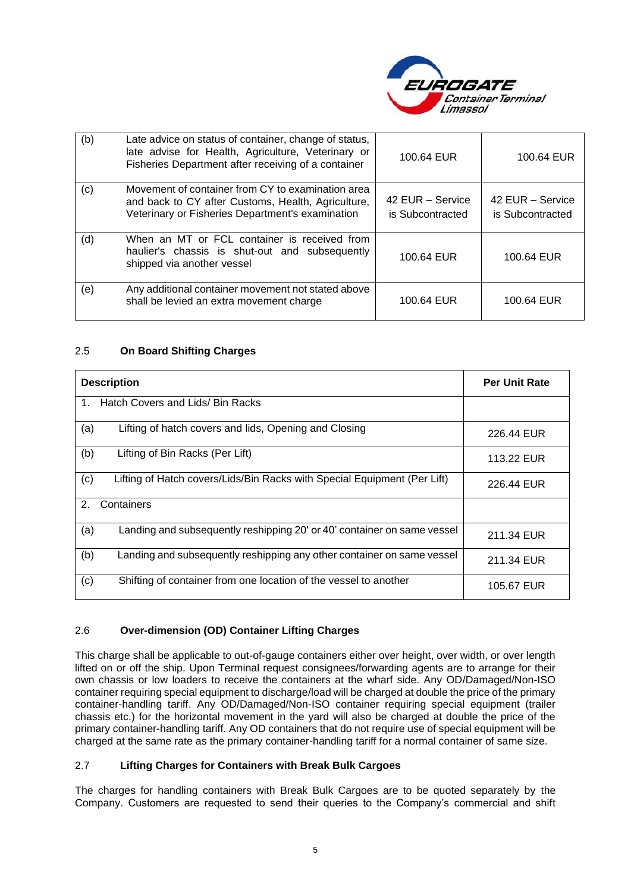

| (b) | Late advice on status of container, change of status,<br>late advise for Health, Agriculture, Veterinary or<br>Fisheries Department after receiving of a container | 100.64 EUR                           | 100.64 EUR                           |
|-----|--------------------------------------------------------------------------------------------------------------------------------------------------------------------|--------------------------------------|--------------------------------------|
| (c) | Movement of container from CY to examination area<br>and back to CY after Customs, Health, Agriculture,<br>Veterinary or Fisheries Department's examination        | 42 EUR - Service<br>is Subcontracted | 42 EUR - Service<br>is Subcontracted |
| (d) | When an MT or FCL container is received from<br>haulier's chassis is shut-out and subsequently<br>shipped via another vessel                                       | 100.64 EUR                           | 100.64 EUR                           |
| (e) | Any additional container movement not stated above<br>shall be levied an extra movement charge                                                                     | 100.64 EUR                           | 100.64 EUR                           |

#### 2.5 **On Board Shifting Charges**

| <b>Description</b>                                                              | <b>Per Unit Rate</b> |
|---------------------------------------------------------------------------------|----------------------|
| Hatch Covers and Lids/ Bin Racks<br>$1_{\cdot}$                                 |                      |
| (a)<br>Lifting of hatch covers and lids, Opening and Closing                    | 226.44 EUR           |
| (b)<br>Lifting of Bin Racks (Per Lift)                                          | 113.22 EUR           |
| (c)<br>Lifting of Hatch covers/Lids/Bin Racks with Special Equipment (Per Lift) | 226.44 EUR           |
| 2.<br>Containers                                                                |                      |
| (a)<br>Landing and subsequently reshipping 20' or 40' container on same vessel  | 211.34 EUR           |
| (b)<br>Landing and subsequently reshipping any other container on same vessel   | 211.34 EUR           |
| (c)<br>Shifting of container from one location of the vessel to another         | 105.67 EUR           |

#### 2.6 **Over-dimension (OD) Container Lifting Charges**

This charge shall be applicable to out-of-gauge containers either over height, over width, or over length lifted on or off the ship. Upon Terminal request consignees/forwarding agents are to arrange for their own chassis or low loaders to receive the containers at the wharf side. Any OD/Damaged/Non-ISO container requiring special equipment to discharge/load will be charged at double the price of the primary container-handling tariff. Any OD/Damaged/Non-ISO container requiring special equipment (trailer chassis etc.) for the horizontal movement in the yard will also be charged at double the price of the primary container-handling tariff. Any OD containers that do not require use of special equipment will be charged at the same rate as the primary container-handling tariff for a normal container of same size.

#### 2.7 **Lifting Charges for Containers with Break Bulk Cargoes**

The charges for handling containers with Break Bulk Cargoes are to be quoted separately by the Company. Customers are requested to send their queries to the Company's commercial and shift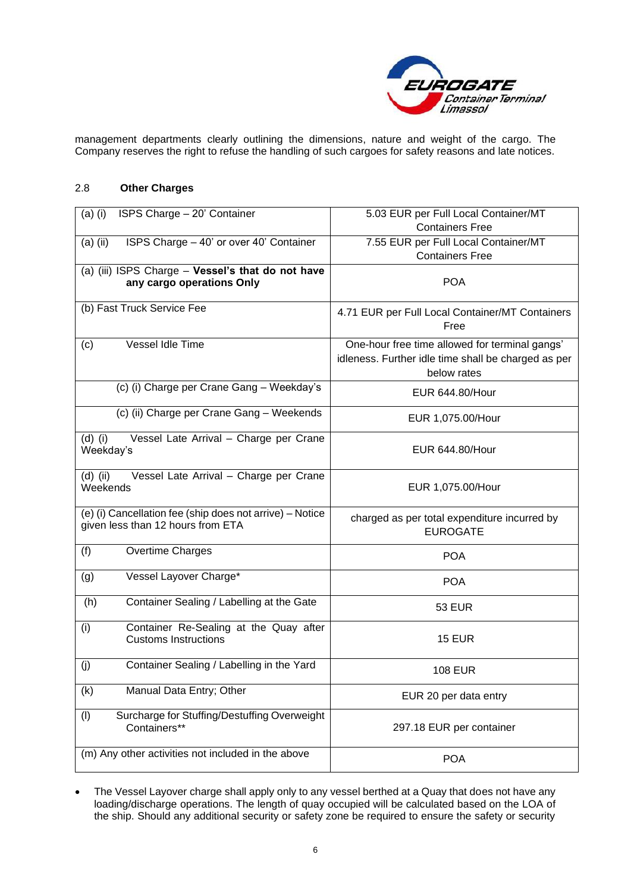

management departments clearly outlining the dimensions, nature and weight of the cargo. The Company reserves the right to refuse the handling of such cargoes for safety reasons and late notices.

#### 2.8 **Other Charges**

| ISPS Charge - 20' Container<br>$(a)$ (i)                          | 5.03 EUR per Full Local Container/MT                |
|-------------------------------------------------------------------|-----------------------------------------------------|
|                                                                   | <b>Containers Free</b>                              |
| $(a)$ (ii)<br>ISPS Charge - 40' or over 40' Container             | 7.55 EUR per Full Local Container/MT                |
|                                                                   | <b>Containers Free</b>                              |
| (a) (iii) ISPS Charge - Vessel's that do not have                 |                                                     |
| any cargo operations Only                                         | <b>POA</b>                                          |
| (b) Fast Truck Service Fee                                        |                                                     |
|                                                                   | 4.71 EUR per Full Local Container/MT Containers     |
|                                                                   | Free                                                |
| Vessel Idle Time<br>(c)                                           | One-hour free time allowed for terminal gangs'      |
|                                                                   | idleness. Further idle time shall be charged as per |
|                                                                   | below rates                                         |
| (c) (i) Charge per Crane Gang - Weekday's                         | EUR 644.80/Hour                                     |
| (c) (ii) Charge per Crane Gang - Weekends                         | EUR 1,075.00/Hour                                   |
| Vessel Late Arrival - Charge per Crane<br>$(d)$ (i)               |                                                     |
| Weekday's                                                         | <b>EUR 644.80/Hour</b>                              |
|                                                                   |                                                     |
| $(id)$ (ii)<br>Vessel Late Arrival - Charge per Crane<br>Weekends | EUR 1,075.00/Hour                                   |
|                                                                   |                                                     |
| (e) (i) Cancellation fee (ship does not arrive) - Notice          | charged as per total expenditure incurred by        |
| given less than 12 hours from ETA                                 | <b>EUROGATE</b>                                     |
|                                                                   |                                                     |
| (f)<br>Overtime Charges                                           | <b>POA</b>                                          |
| Vessel Layover Charge*<br>(g)                                     | <b>POA</b>                                          |
|                                                                   |                                                     |
| (h)<br>Container Sealing / Labelling at the Gate                  | <b>53 EUR</b>                                       |
| Container Re-Sealing at the Quay after<br>(i)                     |                                                     |
| <b>Customs Instructions</b>                                       | <b>15 EUR</b>                                       |
|                                                                   |                                                     |
| Container Sealing / Labelling in the Yard<br>(j)                  | <b>108 EUR</b>                                      |
| (k)<br>Manual Data Entry; Other                                   | EUR 20 per data entry                               |
| Surcharge for Stuffing/Destuffing Overweight                      |                                                     |
| (1)<br>Containers**                                               | 297.18 EUR per container                            |
|                                                                   |                                                     |
| (m) Any other activities not included in the above                | <b>POA</b>                                          |
|                                                                   |                                                     |

• The Vessel Layover charge shall apply only to any vessel berthed at a Quay that does not have any loading/discharge operations. The length of quay occupied will be calculated based on the LOA of the ship. Should any additional security or safety zone be required to ensure the safety or security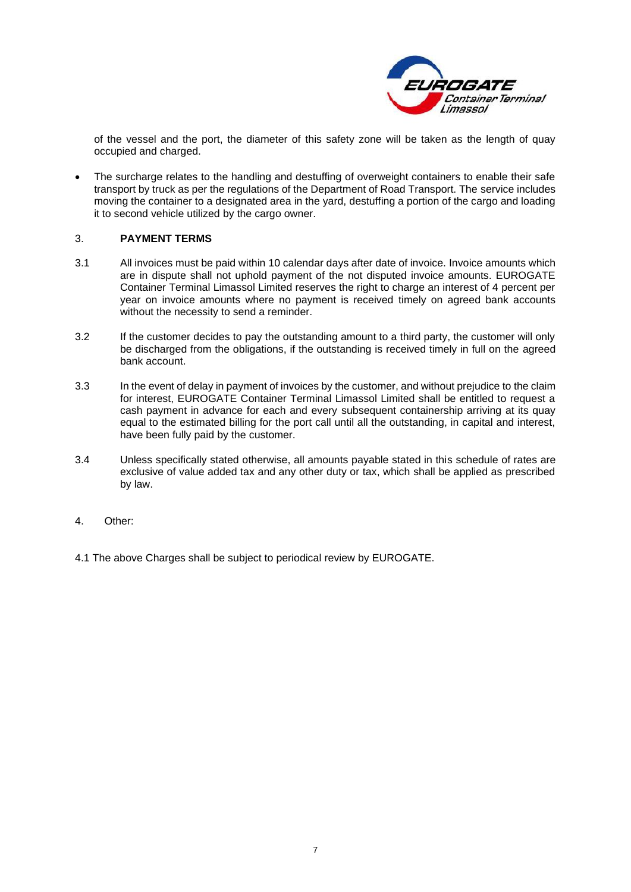

of the vessel and the port, the diameter of this safety zone will be taken as the length of quay occupied and charged.

The surcharge relates to the handling and destuffing of overweight containers to enable their safe transport by truck as per the regulations of the Department of Road Transport. The service includes moving the container to a designated area in the yard, destuffing a portion of the cargo and loading it to second vehicle utilized by the cargo owner.

#### 3. **PAYMENT TERMS**

- 3.1 All invoices must be paid within 10 calendar days after date of invoice. Invoice amounts which are in dispute shall not uphold payment of the not disputed invoice amounts. EUROGATE Container Terminal Limassol Limited reserves the right to charge an interest of 4 percent per year on invoice amounts where no payment is received timely on agreed bank accounts without the necessity to send a reminder.
- 3.2 If the customer decides to pay the outstanding amount to a third party, the customer will only be discharged from the obligations, if the outstanding is received timely in full on the agreed bank account.
- 3.3 In the event of delay in payment of invoices by the customer, and without prejudice to the claim for interest, EUROGATE Container Terminal Limassol Limited shall be entitled to request a cash payment in advance for each and every subsequent containership arriving at its quay equal to the estimated billing for the port call until all the outstanding, in capital and interest, have been fully paid by the customer.
- 3.4 Unless specifically stated otherwise, all amounts payable stated in this schedule of rates are exclusive of value added tax and any other duty or tax, which shall be applied as prescribed by law.
- 4. Other:
- 4.1 The above Charges shall be subject to periodical review by EUROGATE.